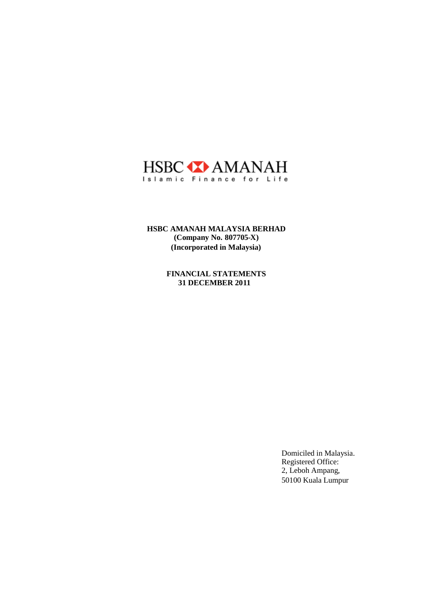

**HSBC AMANAH MALAYSIA BERHAD (Company No. 807705-X) (Incorporated in Malaysia)**

> **FINANCIAL STATEMENTS 31 DECEMBER 2011**

> > Domiciled in Malaysia. Registered Office: 2, Leboh Ampang, 50100 Kuala Lumpur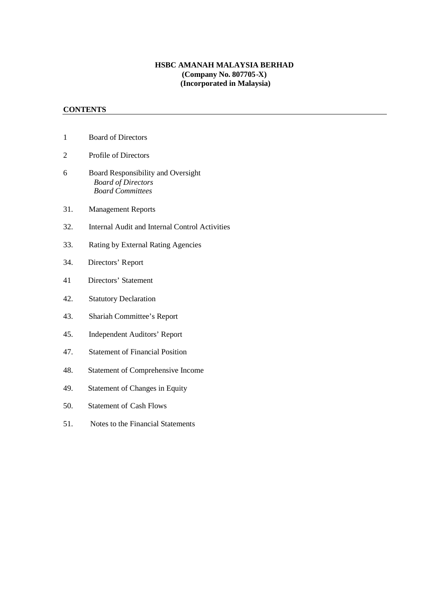## **HSBC AMANAH MALAYSIA BERHAD (Company No. 807705-X) (Incorporated in Malaysia)**

# **CONTENTS**

- 1 Board of Directors
- 2 Profile of Directors
- 6 Board Responsibility and Oversight *Board of Directors Board Committees*
- 31. Management Reports
- 32. Internal Audit and Internal Control Activities
- 33. Rating by External Rating Agencies
- 34. Directors' Report
- 41 Directors' Statement
- 42. Statutory Declaration
- 43. Shariah Committee's Report
- 45. Independent Auditors' Report
- 47. Statement of Financial Position
- 48. Statement of Comprehensive Income
- 49. Statement of Changes in Equity
- 50. Statement of Cash Flows
- 51. Notes to the Financial Statements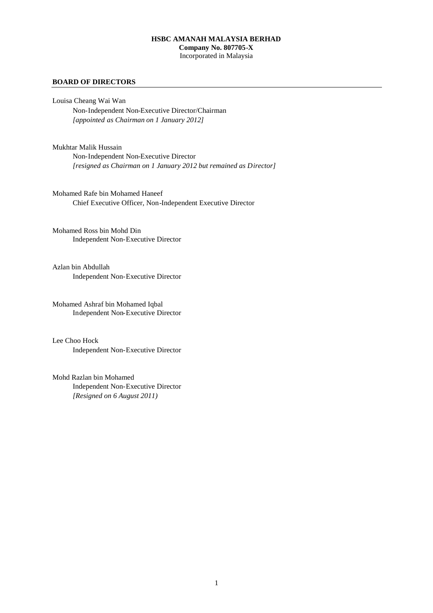## **HSBC AMANAH MALAYSIA BERHAD Company No. 807705-X** Incorporated in Malaysia

#### **BOARD OF DIRECTORS**

Louisa Cheang Wai Wan Non-Independent Non-Executive Director/Chairman *[appointed as Chairman on 1 January 2012]*

Mukhtar Malik Hussain Non-Independent Non-Executive Director *[resigned as Chairman on 1 January 2012 but remained as Director]*

Mohamed Rafe bin Mohamed Haneef Chief Executive Officer, Non-Independent Executive Director

Mohamed Ross bin Mohd Din Independent Non-Executive Director

Azlan bin Abdullah Independent Non-Executive Director

Mohamed Ashraf bin Mohamed Iqbal Independent Non-Executive Director

Lee Choo Hock Independent Non-Executive Director

Mohd Razlan bin Mohamed Independent Non-Executive Director *[Resigned on 6 August 2011)*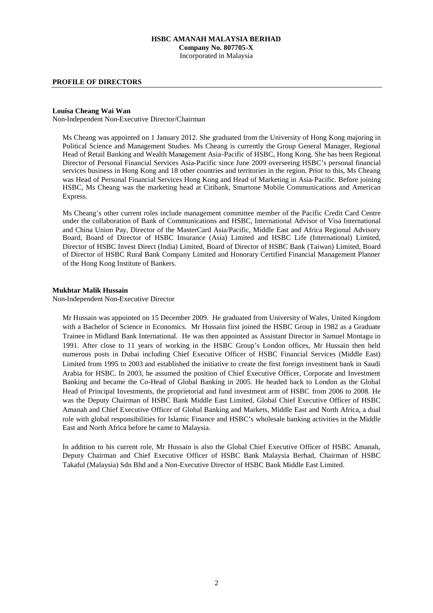### **HSBC AMANAH MALAYSIA BERHAD Company No. 807705-X** Incorporated in Malaysia

#### **PROFILE OF DIRECTORS**

#### **Louisa Cheang Wai Wan**

Non-Independent Non-Executive Director/Chairman

Ms Cheang was appointed on 1 January 2012. She graduated from the University of Hong Kong majoring in Political Science and Management Studies. Ms Cheang is currently the Group General Manager, Regional Head of Retail Banking and Wealth Management Asia-Pacific of HSBC, Hong Kong. She has been Regional Director of Personal Financial Services Asia-Pacific since June 2009 overseeing HSBC's personal financial services business in Hong Kong and 18 other countries and territories in the region. Prior to this, Ms Cheang was Head of Personal Financial Services Hong Kong and Head of Marketing in Asia-Pacific. Before joining HSBC, Ms Cheang was the marketing head at Citibank, Smartone Mobile Communications and American Express.

Ms Cheang's other current roles include management committee member of the Pacific Credit Card Centre under the collaboration of Bank of Communications and HSBC, International Advisor of Visa International and China Union Pay, Director of the MasterCard Asia/Pacific, Middle East and Africa Regional Advisory Board, Board of Director of HSBC Insurance (Asia) Limited and HSBC Life (International) Limited, Director of HSBC Invest Direct (India) Limited, Board of Director of HSBC Bank (Taiwan) Limited, Board of Director of HSBC Rural Bank Company Limited and Honorary Certified Financial Management Planner of the Hong Kong Institute of Bankers.

#### **Mukhtar Malik Hussain**

Non-Independent Non-Executive Director

Mr Hussain was appointed on 15 December 2009. He graduated from University of Wales, United Kingdom with a Bachelor of Science in Economics. Mr Hussain first joined the HSBC Group in 1982 as a Graduate Trainee in Midland Bank International. He was then appointed as Assistant Director in Samuel Montagu in 1991. After close to 11 years of working in the HSBC Group's London offices, Mr Hussain then held numerous posts in Dubai including Chief Executive Officer of HSBC Financial Services (Middle East) Limited from 1995 to 2003 and established the initiative to create the first foreign investment bank in Saudi Arabia for HSBC. In 2003, he assumed the position of Chief Executive Officer, Corporate and Investment Banking and became the Co-Head of Global Banking in 2005. He headed back to London as the Global Head of Principal Investments, the proprietorial and fund investment arm of HSBC from 2006 to 2008. He was the Deputy Chairman of HSBC Bank Middle East Limited, Global Chief Executive Officer of HSBC Amanah and Chief Executive Officer of Global Banking and Markets, Middle East and North Africa, a dual role with global responsibilities for Islamic Finance and HSBC's wholesale banking activities in the Middle East and North Africa before he came to Malaysia.

In addition to his current role, Mr Hussain is also the Global Chief Executive Officer of HSBC Amanah, Deputy Chairman and Chief Executive Officer of HSBC Bank Malaysia Berhad, Chairman of HSBC Takaful (Malaysia) Sdn Bhd and a Non-Executive Director of HSBC Bank Middle East Limited.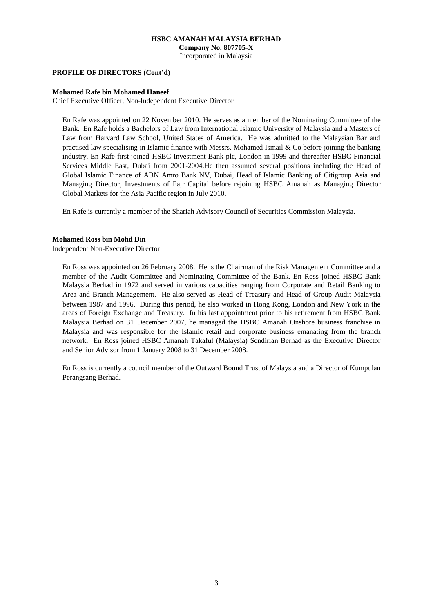**Company No. 807705-X**

Incorporated in Malaysia

#### **PROFILE OF DIRECTORS (Cont'd)**

#### **Mohamed Rafe bin Mohamed Haneef**

Chief Executive Officer, Non-Independent Executive Director

En Rafe was appointed on 22 November 2010. He serves as a member of the Nominating Committee of the Bank. En Rafe holds a Bachelors of Law from International Islamic University of Malaysia and a Masters of Law from Harvard Law School, United States of America. He was admitted to the Malaysian Bar and practised law specialising in Islamic finance with Messrs. Mohamed Ismail & Co before joining the banking industry. En Rafe first joined HSBC Investment Bank plc, London in 1999 and thereafter HSBC Financial Services Middle East, Dubai from 2001-2004.He then assumed several positions including the Head of Global Islamic Finance of ABN Amro Bank NV, Dubai, Head of Islamic Banking of Citigroup Asia and Managing Director, Investments of Fajr Capital before rejoining HSBC Amanah as Managing Director Global Markets for the Asia Pacific region in July 2010.

En Rafe is currently a member of the Shariah Advisory Council of Securities Commission Malaysia.

## **Mohamed Ross bin Mohd Din**

Independent Non-Executive Director

En Ross was appointed on 26 February 2008. He is the Chairman of the Risk Management Committee and a member of the Audit Committee and Nominating Committee of the Bank. En Ross joined HSBC Bank Malaysia Berhad in 1972 and served in various capacities ranging from Corporate and Retail Banking to Area and Branch Management. He also served as Head of Treasury and Head of Group Audit Malaysia between 1987 and 1996. During this period, he also worked in Hong Kong, London and New York in the areas of Foreign Exchange and Treasury. In his last appointment prior to his retirement from HSBC Bank Malaysia Berhad on 31 December 2007, he managed the HSBC Amanah Onshore business franchise in Malaysia and was responsible for the Islamic retail and corporate business emanating from the branch network. En Ross joined HSBC Amanah Takaful (Malaysia) Sendirian Berhad as the Executive Director and Senior Advisor from 1 January 2008 to 31 December 2008.

En Ross is currently a council member of the Outward Bound Trust of Malaysia and a Director of Kumpulan Perangsang Berhad.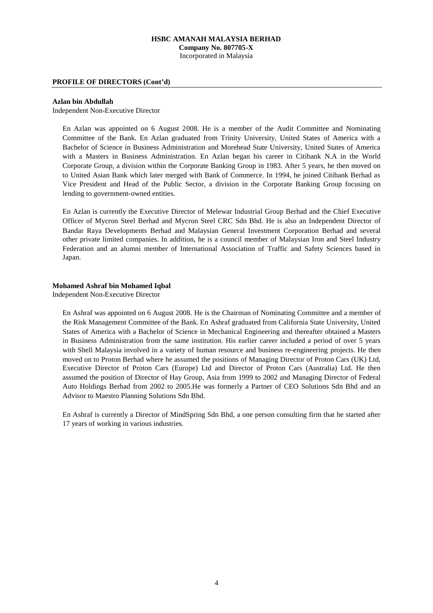### **HSBC AMANAH MALAYSIA BERHAD Company No. 807705-X** Incorporated in Malaysia

#### **PROFILE OF DIRECTORS (Cont'd)**

#### **Azlan bin Abdullah**

Independent Non-Executive Director

En Azlan was appointed on 6 August 2008. He is a member of the Audit Committee and Nominating Committee of the Bank. En Azlan graduated from Trinity University, United States of America with a Bachelor of Science in Business Administration and Morehead State University, United States of America with a Masters in Business Administration. En Azlan began his career in Citibank N.A in the World Corporate Group, a division within the Corporate Banking Group in 1983. After 5 years, he then moved on to United Asian Bank which later merged with Bank of Commerce. In 1994, he joined Citibank Berhad as Vice President and Head of the Public Sector, a division in the Corporate Banking Group focusing on lending to government-owned entities.

En Azlan is currently the Executive Director of Melewar Industrial Group Berhad and the Chief Executive Officer of Mycron Steel Berhad and Mycron Steel CRC Sdn Bhd. He is also an Independent Director of Bandar Raya Developments Berhad and Malaysian General Investment Corporation Berhad and several other private limited companies. In addition, he is a council member of Malaysian Iron and Steel Industry Federation and an alumni member of International Association of Traffic and Safety Sciences based in Japan.

#### **Mohamed Ashraf bin Mohamed Iqbal**

Independent Non-Executive Director

En Ashraf was appointed on 6 August 2008. He is the Chairman of Nominating Committee and a member of the Risk Management Committee of the Bank. En Ashraf graduated from California State University, United States of America with a Bachelor of Science in Mechanical Engineering and thereafter obtained a Masters in Business Administration from the same institution. His earlier career included a period of over 5 years with Shell Malaysia involved in a variety of human resource and business re-engineering projects. He then moved on to Proton Berhad where he assumed the positions of Managing Director of Proton Cars (UK) Ltd, Executive Director of Proton Cars (Europe) Ltd and Director of Proton Cars (Australia) Ltd. He then assumed the position of Director of Hay Group, Asia from 1999 to 2002 and Managing Director of Federal Auto Holdings Berhad from 2002 to 2005.He was formerly a Partner of CEO Solutions Sdn Bhd and an Advisor to Maestro Planning Solutions Sdn Bhd.

En Ashraf is currently a Director of MindSpring Sdn Bhd, a one person consulting firm that he started after 17 years of working in various industries.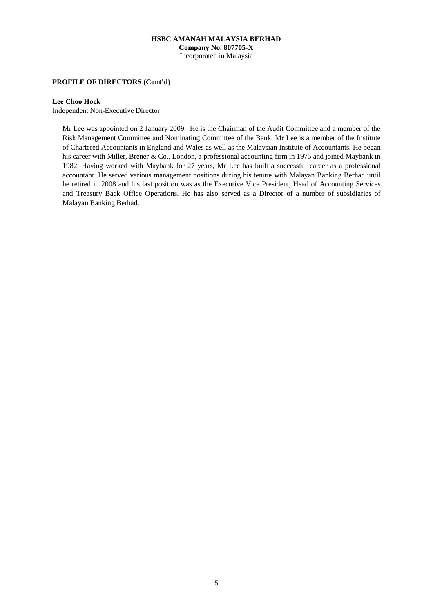### **HSBC AMANAH MALAYSIA BERHAD Company No. 807705-X** Incorporated in Malaysia

#### **PROFILE OF DIRECTORS (Cont'd)**

## **Lee Choo Hock**

Independent Non-Executive Director

Mr Lee was appointed on 2 January 2009. He is the Chairman of the Audit Committee and a member of the Risk Management Committee and Nominating Committee of the Bank. Mr Lee is a member of the Institute of Chartered Accountants in England and Wales as well as the Malaysian Institute of Accountants. He began his career with Miller, Brener & Co., London, a professional accounting firm in 1975 and joined Maybank in 1982. Having worked with Maybank for 27 years, Mr Lee has built a successful career as a professional accountant. He served various management positions during his tenure with Malayan Banking Berhad until he retired in 2008 and his last position was as the Executive Vice President, Head of Accounting Services and Treasury Back Office Operations. He has also served as a Director of a number of subsidiaries of Malayan Banking Berhad.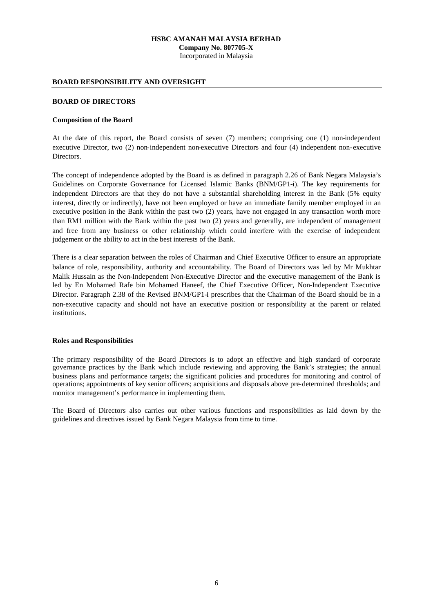Incorporated in Malaysia

## **BOARD RESPONSIBILITY AND OVERSIGHT**

#### **BOARD OF DIRECTORS**

#### **Composition of the Board**

At the date of this report, the Board consists of seven (7) members; comprising one (1) non-independent executive Director, two (2) non-independent non-executive Directors and four (4) independent non-executive Directors.

The concept of independence adopted by the Board is as defined in paragraph 2.26 of Bank Negara Malaysia's Guidelines on Corporate Governance for Licensed Islamic Banks (BNM/GP1-i). The key requirements for independent Directors are that they do not have a substantial shareholding interest in the Bank (5% equity interest, directly or indirectly), have not been employed or have an immediate family member employed in an executive position in the Bank within the past two (2) years, have not engaged in any transaction worth more than RM1 million with the Bank within the past two (2) years and generally, are independent of management and free from any business or other relationship which could interfere with the exercise of independent judgement or the ability to act in the best interests of the Bank.

There is a clear separation between the roles of Chairman and Chief Executive Officer to ensure an appropriate balance of role, responsibility, authority and accountability. The Board of Directors was led by Mr Mukhtar Malik Hussain as the Non-Independent Non-Executive Director and the executive management of the Bank is led by En Mohamed Rafe bin Mohamed Haneef, the Chief Executive Officer, Non-Independent Executive Director. Paragraph 2.38 of the Revised BNM/GP1-i prescribes that the Chairman of the Board should be in a non-executive capacity and should not have an executive position or responsibility at the parent or related institutions.

## **Roles and Responsibilities**

The primary responsibility of the Board Directors is to adopt an effective and high standard of corporate governance practices by the Bank which include reviewing and approving the Bank's strategies; the annual business plans and performance targets; the significant policies and procedures for monitoring and control of operations; appointments of key senior officers; acquisitions and disposals above pre-determined thresholds; and monitor management's performance in implementing them.

The Board of Directors also carries out other various functions and responsibilities as laid down by the guidelines and directives issued by Bank Negara Malaysia from time to time.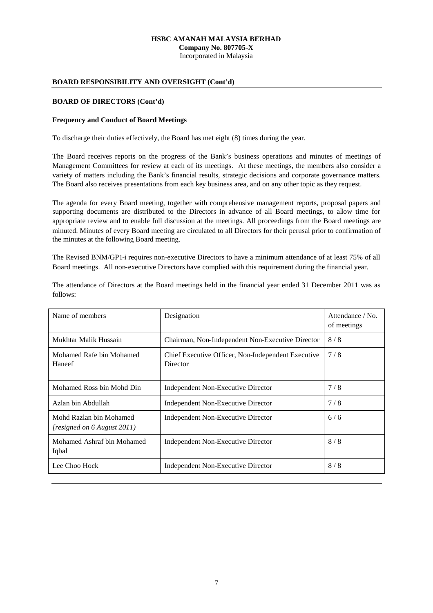**Company No. 807705-X** Incorporated in Malaysia

#### **BOARD RESPONSIBILITY AND OVERSIGHT (Cont'd)**

#### **BOARD OF DIRECTORS (Cont'd)**

#### **Frequency and Conduct of Board Meetings**

To discharge their duties effectively, the Board has met eight (8) times during the year.

The Board receives reports on the progress of the Bank's business operations and minutes of meetings of Management Committees for review at each of its meetings. At these meetings, the members also consider a variety of matters including the Bank's financial results, strategic decisions and corporate governance matters. The Board also receives presentations from each key business area, and on any other topic as they request.

The agenda for every Board meeting, together with comprehensive management reports, proposal papers and supporting documents are distributed to the Directors in advance of all Board meetings, to allow time for appropriate review and to enable full discussion at the meetings. All proceedings from the Board meetings are minuted. Minutes of every Board meeting are circulated to all Directors for their perusal prior to confirmation of the minutes at the following Board meeting.

The Revised BNM/GP1-i requires non-executive Directors to have a minimum attendance of at least 75% of all Board meetings. All non-executive Directors have complied with this requirement during the financial year.

| The attendance of Directors at the Board meetings held in the financial year ended 31 December 2011 was as |  |
|------------------------------------------------------------------------------------------------------------|--|
| follows:                                                                                                   |  |

| Name of members                                               | Designation                                                    | Attendance / No.<br>of meetings |
|---------------------------------------------------------------|----------------------------------------------------------------|---------------------------------|
| Mukhtar Malik Hussain                                         | Chairman, Non-Independent Non-Executive Director               | 8/8                             |
| Mohamed Rafe bin Mohamed<br>Haneef                            | Chief Executive Officer, Non-Independent Executive<br>Director | 7/8                             |
| Mohamed Ross bin Mohd Din                                     | Independent Non-Executive Director                             | 7/8                             |
| Azlan bin Abdullah                                            | Independent Non-Executive Director                             | 7/8                             |
| Mohd Razlan bin Mohamed<br><i>resigned on 6 August 2011</i> ) | Independent Non-Executive Director                             | 6/6                             |
| Mohamed Ashraf bin Mohamed<br>Iqbal                           | Independent Non-Executive Director                             | 8/8                             |
| Lee Choo Hock                                                 | Independent Non-Executive Director                             | 8/8                             |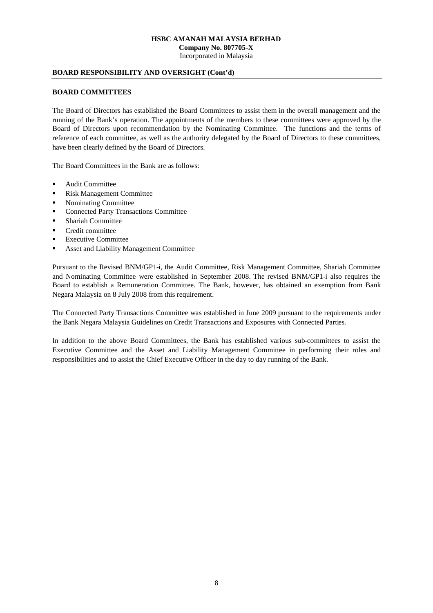Incorporated in Malaysia

## **BOARD RESPONSIBILITY AND OVERSIGHT (Cont'd)**

#### **BOARD COMMITTEES**

The Board of Directors has established the Board Committees to assist them in the overall management and the running of the Bank's operation. The appointments of the members to these committees were approved by the Board of Directors upon recommendation by the Nominating Committee. The functions and the terms of reference of each committee, as well as the authority delegated by the Board of Directors to these committees, have been clearly defined by the Board of Directors.

The Board Committees in the Bank are as follows:

- **Audit Committee**
- Risk Management Committee
- Nominating Committee
- Connected Party Transactions Committee
- Shariah Committee
- **•** Credit committee
- Executive Committee
- Asset and Liability Management Committee

Pursuant to the Revised BNM/GP1-i, the Audit Committee, Risk Management Committee, Shariah Committee and Nominating Committee were established in September 2008. The revised BNM/GP1-i also requires the Board to establish a Remuneration Committee. The Bank, however, has obtained an exemption from Bank Negara Malaysia on 8 July 2008 from this requirement.

The Connected Party Transactions Committee was established in June 2009 pursuant to the requirements under the Bank Negara Malaysia Guidelines on Credit Transactions and Exposures with Connected Parties.

In addition to the above Board Committees, the Bank has established various sub-committees to assist the Executive Committee and the Asset and Liability Management Committee in performing their roles and responsibilities and to assist the Chief Executive Officer in the day to day running of the Bank.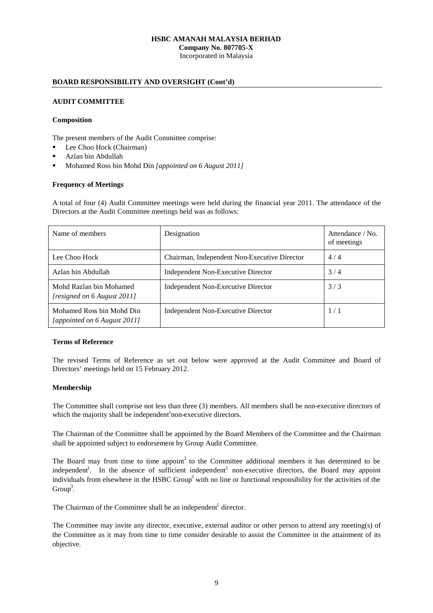**Company No. 807705-X** Incorporated in Malaysia

## **BOARD RESPONSIBILITY AND OVERSIGHT (Cont'd)**

### **AUDIT COMMITTEE**

#### **Composition**

The present members of the Audit Committee comprise:

- Lee Choo Hock (Chairman)
- Azlan bin Abdullah
- Mohamed Ross bin Mohd Din *[appointed on 6 August 2011]*

#### **Frequency of Meetings**

A total of four (4) Audit Committee meetings were held during the financial year 2011. The attendance of the Directors at the Audit Committee meetings held was as follows:

| Name of members                                           | Designation                                  | Attendance / No.<br>of meetings |
|-----------------------------------------------------------|----------------------------------------------|---------------------------------|
| Lee Choo Hock                                             | Chairman, Independent Non-Executive Director | 4/4                             |
| Azlan bin Abdullah                                        | Independent Non-Executive Director           | 3/4                             |
| Mohd Razlan bin Mohamed<br>[resigned on 6 August 2011]    | Independent Non-Executive Director           | 3/3                             |
| Mohamed Ross bin Mohd Din<br>[appointed on 6 August 2011] | Independent Non-Executive Director           | 1/1                             |

#### **Terms of Reference**

The revised Terms of Reference as set out below were approved at the Audit Committee and Board of Directors' meetings held on 15 February 2012.

#### **Membership**

The Committee shall comprise not less than three (3) members. All members shall be non-executive directors of which the majority shall be independent<sup>1</sup> non-executive directors.

The Chairman of the Committee shall be appointed by the Board. Members of the Committee and the Chairman shall be appointed subject to endorsement by Group Audit Committee.

The Board may from time to time appoint<sup>2</sup> to the Committee additional members it has determined to be independent<sup>1</sup>. In the absence of sufficient independent<sup>1</sup> non-executive directors, the Board may appoint individuals from elsewhere in the HSBC Group<sup>3</sup> with no line or functional responsibility for the activities of the  $Group^3$ .

The Chairman of the Committee shall be an independent<sup>1</sup> director.

The Committee may invite any director, executive, external auditor or other person to attend any meeting(s) of the Committee as it may from time to time consider desirable to assist the Committee in the attainment of its objective.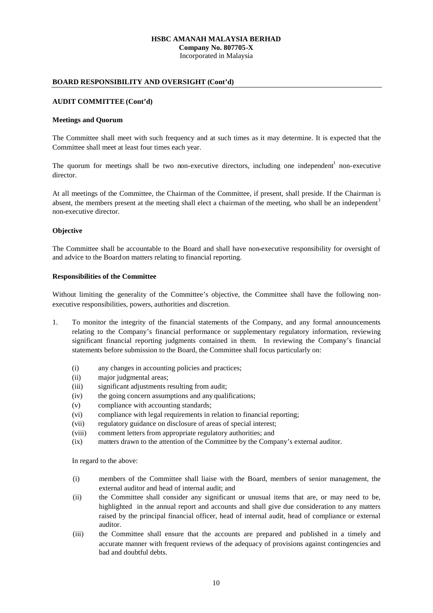**Company No. 807705-X** Incorporated in Malaysia

#### **BOARD RESPONSIBILITY AND OVERSIGHT (Cont'd)**

#### **AUDIT COMMITTEE (Cont'd)**

#### **Meetings and Quorum**

The Committee shall meet with such frequency and at such times as it may determine. It is expected that the Committee shall meet at least four times each year.

The quorum for meetings shall be two non-executive directors, including one independent<sup>1</sup> non-executive director.

At all meetings of the Committee, the Chairman of the Committee, if present, shall preside. If the Chairman is absent, the members present at the meeting shall elect a chairman of the meeting, who shall be an independent<sup>1</sup> non-executive director.

#### **Objective**

The Committee shall be accountable to the Board and shall have non-executive responsibility for oversight of and advice to the Boardon matters relating to financial reporting.

#### **Responsibilities of the Committee**

Without limiting the generality of the Committee's objective, the Committee shall have the following nonexecutive responsibilities, powers, authorities and discretion.

- 1. To monitor the integrity of the financial statements of the Company, and any formal announcements relating to the Company's financial performance or supplementary regulatory information, reviewing significant financial reporting judgments contained in them. In reviewing the Company's financial statements before submission to the Board, the Committee shall focus particularly on:
	- (i) any changes in accounting policies and practices;
	- (ii) major judgmental areas;
	- (iii) significant adjustments resulting from audit;
	- (iv) the going concern assumptions and any qualifications;
	- (v) compliance with accounting standards;
	- (vi) compliance with legal requirements in relation to financial reporting;
	- (vii) regulatory guidance on disclosure of areas of special interest;
	- (viii) comment letters from appropriate regulatory authorities; and
	- (ix) matters drawn to the attention of the Committee by the Company's external auditor.

In regard to the above:

- (i) members of the Committee shall liaise with the Board, members of senior management, the external auditor and head of internal audit; and
- (ii) the Committee shall consider any significant or unusual items that are, or may need to be, highlighted in the annual report and accounts and shall give due consideration to any matters raised by the principal financial officer, head of internal audit, head of compliance or external auditor.
- (iii) the Committee shall ensure that the accounts are prepared and published in a timely and accurate manner with frequent reviews of the adequacy of provisions against contingencies and bad and doubtful debts.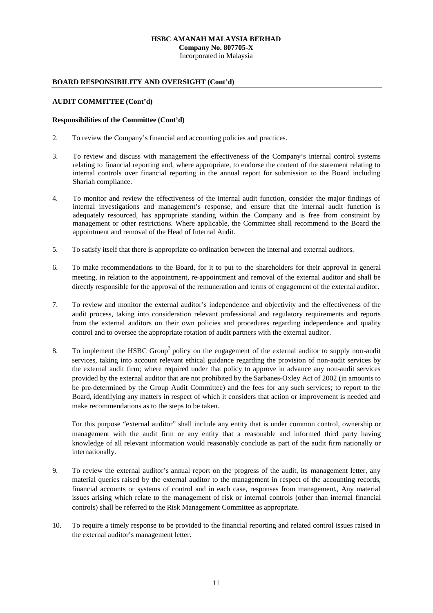**Company No. 807705-X** Incorporated in Malaysia

### **BOARD RESPONSIBILITY AND OVERSIGHT (Cont'd)**

### **AUDIT COMMITTEE (Cont'd)**

#### **Responsibilities of the Committee (Cont'd)**

- 2. To review the Company's financial and accounting policies and practices.
- 3. To review and discuss with management the effectiveness of the Company's internal control systems relating to financial reporting and, where appropriate, to endorse the content of the statement relating to internal controls over financial reporting in the annual report for submission to the Board including Shariah compliance.
- 4. To monitor and review the effectiveness of the internal audit function, consider the major findings of internal investigations and management's response, and ensure that the internal audit function is adequately resourced, has appropriate standing within the Company and is free from constraint by management or other restrictions. Where applicable, the Committee shall recommend to the Board the appointment and removal of the Head of Internal Audit.
- 5. To satisfy itself that there is appropriate co-ordination between the internal and external auditors.
- 6. To make recommendations to the Board, for it to put to the shareholders for their approval in general meeting, in relation to the appointment, re-appointment and removal of the external auditor and shall be directly responsible for the approval of the remuneration and terms of engagement of the external auditor.
- 7. To review and monitor the external auditor's independence and objectivity and the effectiveness of the audit process, taking into consideration relevant professional and regulatory requirements and reports from the external auditors on their own policies and procedures regarding independence and quality control and to oversee the appropriate rotation of audit partners with the external auditor.
- 8. To implement the HSBC Group<sup>3</sup> policy on the engagement of the external auditor to supply non-audit services, taking into account relevant ethical guidance regarding the provision of non-audit services by the external audit firm; where required under that policy to approve in advance any non-audit services provided by the external auditor that are not prohibited by the Sarbanes-Oxley Act of 2002 (in amounts to be pre-determined by the Group Audit Committee) and the fees for any such services; to report to the Board, identifying any matters in respect of which it considers that action or improvement is needed and make recommendations as to the steps to be taken.

For this purpose "external auditor" shall include any entity that is under common control, ownership or management with the audit firm or any entity that a reasonable and informed third party having knowledge of all relevant information would reasonably conclude as part of the audit firm nationally or internationally.

- 9. To review the external auditor's annual report on the progress of the audit, its management letter, any material queries raised by the external auditor to the management in respect of the accounting records, financial accounts or systems of control and in each case, responses from management., Any material issues arising which relate to the management of risk or internal controls (other than internal financial controls) shall be referred to the Risk Management Committee as appropriate.
- 10. To require a timely response to be provided to the financial reporting and related control issues raised in the external auditor's management letter.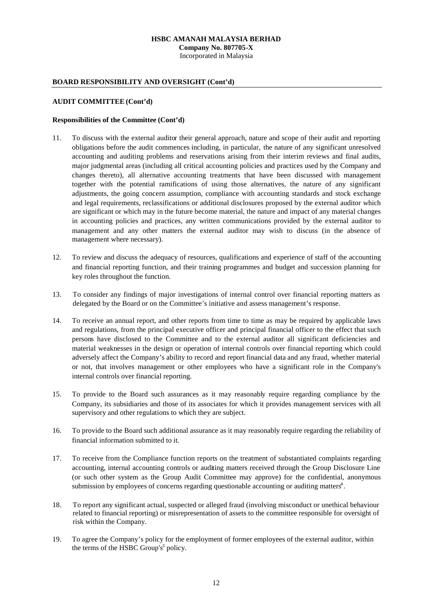**Company No. 807705-X** Incorporated in Malaysia

## **BOARD RESPONSIBILITY AND OVERSIGHT (Cont'd)**

### **AUDIT COMMITTEE (Cont'd)**

#### **Responsibilities of the Committee (Cont'd)**

- 11. To discuss with the external auditor their general approach, nature and scope of their audit and reporting obligations before the audit commences including, in particular, the nature of any significant unresolved accounting and auditing problems and reservations arising from their interim reviews and final audits, major judgmental areas (including all critical accounting policies and practices used by the Company and changes thereto), all alternative accounting treatments that have been discussed with management together with the potential ramifications of using those alternatives, the nature of any significant adjustments, the going concern assumption, compliance with accounting standards and stock exchange and legal requirements, reclassifications or additional disclosures proposed by the external auditor which are significant or which may in the future become material, the nature and impact of any material changes in accounting policies and practices, any written communications provided by the external auditor to management and any other matters the external auditor may wish to discuss (in the absence of management where necessary).
- 12. To review and discuss the adequacy of resources, qualifications and experience of staff of the accounting and financial reporting function, and their training programmes and budget and succession planning for key roles throughout the function.
- 13. To consider any findings of major investigations of internal control over financial reporting matters as delegated by the Board or on the Committee's initiative and assess management's response.
- 14. To receive an annual report, and other reports from time to time as may be required by applicable laws and regulations, from the principal executive officer and principal financial officer to the effect that such persons have disclosed to the Committee and to the external auditor all significant deficiencies and material weaknesses in the design or operation of internal controls over financial reporting which could adversely affect the Company's ability to record and report financial data and any fraud, whether material or not, that involves management or other employees who have a significant role in the Company's internal controls over financial reporting.
- 15. To provide to the Board such assurances as it may reasonably require regarding compliance by the Company, its subsidiaries and those of its associates for which it provides management services with all supervisory and other regulations to which they are subject.
- 16. To provide to the Board such additional assurance as it may reasonably require regarding the reliability of financial information submitted to it.
- 17. To receive from the Compliance function reports on the treatment of substantiated complaints regarding accounting, internal accounting controls or auditing matters received through the Group Disclosure Line (or such other system as the Group Audit Committee may approve) for the confidential, anonymous submission by employees of concerns regarding questionable accounting or auditing matters<sup>4</sup>.
- 18. To report any significant actual, suspected or alleged fraud (involving misconduct or unethical behaviour related to financial reporting) or misrepresentation of assets to the committee responsible for oversight of risk within the Company.
- 19. To agree the Company's policy for the employment of former employees of the external auditor, within the terms of the HSBC Group's<sup>3</sup> policy.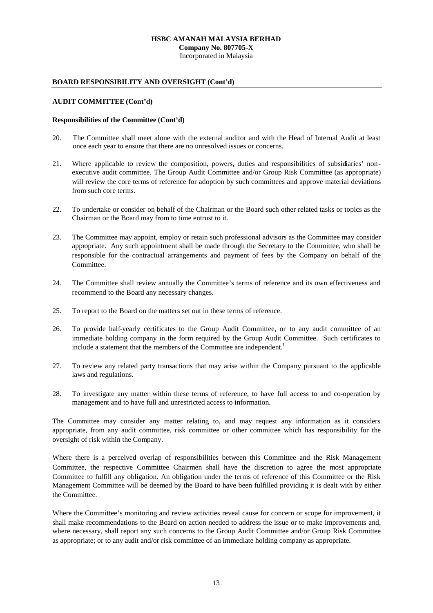**Company No. 807705-X**

Incorporated in Malaysia

## **BOARD RESPONSIBILITY AND OVERSIGHT (Cont'd)**

## **AUDIT COMMITTEE (Cont'd)**

### **Responsibilities of the Committee (Cont'd)**

- 20. The Committee shall meet alone with the external auditor and with the Head of Internal Audit at least once each year to ensure that there are no unresolved issues or concerns.
- 21. Where applicable to review the composition, powers, duties and responsibilities of subsidiaries' nonexecutive audit committee. The Group Audit Committee and/or Group Risk Committee (as appropriate) will review the core terms of reference for adoption by such committees and approve material deviations from such core terms.
- 22. To undertake or consider on behalf of the Chairman or the Board such other related tasks or topics as the Chairman or the Board may from to time entrust to it.
- 23. The Committee may appoint, employ or retain such professional advisors as the Committee may consider appropriate. Any such appointment shall be made through the Secretary to the Committee, who shall be responsible for the contractual arrangements and payment of fees by the Company on behalf of the Committee.
- 24. The Committee shall review annually the Committee's terms of reference and its own effectiveness and recommend to the Board any necessary changes.
- 25. To report to the Board on the matters set out in these terms of reference.
- 26. To provide half-yearly certificates to the Group Audit Committee, or to any audit committee of an immediate holding company in the form required by the Group Audit Committee. Such certificates to include a statement that the members of the Committee are independent.<sup>1</sup>
- 27. To review any related party transactions that may arise within the Company pursuant to the applicable laws and regulations.
- 28. To investigate any matter within these terms of reference, to have full access to and co-operation by management and to have full and unrestricted access to information.

The Committee may consider any matter relating to, and may request any information as it considers appropriate, from any audit committee, risk committee or other committee which has responsibility for the oversight of risk within the Company.

Where there is a perceived overlap of responsibilities between this Committee and the Risk Management Committee, the respective Committee Chairmen shall have the discretion to agree the most appropriate Committee to fulfill any obligation. An obligation under the terms of reference of this Committee or the Risk Management Committee will be deemed by the Board to have been fulfilled providing it is dealt with by either the Committee.

Where the Committee's monitoring and review activities reveal cause for concern or scope for improvement, it shall make recommendations to the Board on action needed to address the issue or to make improvements and, where necessary, shall report any such concerns to the Group Audit Committee and/or Group Risk Committee as appropriate; or to any audit and/or risk committee of an immediate holding company as appropriate.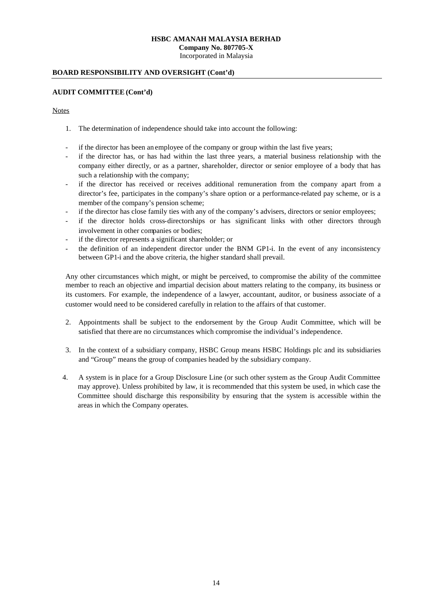Incorporated in Malaysia

#### **BOARD RESPONSIBILITY AND OVERSIGHT (Cont'd)**

#### **AUDIT COMMITTEE (Cont'd)**

## **Notes**

- 1. The determination of independence should take into account the following:
- if the director has been an employee of the company or group within the last five years;
- if the director has, or has had within the last three years, a material business relationship with the company either directly, or as a partner, shareholder, director or senior employee of a body that has such a relationship with the company;
- if the director has received or receives additional remuneration from the company apart from a director's fee, participates in the company's share option or a performance-related pay scheme, or is a member of the company's pension scheme;
- if the director has close family ties with any of the company's advisers, directors or senior employees;
- if the director holds cross-directorships or has significant links with other directors through involvement in other companies or bodies;
- if the director represents a significant shareholder; or
- the definition of an independent director under the BNM GP1-i. In the event of any inconsistency between GP1-i and the above criteria, the higher standard shall prevail.

Any other circumstances which might, or might be perceived, to compromise the ability of the committee member to reach an objective and impartial decision about matters relating to the company, its business or its customers. For example, the independence of a lawyer, accountant, auditor, or business associate of a customer would need to be considered carefully in relation to the affairs of that customer.

- 2. Appointments shall be subject to the endorsement by the Group Audit Committee, which will be satisfied that there are no circumstances which compromise the individual's independence.
- 3. In the context of a subsidiary company, HSBC Group means HSBC Holdings plc and its subsidiaries and "Group" means the group of companies headed by the subsidiary company.
- 4. A system is in place for a Group Disclosure Line (or such other system as the Group Audit Committee may approve). Unless prohibited by law, it is recommended that this system be used, in which case the Committee should discharge this responsibility by ensuring that the system is accessible within the areas in which the Company operates.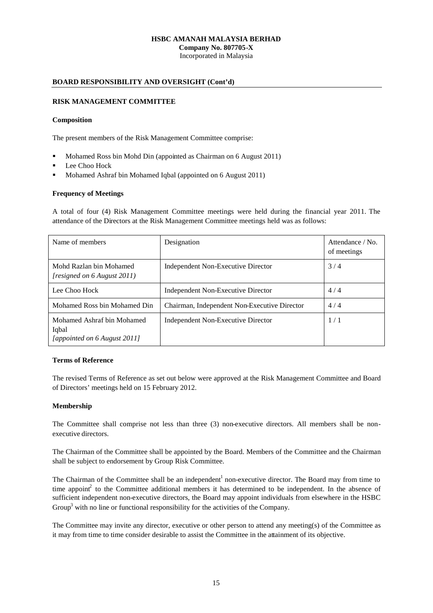**Company No. 807705-X** Incorporated in Malaysia

## **BOARD RESPONSIBILITY AND OVERSIGHT (Cont'd)**

## **RISK MANAGEMENT COMMITTEE**

#### **Composition**

The present members of the Risk Management Committee comprise:

- Mohamed Ross bin Mohd Din (appointed as Chairman on 6 August 2011)
- Lee Choo Hock
- Mohamed Ashraf bin Mohamed Iqbal (appointed on 6 August 2011)

## **Frequency of Meetings**

A total of four (4) Risk Management Committee meetings were held during the financial year 2011. The attendance of the Directors at the Risk Management Committee meetings held was as follows:

| Name of members                                                     | Designation                                  | Attendance / No.<br>of meetings |
|---------------------------------------------------------------------|----------------------------------------------|---------------------------------|
| Mohd Razlan bin Mohamed<br><i>resigned on 6 August 2011</i> )       | Independent Non-Executive Director           | 3/4                             |
| Lee Choo Hock                                                       | Independent Non-Executive Director           | 4/4                             |
| Mohamed Ross bin Mohamed Din                                        | Chairman, Independent Non-Executive Director | 4/4                             |
| Mohamed Ashraf bin Mohamed<br>Iqbal<br>[appointed on 6 August 2011] | Independent Non-Executive Director           | 1/1                             |

#### **Terms of Reference**

The revised Terms of Reference as set out below were approved at the Risk Management Committee and Board of Directors' meetings held on 15 February 2012.

## **Membership**

The Committee shall comprise not less than three (3) non-executive directors. All members shall be nonexecutive directors.

The Chairman of the Committee shall be appointed by the Board. Members of the Committee and the Chairman shall be subject to endorsement by Group Risk Committee.

The Chairman of the Committee shall be an independent<sup>1</sup> non-executive director. The Board may from time to time appoint to the Committee additional members it has determined to be independent. In the absence of sufficient independent non-executive directors, the Board may appoint individuals from elsewhere in the HSBC Group<sup>3</sup> with no line or functional responsibility for the activities of the Company.

The Committee may invite any director, executive or other person to attend any meeting(s) of the Committee as it may from time to time consider desirable to assist the Committee in the attainment of its objective.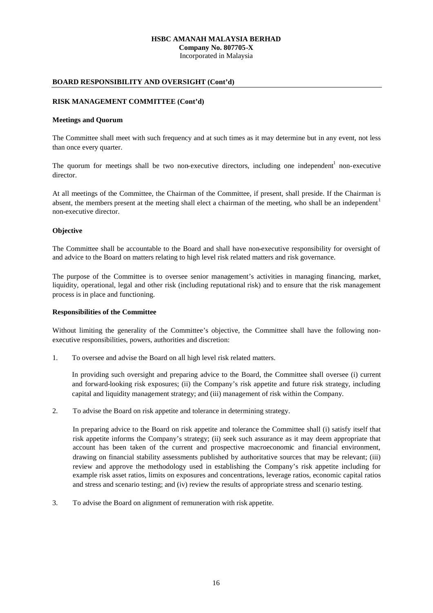**Company No. 807705-X** Incorporated in Malaysia

### **BOARD RESPONSIBILITY AND OVERSIGHT (Cont'd)**

#### **RISK MANAGEMENT COMMITTEE (Cont'd)**

#### **Meetings and Quorum**

The Committee shall meet with such frequency and at such times as it may determine but in any event, not less than once every quarter.

The quorum for meetings shall be two non-executive directors, including one independent<sup>1</sup> non-executive director.

At all meetings of the Committee, the Chairman of the Committee, if present, shall preside. If the Chairman is absent, the members present at the meeting shall elect a chairman of the meeting, who shall be an independent<sup>1</sup> non-executive director.

#### **Objective**

The Committee shall be accountable to the Board and shall have non-executive responsibility for oversight of and advice to the Board on matters relating to high level risk related matters and risk governance.

The purpose of the Committee is to oversee senior management's activities in managing financing, market, liquidity, operational, legal and other risk (including reputational risk) and to ensure that the risk management process is in place and functioning.

#### **Responsibilities of the Committee**

Without limiting the generality of the Committee's objective, the Committee shall have the following nonexecutive responsibilities, powers, authorities and discretion:

1. To oversee and advise the Board on all high level risk related matters.

In providing such oversight and preparing advice to the Board, the Committee shall oversee (i) current and forward-looking risk exposures; (ii) the Company's risk appetite and future risk strategy, including capital and liquidity management strategy; and (iii) management of risk within the Company.

2. To advise the Board on risk appetite and tolerance in determining strategy.

In preparing advice to the Board on risk appetite and tolerance the Committee shall (i) satisfy itself that risk appetite informs the Company's strategy; (ii) seek such assurance as it may deem appropriate that account has been taken of the current and prospective macroeconomic and financial environment, drawing on financial stability assessments published by authoritative sources that may be relevant; (iii) review and approve the methodology used in establishing the Company's risk appetite including for example risk asset ratios, limits on exposures and concentrations, leverage ratios, economic capital ratios and stress and scenario testing; and (iv) review the results of appropriate stress and scenario testing.

3. To advise the Board on alignment of remuneration with risk appetite.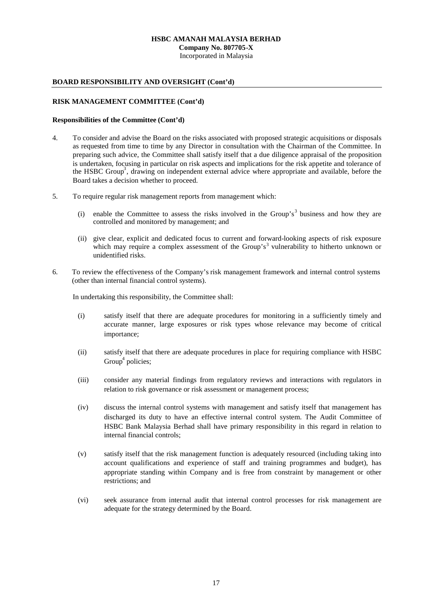**Company No. 807705-X**

Incorporated in Malaysia

## **BOARD RESPONSIBILITY AND OVERSIGHT (Cont'd)**

### **RISK MANAGEMENT COMMITTEE (Cont'd)**

#### **Responsibilities of the Committee (Cont'd)**

- 4. To consider and advise the Board on the risks associated with proposed strategic acquisitions or disposals as requested from time to time by any Director in consultation with the Chairman of the Committee. In preparing such advice, the Committee shall satisfy itself that a due diligence appraisal of the proposition is undertaken, focusing in particular on risk aspects and implications for the risk appetite and tolerance of the HSBC Group<sup>3</sup>, drawing on independent external advice where appropriate and available, before the Board takes a decision whether to proceed.
- 5. To require regular risk management reports from management which:
	- (i) enable the Committee to assess the risks involved in the Group's<sup>3</sup> business and how they are controlled and monitored by management; and
	- (ii) give clear, explicit and dedicated focus to current and forward-looking aspects of risk exposure which may require a complex assessment of the Group's<sup>3</sup> vulnerability to hitherto unknown or unidentified risks.
- 6. To review the effectiveness of the Company's risk management framework and internal control systems (other than internal financial control systems).

In undertaking this responsibility, the Committee shall:

- (i) satisfy itself that there are adequate procedures for monitoring in a sufficiently timely and accurate manner, large exposures or risk types whose relevance may become of critical importance;
- (ii) satisfy itself that there are adequate procedures in place for requiring compliance with HSBC Group<sup>4</sup> policies;
- (iii) consider any material findings from regulatory reviews and interactions with regulators in relation to risk governance or risk assessment or management process;
- (iv) discuss the internal control systems with management and satisfy itself that management has discharged its duty to have an effective internal control system. The Audit Committee of HSBC Bank Malaysia Berhad shall have primary responsibility in this regard in relation to internal financial controls;
- (v) satisfy itself that the risk management function is adequately resourced (including taking into account qualifications and experience of staff and training programmes and budget), has appropriate standing within Company and is free from constraint by management or other restrictions; and
- (vi) seek assurance from internal audit that internal control processes for risk management are adequate for the strategy determined by the Board.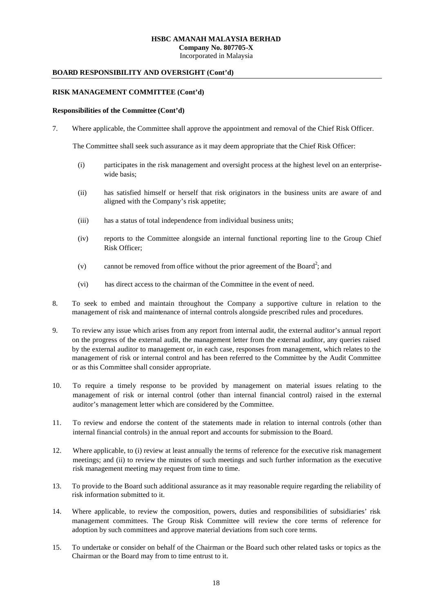**Company No. 807705-X**

Incorporated in Malaysia

### **BOARD RESPONSIBILITY AND OVERSIGHT (Cont'd)**

### **RISK MANAGEMENT COMMITTEE (Cont'd)**

#### **Responsibilities of the Committee (Cont'd)**

7. Where applicable, the Committee shall approve the appointment and removal of the Chief Risk Officer.

The Committee shall seek such assurance as it may deem appropriate that the Chief Risk Officer:

- (i) participates in the risk management and oversight process at the highest level on an enterprisewide basis;
- (ii) has satisfied himself or herself that risk originators in the business units are aware of and aligned with the Company's risk appetite;
- (iii) has a status of total independence from individual business units;
- (iv) reports to the Committee alongside an internal functional reporting line to the Group Chief Risk Officer;
- (v) cannot be removed from office without the prior agreement of the Board<sup>2</sup>; and
- (vi) has direct access to the chairman of the Committee in the event of need.
- 8. To seek to embed and maintain throughout the Company a supportive culture in relation to the management of risk and maintenance of internal controls alongside prescribed rules and procedures.
- 9. To review any issue which arises from any report from internal audit, the external auditor's annual report on the progress of the external audit, the management letter from the external auditor, any queries raised by the external auditor to management or, in each case, responses from management, which relates to the management of risk or internal control and has been referred to the Committee by the Audit Committee or as this Committee shall consider appropriate.
- 10. To require a timely response to be provided by management on material issues relating to the management of risk or internal control (other than internal financial control) raised in the external auditor's management letter which are considered by the Committee.
- 11. To review and endorse the content of the statements made in relation to internal controls (other than internal financial controls) in the annual report and accounts for submission to the Board.
- 12. Where applicable, to (i) review at least annually the terms of reference for the executive risk management meetings; and (ii) to review the minutes of such meetings and such further information as the executive risk management meeting may request from time to time.
- 13. To provide to the Board such additional assurance as it may reasonable require regarding the reliability of risk information submitted to it.
- 14. Where applicable, to review the composition, powers, duties and responsibilities of subsidiaries' risk management committees. The Group Risk Committee will review the core terms of reference for adoption by such committees and approve material deviations from such core terms.
- 15. To undertake or consider on behalf of the Chairman or the Board such other related tasks or topics as the Chairman or the Board may from to time entrust to it.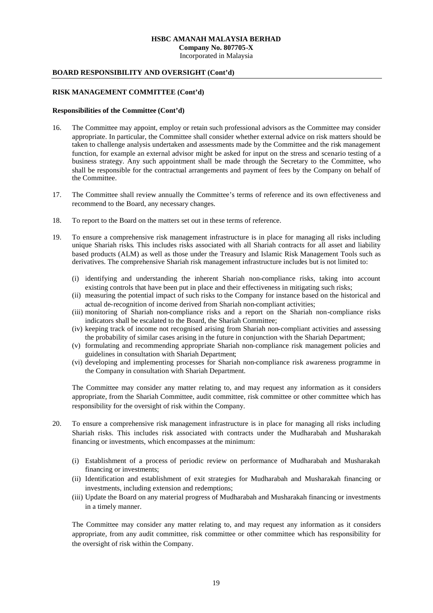Incorporated in Malaysia

## **BOARD RESPONSIBILITY AND OVERSIGHT (Cont'd)**

#### **RISK MANAGEMENT COMMITTEE (Cont'd)**

#### **Responsibilities of the Committee (Cont'd)**

- 16. The Committee may appoint, employ or retain such professional advisors as the Committee may consider appropriate. In particular, the Committee shall consider whether external advice on risk matters should be taken to challenge analysis undertaken and assessments made by the Committee and the risk management function, for example an external advisor might be asked for input on the stress and scenario testing of a business strategy. Any such appointment shall be made through the Secretary to the Committee, who shall be responsible for the contractual arrangements and payment of fees by the Company on behalf of the Committee.
- 17. The Committee shall review annually the Committee's terms of reference and its own effectiveness and recommend to the Board, any necessary changes.
- 18. To report to the Board on the matters set out in these terms of reference.
- 19. To ensure a comprehensive risk management infrastructure is in place for managing all risks including unique Shariah risks. This includes risks associated with all Shariah contracts for all asset and liability based products (ALM) as well as those under the Treasury and Islamic Risk Management Tools such as derivatives. The comprehensive Shariah risk management infrastructure includes but is not limited to:
	- (i) identifying and understanding the inherent Shariah non-compliance risks, taking into account existing controls that have been put in place and their effectiveness in mitigating such risks;
	- (ii) measuring the potential impact of such risks to the Company for instance based on the historical and actual de-recognition of income derived from Shariah non-compliant activities;
	- (iii) monitoring of Shariah non-compliance risks and a report on the Shariah non-compliance risks indicators shall be escalated to the Board, the Shariah Committee;
	- (iv) keeping track of income not recognised arising from Shariah non-compliant activities and assessing the probability of similar cases arising in the future in conjunction with the Shariah Department;
	- (v) formulating and recommending appropriate Shariah non-compliance risk management policies and guidelines in consultation with Shariah Department;
	- (vi) developing and implementing processes for Shariah non-compliance risk awareness programme in the Company in consultation with Shariah Department.

The Committee may consider any matter relating to, and may request any information as it considers appropriate, from the Shariah Committee, audit committee, risk committee or other committee which has responsibility for the oversight of risk within the Company.

- 20. To ensure a comprehensive risk management infrastructure is in place for managing all risks including Shariah risks. This includes risk associated with contracts under the Mudharabah and Musharakah financing or investments, which encompasses at the minimum:
	- (i) Establishment of a process of periodic review on performance of Mudharabah and Musharakah financing or investments;
	- (ii) Identification and establishment of exit strategies for Mudharabah and Musharakah financing or investments, including extension and redemptions;
	- (iii) Update the Board on any material progress of Mudharabah and Musharakah financing or investments in a timely manner.

The Committee may consider any matter relating to, and may request any information as it considers appropriate, from any audit committee, risk committee or other committee which has responsibility for the oversight of risk within the Company.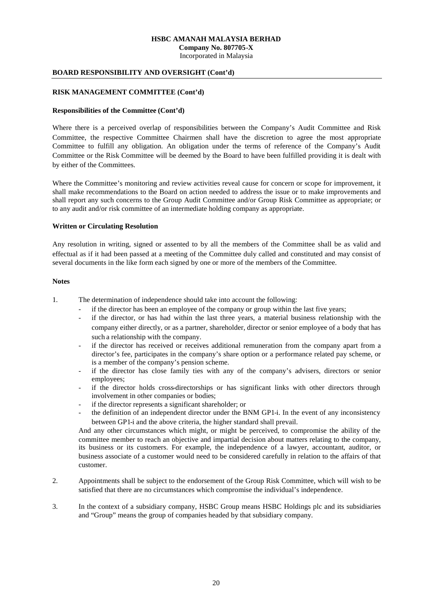Incorporated in Malaysia

#### **BOARD RESPONSIBILITY AND OVERSIGHT (Cont'd)**

#### **RISK MANAGEMENT COMMITTEE (Cont'd)**

#### **Responsibilities of the Committee (Cont'd)**

Where there is a perceived overlap of responsibilities between the Company's Audit Committee and Risk Committee, the respective Committee Chairmen shall have the discretion to agree the most appropriate Committee to fulfill any obligation. An obligation under the terms of reference of the Company's Audit Committee or the Risk Committee will be deemed by the Board to have been fulfilled providing it is dealt with by either of the Committees.

Where the Committee's monitoring and review activities reveal cause for concern or scope for improvement, it shall make recommendations to the Board on action needed to address the issue or to make improvements and shall report any such concerns to the Group Audit Committee and/or Group Risk Committee as appropriate; or to any audit and/or risk committee of an intermediate holding company as appropriate.

#### **Written or Circulating Resolution**

Any resolution in writing, signed or assented to by all the members of the Committee shall be as valid and effectual as if it had been passed at a meeting of the Committee duly called and constituted and may consist of several documents in the like form each signed by one or more of the members of the Committee.

#### **Notes**

1. The determination of independence should take into account the following:

- if the director has been an employee of the company or group within the last five years;
- if the director, or has had within the last three years, a material business relationship with the company either directly, or as a partner, shareholder, director or senior employee of a body that has such a relationship with the company.
- if the director has received or receives additional remuneration from the company apart from a director's fee, participates in the company's share option or a performance related pay scheme, or is a member of the company's pension scheme.
- if the director has close family ties with any of the company's advisers, directors or senior employees;
- if the director holds cross-directorships or has significant links with other directors through involvement in other companies or bodies;
- if the director represents a significant shareholder; or
- the definition of an independent director under the BNM GP1-i. In the event of any inconsistency between GP1-i and the above criteria, the higher standard shall prevail.

And any other circumstances which might, or might be perceived, to compromise the ability of the committee member to reach an objective and impartial decision about matters relating to the company, its business or its customers. For example, the independence of a lawyer, accountant, auditor, or business associate of a customer would need to be considered carefully in relation to the affairs of that customer.

- 2. Appointments shall be subject to the endorsement of the Group Risk Committee, which will wish to be satisfied that there are no circumstances which compromise the individual's independence.
- 3. In the context of a subsidiary company, HSBC Group means HSBC Holdings plc and its subsidiaries and "Group" means the group of companies headed by that subsidiary company.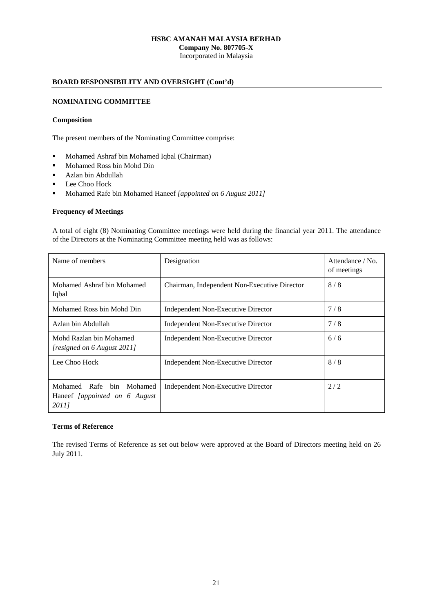**Company No. 807705-X** Incorporated in Malaysia

## **BOARD RESPONSIBILITY AND OVERSIGHT (Cont'd)**

## **NOMINATING COMMITTEE**

#### **Composition**

The present members of the Nominating Committee comprise:

- **Mohamed Ashraf bin Mohamed Iqbal (Chairman)**
- **Mohamed Ross bin Mohd Din**
- Azlan bin Abdullah
- **Lee Choo Hock**
- Mohamed Rafe bin Mohamed Haneef *[appointed on 6 August 2011]*

#### **Frequency of Meetings**

A total of eight (8) Nominating Committee meetings were held during the financial year 2011. The attendance of the Directors at the Nominating Committee meeting held was as follows:

| Name of members                                                          | Designation                                  | Attendance / No.<br>of meetings |
|--------------------------------------------------------------------------|----------------------------------------------|---------------------------------|
| Mohamed Ashraf bin Mohamed<br>Iqbal                                      | Chairman, Independent Non-Executive Director | 8/8                             |
| Mohamed Ross bin Mohd Din                                                | Independent Non-Executive Director           | 7/8                             |
| Azlan bin Abdullah                                                       | Independent Non-Executive Director           | 7/8                             |
| Mohd Razlan bin Mohamed<br>[resigned on 6 August 2011]                   | Independent Non-Executive Director           | 6/6                             |
| Lee Choo Hock                                                            | Independent Non-Executive Director           | 8/8                             |
| Mohamed Rafe<br>Mohamed<br>bin<br>Haneef [appointed on 6 August<br>20111 | Independent Non-Executive Director           | 2/2                             |

### **Terms of Reference**

The revised Terms of Reference as set out below were approved at the Board of Directors meeting held on 26 July 2011.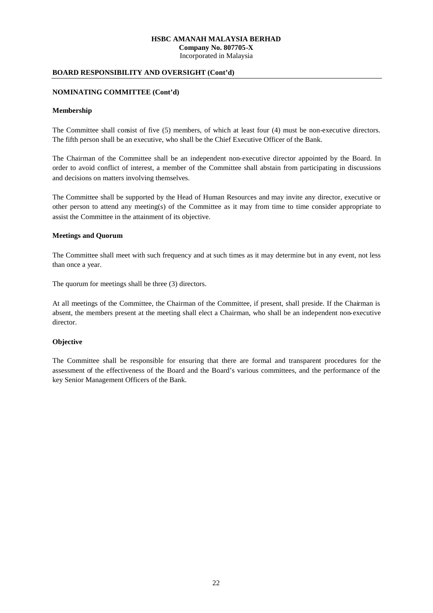Incorporated in Malaysia

## **BOARD RESPONSIBILITY AND OVERSIGHT (Cont'd)**

#### **NOMINATING COMMITTEE (Cont'd)**

### **Membership**

The Committee shall consist of five (5) members, of which at least four (4) must be non-executive directors. The fifth person shall be an executive, who shall be the Chief Executive Officer of the Bank.

The Chairman of the Committee shall be an independent non-executive director appointed by the Board. In order to avoid conflict of interest, a member of the Committee shall abstain from participating in discussions and decisions on matters involving themselves.

The Committee shall be supported by the Head of Human Resources and may invite any director, executive or other person to attend any meeting(s) of the Committee as it may from time to time consider appropriate to assist the Committee in the attainment of its objective.

#### **Meetings and Quorum**

The Committee shall meet with such frequency and at such times as it may determine but in any event, not less than once a year.

The quorum for meetings shall be three (3) directors.

At all meetings of the Committee, the Chairman of the Committee, if present, shall preside. If the Chairman is absent, the members present at the meeting shall elect a Chairman, who shall be an independent non-executive director.

## **Objective**

The Committee shall be responsible for ensuring that there are formal and transparent procedures for the assessment of the effectiveness of the Board and the Board's various committees, and the performance of the key Senior Management Officers of the Bank.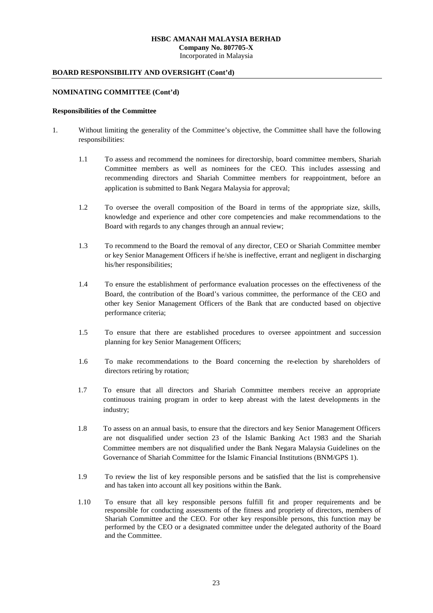Incorporated in Malaysia

## **BOARD RESPONSIBILITY AND OVERSIGHT (Cont'd)**

#### **NOMINATING COMMITTEE (Cont'd)**

#### **Responsibilities of the Committee**

- 1. Without limiting the generality of the Committee's objective, the Committee shall have the following responsibilities:
	- 1.1 To assess and recommend the nominees for directorship, board committee members, Shariah Committee members as well as nominees for the CEO. This includes assessing and recommending directors and Shariah Committee members for reappointment, before an application is submitted to Bank Negara Malaysia for approval;
	- 1.2 To oversee the overall composition of the Board in terms of the appropriate size, skills, knowledge and experience and other core competencies and make recommendations to the Board with regards to any changes through an annual review;
	- 1.3 To recommend to the Board the removal of any director, CEO or Shariah Committee member or key Senior Management Officers if he/she is ineffective, errant and negligent in discharging his/her responsibilities;
	- 1.4 To ensure the establishment of performance evaluation processes on the effectiveness of the Board, the contribution of the Board's various committee, the performance of the CEO and other key Senior Management Officers of the Bank that are conducted based on objective performance criteria;
	- 1.5 To ensure that there are established procedures to oversee appointment and succession planning for key Senior Management Officers;
	- 1.6 To make recommendations to the Board concerning the re-election by shareholders of directors retiring by rotation;
	- 1.7 To ensure that all directors and Shariah Committee members receive an appropriate continuous training program in order to keep abreast with the latest developments in the industry;
	- 1.8 To assess on an annual basis, to ensure that the directors and key Senior Management Officers are not disqualified under section 23 of the Islamic Banking Act 1983 and the Shariah Committee members are not disqualified under the Bank Negara Malaysia Guidelines on the Governance of Shariah Committee for the Islamic Financial Institutions (BNM/GPS 1).
	- 1.9 To review the list of key responsible persons and be satisfied that the list is comprehensive and has taken into account all key positions within the Bank.
	- 1.10 To ensure that all key responsible persons fulfill fit and proper requirements and be responsible for conducting assessments of the fitness and propriety of directors, members of Shariah Committee and the CEO. For other key responsible persons, this function may be performed by the CEO or a designated committee under the delegated authority of the Board and the Committee.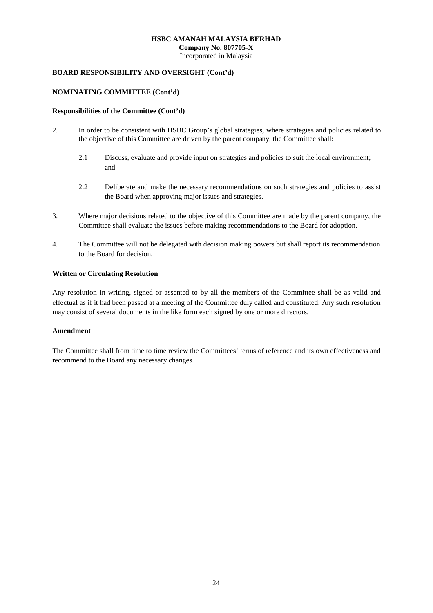Incorporated in Malaysia

### **BOARD RESPONSIBILITY AND OVERSIGHT (Cont'd)**

#### **NOMINATING COMMITTEE (Cont'd)**

#### **Responsibilities of the Committee (Cont'd)**

- 2. In order to be consistent with HSBC Group's global strategies, where strategies and policies related to the objective of this Committee are driven by the parent company, the Committee shall:
	- 2.1 Discuss, evaluate and provide input on strategies and policies to suit the local environment; and
	- 2.2 Deliberate and make the necessary recommendations on such strategies and policies to assist the Board when approving major issues and strategies.
- 3. Where major decisions related to the objective of this Committee are made by the parent company, the Committee shall evaluate the issues before making recommendations to the Board for adoption.
- 4. The Committee will not be delegated with decision making powers but shall report its recommendation to the Board for decision.

#### **Written or Circulating Resolution**

Any resolution in writing, signed or assented to by all the members of the Committee shall be as valid and effectual as if it had been passed at a meeting of the Committee duly called and constituted. Any such resolution may consist of several documents in the like form each signed by one or more directors.

#### **Amendment**

The Committee shall from time to time review the Committees' terms of reference and its own effectiveness and recommend to the Board any necessary changes.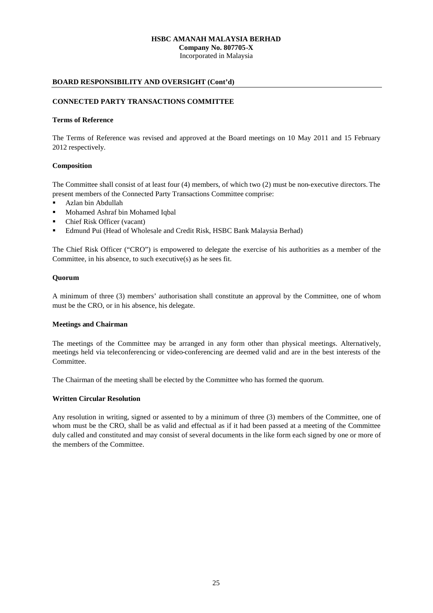**Company No. 807705-X**

Incorporated in Malaysia

## **BOARD RESPONSIBILITY AND OVERSIGHT (Cont'd)**

## **CONNECTED PARTY TRANSACTIONS COMMITTEE**

### **Terms of Reference**

The Terms of Reference was revised and approved at the Board meetings on 10 May 2011 and 15 February 2012 respectively.

## **Composition**

The Committee shall consist of at least four (4) members, of which two (2) must be non-executive directors. The present members of the Connected Party Transactions Committee comprise:

- Azlan bin Abdullah
- **Mohamed Ashraf bin Mohamed Iqbal**
- Chief Risk Officer (vacant)
- Edmund Pui (Head of Wholesale and Credit Risk, HSBC Bank Malaysia Berhad)

The Chief Risk Officer ("CRO") is empowered to delegate the exercise of his authorities as a member of the Committee, in his absence, to such executive(s) as he sees fit.

## **Quorum**

A minimum of three (3) members' authorisation shall constitute an approval by the Committee, one of whom must be the CRO, or in his absence, his delegate.

## **Meetings and Chairman**

The meetings of the Committee may be arranged in any form other than physical meetings. Alternatively, meetings held via teleconferencing or video-conferencing are deemed valid and are in the best interests of the Committee.

The Chairman of the meeting shall be elected by the Committee who has formed the quorum.

## **Written Circular Resolution**

Any resolution in writing, signed or assented to by a minimum of three (3) members of the Committee, one of whom must be the CRO, shall be as valid and effectual as if it had been passed at a meeting of the Committee duly called and constituted and may consist of several documents in the like form each signed by one or more of the members of the Committee.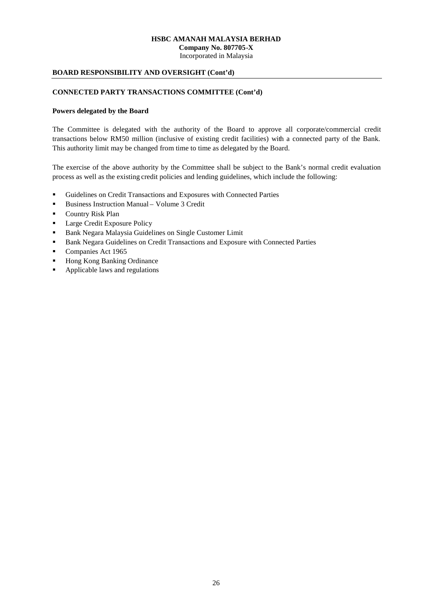Incorporated in Malaysia

## **BOARD RESPONSIBILITY AND OVERSIGHT (Cont'd)**

#### **CONNECTED PARTY TRANSACTIONS COMMITTEE (Cont'd)**

#### **Powers delegated by the Board**

The Committee is delegated with the authority of the Board to approve all corporate/commercial credit transactions below RM50 million (inclusive of existing credit facilities) with a connected party of the Bank. This authority limit may be changed from time to time as delegated by the Board.

The exercise of the above authority by the Committee shall be subject to the Bank's normal credit evaluation process as well as the existing credit policies and lending guidelines, which include the following:

- Guidelines on Credit Transactions and Exposures with Connected Parties
- Business Instruction Manual Volume 3 Credit
- **Country Risk Plan**
- Large Credit Exposure Policy
- **Bank Negara Malaysia Guidelines on Single Customer Limit**
- **Bank Negara Guidelines on Credit Transactions and Exposure with Connected Parties**
- Companies Act 1965
- Hong Kong Banking Ordinance
- Applicable laws and regulations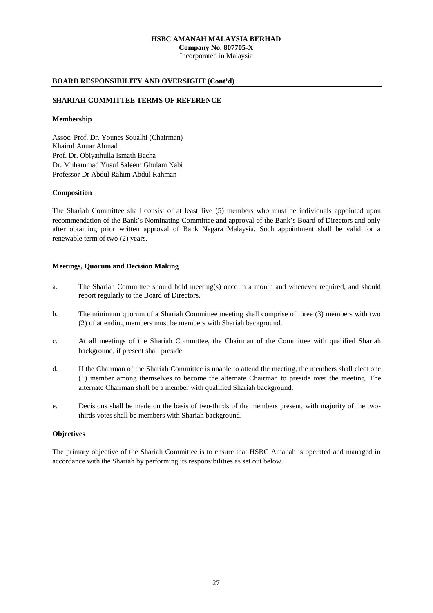**Company No. 807705-X** Incorporated in Malaysia

## **BOARD RESPONSIBILITY AND OVERSIGHT (Cont'd)**

## **SHARIAH COMMITTEE TERMS OF REFERENCE**

#### **Membership**

Assoc. Prof. Dr. Younes Soualhi (Chairman) Khairul Anuar Ahmad Prof. Dr. Obiyathulla Ismath Bacha Dr. Muhammad Yusuf Saleem Ghulam Nabi Professor Dr Abdul Rahim Abdul Rahman

#### **Composition**

The Shariah Committee shall consist of at least five (5) members who must be individuals appointed upon recommendation of the Bank's Nominating Committee and approval of the Bank's Board of Directors and only after obtaining prior written approval of Bank Negara Malaysia. Such appointment shall be valid for a renewable term of two (2) years.

#### **Meetings, Quorum and Decision Making**

- a. The Shariah Committee should hold meeting(s) once in a month and whenever required, and should report regularly to the Board of Directors.
- b. The minimum quorum of a Shariah Committee meeting shall comprise of three (3) members with two (2) of attending members must be members with Shariah background.
- c. At all meetings of the Shariah Committee, the Chairman of the Committee with qualified Shariah background, if present shall preside.
- d. If the Chairman of the Shariah Committee is unable to attend the meeting, the members shall elect one (1) member among themselves to become the alternate Chairman to preside over the meeting. The alternate Chairman shall be a member with qualified Shariah background.
- e. Decisions shall be made on the basis of two-thirds of the members present, with majority of the twothirds votes shall be members with Shariah background.

#### **Objectives**

The primary objective of the Shariah Committee is to ensure that HSBC Amanah is operated and managed in accordance with the Shariah by performing its responsibilities as set out below.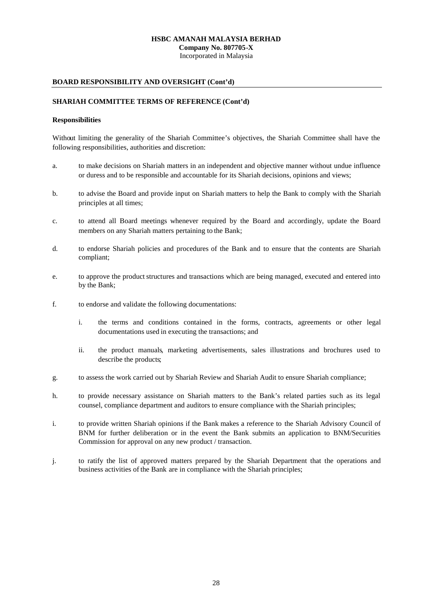**Company No. 807705-X**

Incorporated in Malaysia

## **BOARD RESPONSIBILITY AND OVERSIGHT (Cont'd)**

## **SHARIAH COMMITTEE TERMS OF REFERENCE (Cont'd)**

### **Responsibilities**

Without limiting the generality of the Shariah Committee's objectives, the Shariah Committee shall have the following responsibilities, authorities and discretion:

- a. to make decisions on Shariah matters in an independent and objective manner without undue influence or duress and to be responsible and accountable for its Shariah decisions, opinions and views;
- b. to advise the Board and provide input on Shariah matters to help the Bank to comply with the Shariah principles at all times;
- c. to attend all Board meetings whenever required by the Board and accordingly, update the Board members on any Shariah matters pertaining to the Bank;
- d. to endorse Shariah policies and procedures of the Bank and to ensure that the contents are Shariah compliant;
- e. to approve the product structures and transactions which are being managed, executed and entered into by the Bank;
- f. to endorse and validate the following documentations:
	- i. the terms and conditions contained in the forms, contracts, agreements or other legal documentations used in executing the transactions; and
	- ii. the product manuals, marketing advertisements, sales illustrations and brochures used to describe the products;
- g. to assess the work carried out by Shariah Review and Shariah Audit to ensure Shariah compliance;
- h. to provide necessary assistance on Shariah matters to the Bank's related parties such as its legal counsel, compliance department and auditors to ensure compliance with the Shariah principles;
- i. to provide written Shariah opinions if the Bank makes a reference to the Shariah Advisory Council of BNM for further deliberation or in the event the Bank submits an application to BNM/Securities Commission for approval on any new product / transaction.
- j. to ratify the list of approved matters prepared by the Shariah Department that the operations and business activities of the Bank are in compliance with the Shariah principles;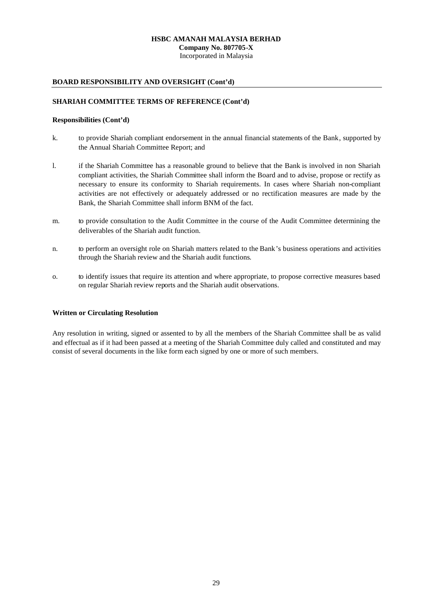**Company No. 807705-X**

Incorporated in Malaysia

## **BOARD RESPONSIBILITY AND OVERSIGHT (Cont'd)**

## **SHARIAH COMMITTEE TERMS OF REFERENCE (Cont'd)**

#### **Responsibilities (Cont'd)**

- k. to provide Shariah compliant endorsement in the annual financial statements of the Bank, supported by the Annual Shariah Committee Report; and
- l. if the Shariah Committee has a reasonable ground to believe that the Bank is involved in non Shariah compliant activities, the Shariah Committee shall inform the Board and to advise, propose or rectify as necessary to ensure its conformity to Shariah requirements. In cases where Shariah non-compliant activities are not effectively or adequately addressed or no rectification measures are made by the Bank, the Shariah Committee shall inform BNM of the fact.
- m. to provide consultation to the Audit Committee in the course of the Audit Committee determining the deliverables of the Shariah audit function.
- n. to perform an oversight role on Shariah matters related to the Bank's business operations and activities through the Shariah review and the Shariah audit functions.
- o. to identify issues that require its attention and where appropriate, to propose corrective measures based on regular Shariah review reports and the Shariah audit observations.

#### **Written or Circulating Resolution**

Any resolution in writing, signed or assented to by all the members of the Shariah Committee shall be as valid and effectual as if it had been passed at a meeting of the Shariah Committee duly called and constituted and may consist of several documents in the like form each signed by one or more of such members.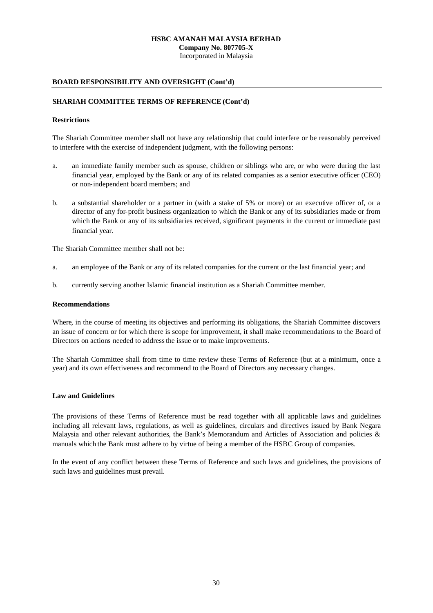**Company No. 807705-X**

Incorporated in Malaysia

## **BOARD RESPONSIBILITY AND OVERSIGHT (Cont'd)**

## **SHARIAH COMMITTEE TERMS OF REFERENCE (Cont'd)**

#### **Restrictions**

The Shariah Committee member shall not have any relationship that could interfere or be reasonably perceived to interfere with the exercise of independent judgment, with the following persons:

- a. an immediate family member such as spouse, children or siblings who are, or who were during the last financial year, employed by the Bank or any of its related companies as a senior executive officer (CEO) or non-independent board members; and
- b. a substantial shareholder or a partner in (with a stake of 5% or more) or an executive officer of, or a director of any for-profit business organization to which the Bank or any of its subsidiaries made or from which the Bank or any of its subsidiaries received, significant payments in the current or immediate past financial year.

The Shariah Committee member shall not be:

- a. an employee of the Bank or any of its related companies for the current or the last financial year; and
- b. currently serving another Islamic financial institution as a Shariah Committee member.

#### **Recommendations**

Where, in the course of meeting its objectives and performing its obligations, the Shariah Committee discovers an issue of concern or for which there is scope for improvement, it shall make recommendations to the Board of Directors on actions needed to address the issue or to make improvements.

The Shariah Committee shall from time to time review these Terms of Reference (but at a minimum, once a year) and its own effectiveness and recommend to the Board of Directors any necessary changes.

#### **Law and Guidelines**

The provisions of these Terms of Reference must be read together with all applicable laws and guidelines including all relevant laws, regulations, as well as guidelines, circulars and directives issued by Bank Negara Malaysia and other relevant authorities, the Bank's Memorandum and Articles of Association and policies & manuals which the Bank must adhere to by virtue of being a member of the HSBC Group of companies.

In the event of any conflict between these Terms of Reference and such laws and guidelines, the provisions of such laws and guidelines must prevail.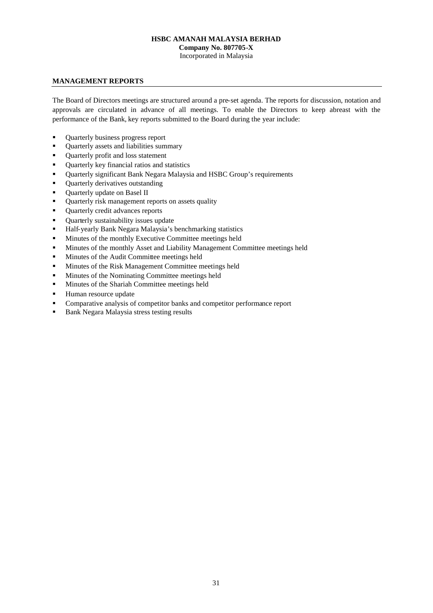**Company No. 807705-X**

Incorporated in Malaysia

## **MANAGEMENT REPORTS**

The Board of Directors meetings are structured around a pre-set agenda. The reports for discussion, notation and approvals are circulated in advance of all meetings. To enable the Directors to keep abreast with the performance of the Bank, key reports submitted to the Board during the year include:

- Quarterly business progress report
- Quarterly assets and liabilities summary
- Quarterly profit and loss statement
- Ouarterly key financial ratios and statistics
- Quarterly significant Bank Negara Malaysia and HSBC Group's requirements
- **•** Quarterly derivatives outstanding
- Quarterly update on Basel II
- **•** Quarterly risk management reports on assets quality
- Quarterly credit advances reports
- Ouarterly sustainability issues update
- Half-yearly Bank Negara Malaysia's benchmarking statistics
- Minutes of the monthly Executive Committee meetings held
- Minutes of the monthly Asset and Liability Management Committee meetings held
- Minutes of the Audit Committee meetings held
- Minutes of the Risk Management Committee meetings held
- **Minutes of the Nominating Committee meetings held**
- **Minutes of the Shariah Committee meetings held**
- Human resource update
- Comparative analysis of competitor banks and competitor performance report
- Bank Negara Malaysia stress testing results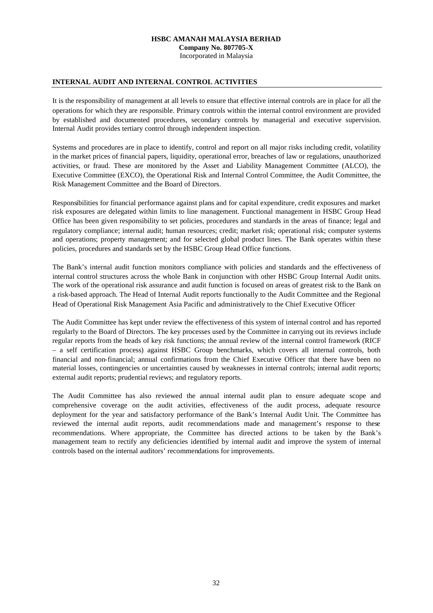**Company No. 807705-X**

Incorporated in Malaysia

### **INTERNAL AUDIT AND INTERNAL CONTROL ACTIVITIES**

It is the responsibility of management at all levels to ensure that effective internal controls are in place for all the operations for which they are responsible. Primary controls within the internal control environment are provided by established and documented procedures, secondary controls by managerial and executive supervision. Internal Audit provides tertiary control through independent inspection.

Systems and procedures are in place to identify, control and report on all major risks including credit, volatility in the market prices of financial papers, liquidity, operational error, breaches of law or regulations, unauthorized activities, or fraud. These are monitored by the Asset and Liability Management Committee (ALCO), the Executive Committee (EXCO), the Operational Risk and Internal Control Committee, the Audit Committee, the Risk Management Committee and the Board of Directors.

Responsibilities for financial performance against plans and for capital expenditure, credit exposures and market risk exposures are delegated within limits to line management. Functional management in HSBC Group Head Office has been given responsibility to set policies, procedures and standards in the areas of finance; legal and regulatory compliance; internal audit; human resources; credit; market risk; operational risk; computer systems and operations; property management; and for selected global product lines. The Bank operates within these policies, procedures and standards set by the HSBC Group Head Office functions.

The Bank's internal audit function monitors compliance with policies and standards and the effectiveness of internal control structures across the whole Bank in conjunction with other HSBC Group Internal Audit units. The work of the operational risk assurance and audit function is focused on areas of greatest risk to the Bank on a risk-based approach. The Head of Internal Audit reports functionally to the Audit Committee and the Regional Head of Operational Risk Management Asia Pacific and administratively to the Chief Executive Officer

The Audit Committee has kept under review the effectiveness of this system of internal control and has reported regularly to the Board of Directors. The key processes used by the Committee in carrying out its reviews include regular reports from the heads of key risk functions; the annual review of the internal control framework (RICF – a self certification process) against HSBC Group benchmarks, which covers all internal controls, both financial and non-financial; annual confirmations from the Chief Executive Officer that there have been no material losses, contingencies or uncertainties caused by weaknesses in internal controls; internal audit reports; external audit reports; prudential reviews; and regulatory reports.

The Audit Committee has also reviewed the annual internal audit plan to ensure adequate scope and comprehensive coverage on the audit activities, effectiveness of the audit process, adequate resource deployment for the year and satisfactory performance of the Bank's Internal Audit Unit. The Committee has reviewed the internal audit reports, audit recommendations made and management's response to these recommendations. Where appropriate, the Committee has directed actions to be taken by the Bank's management team to rectify any deficiencies identified by internal audit and improve the system of internal controls based on the internal auditors' recommendations for improvements.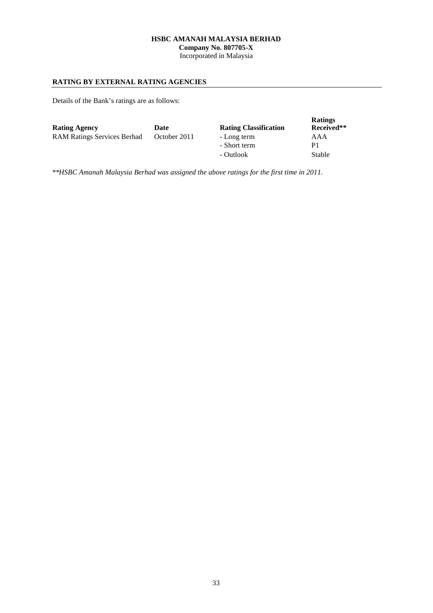**Company No. 807705-X**

Incorporated in Malaysia

## **RATING BY EXTERNAL RATING AGENCIES**

Details of the Bank's ratings are as follows:

| <b>Rating Agency</b>               | Date         | <b>Rating Classification</b> | <b>Ratings</b><br>Received** |
|------------------------------------|--------------|------------------------------|------------------------------|
| <b>RAM Ratings Services Berhad</b> | October 2011 | - Long term                  | AAA                          |
|                                    |              | - Short term                 | P1                           |
|                                    |              | - Outlook                    | Stable                       |

\*\**HSBC Amanah Malaysia Berhad was assigned the above ratings for the first time in 2011.*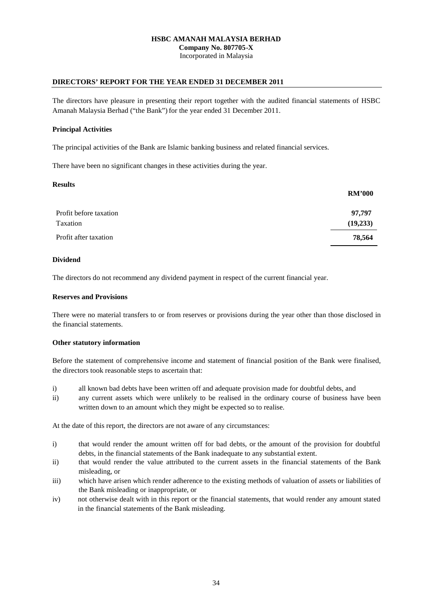Incorporated in Malaysia

### **DIRECTORS' REPORT FOR THE YEAR ENDED 31 DECEMBER 2011**

The directors have pleasure in presenting their report together with the audited financial statements of HSBC Amanah Malaysia Berhad ("the Bank") for the year ended 31 December 2011.

#### **Principal Activities**

The principal activities of the Bank are Islamic banking business and related financial services.

There have been no significant changes in these activities during the year.

#### **Results**

|                        | <b>RM'000</b> |
|------------------------|---------------|
| Profit before taxation | 97,797        |
| Taxation               | (19,233)      |
| Profit after taxation  | 78,564        |

#### **Dividend**

The directors do not recommend any dividend payment in respect of the current financial year.

### **Reserves and Provisions**

There were no material transfers to or from reserves or provisions during the year other than those disclosed in the financial statements.

#### **Other statutory information**

Before the statement of comprehensive income and statement of financial position of the Bank were finalised, the directors took reasonable steps to ascertain that:

- i) all known bad debts have been written off and adequate provision made for doubtful debts, and
- ii) any current assets which were unlikely to be realised in the ordinary course of business have been written down to an amount which they might be expected so to realise.

At the date of this report, the directors are not aware of any circumstances:

- i) that would render the amount written off for bad debts, or the amount of the provision for doubtful debts, in the financial statements of the Bank inadequate to any substantial extent.
- ii) that would render the value attributed to the current assets in the financial statements of the Bank misleading, or
- iii) which have arisen which render adherence to the existing methods of valuation of assets or liabilities of the Bank misleading or inappropriate, or
- iv) not otherwise dealt with in this report or the financial statements, that would render any amount stated in the financial statements of the Bank misleading.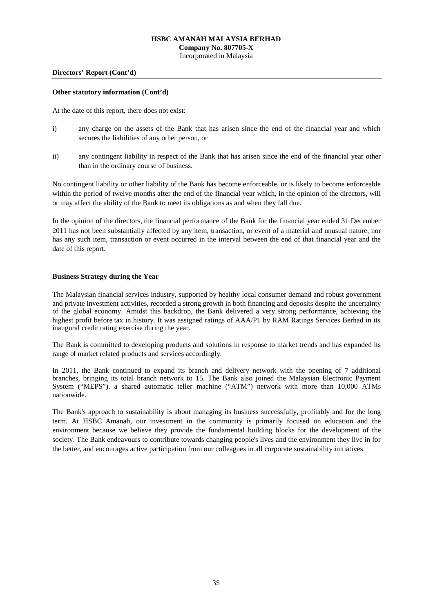# **HSBC AMANAH MALAYSIA BERHAD Company No. 807705-X**

Incorporated in Malaysia

#### **Directors' Report (Cont'd)**

#### **Other statutory information (Cont'd)**

At the date of this report, there does not exist:

- i) any charge on the assets of the Bank that has arisen since the end of the financial year and which secures the liabilities of any other person, or
- ii) any contingent liability in respect of the Bank that has arisen since the end of the financial year other than in the ordinary course of business.

No contingent liability or other liability of the Bank has become enforceable, or is likely to become enforceable within the period of twelve months after the end of the financial year which, in the opinion of the directors, will or may affect the ability of the Bank to meet its obligations as and when they fall due.

In the opinion of the directors, the financial performance of the Bank for the financial year ended 31 December 2011 has not been substantially affected by any item, transaction, or event of a material and unusual nature, nor has any such item, transaction or event occurred in the interval between the end of that financial year and the date of this report.

#### **Business Strategy during the Year**

The Malaysian financial services industry, supported by healthy local consumer demand and robust government and private investment activities, recorded a strong growth in both financing and deposits despite the uncertainty of the global economy. Amidst this backdrop, the Bank delivered a very strong performance, achieving the highest profit before tax in history. It was assigned ratings of AAA/P1 by RAM Ratings Services Berhad in its inaugural credit rating exercise during the year.

The Bank is committed to developing products and solutions in response to market trends and has expanded its range of market related products and services accordingly.

In 2011, the Bank continued to expand its branch and delivery network with the opening of 7 additional branches, bringing its total branch network to 15. The Bank also joined the Malaysian Electronic Payment System ("MEPS"), a shared automatic teller machine ("ATM") network with more than 10,000 ATMs nationwide.

The Bank's approach to sustainability is about managing its business successfully, profitably and for the long term. At HSBC Amanah, our investment in the community is primarily focused on education and the environment because we believe they provide the fundamental building blocks for the development of the society. The Bank endeavours to contribute towards changing people's lives and the environment they live in for the better, and encourages active participation from our colleagues in all corporate sustainability initiatives.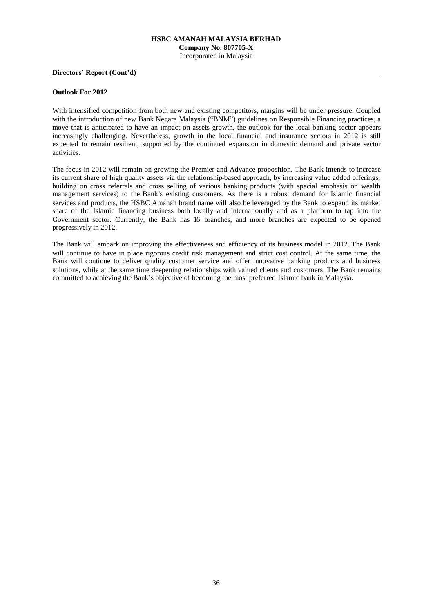# **HSBC AMANAH MALAYSIA BERHAD Company No. 807705-X**

Incorporated in Malaysia

#### **Directors' Report (Cont'd)**

#### **Outlook For 2012**

With intensified competition from both new and existing competitors, margins will be under pressure. Coupled with the introduction of new Bank Negara Malaysia ("BNM") guidelines on Responsible Financing practices, a move that is anticipated to have an impact on assets growth, the outlook for the local banking sector appears increasingly challenging. Nevertheless, growth in the local financial and insurance sectors in 2012 is still expected to remain resilient, supported by the continued expansion in domestic demand and private sector activities.

The focus in 2012 will remain on growing the Premier and Advance proposition. The Bank intends to increase its current share of high quality assets via the relationship-based approach, by increasing value added offerings, building on cross referrals and cross selling of various banking products (with special emphasis on wealth management services) to the Bank's existing customers. As there is a robust demand for Islamic financial services and products, the HSBC Amanah brand name will also be leveraged by the Bank to expand its market share of the Islamic financing business both locally and internationally and as a platform to tap into the Government sector. Currently, the Bank has 16 branches, and more branches are expected to be opened progressively in 2012.

The Bank will embark on improving the effectiveness and efficiency of its business model in 2012. The Bank will continue to have in place rigorous credit risk management and strict cost control. At the same time, the Bank will continue to deliver quality customer service and offer innovative banking products and business solutions, while at the same time deepening relationships with valued clients and customers. The Bank remains committed to achieving the Bank's objective of becoming the most preferred Islamic bank in Malaysia.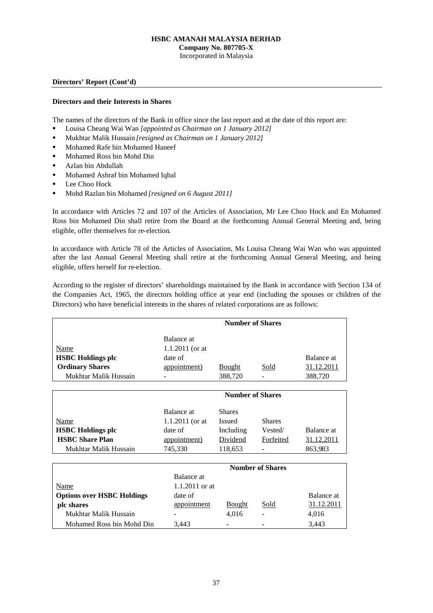### **HSBC AMANAH MALAYSIA BERHAD**

**Company No. 807705-X**

Incorporated in Malaysia

### **Directors' Report (Cont'd)**

### **Directors and their Interests in Shares**

The names of the directors of the Bank in office since the last report and at the date of this report are:

- Louisa Cheang Wai Wan *[appointed as Chairman on 1 January 2012]*
- Mukhtar Malik Hussain *[resigned as Chairman on 1 January 2012]*
- Mohamed Rafe bin Mohamed Haneef
- Mohamed Ross bin Mohd Din
- **Azlan bin Abdullah**
- Mohamed Ashraf bin Mohamed Iqbal
- **Lee Choo Hock**
- Mohd Razlan bin Mohamed *[resigned on 6 August 2011]*

In accordance with Articles 72 and 107 of the Articles of Association, Mr Lee Choo Hock and En Mohamed Ross bin Mohamed Din shall retire from the Board at the forthcoming Annual General Meeting and, being eligible, offer themselves for re-election.

In accordance with Article 78 of the Articles of Association, Ms Louisa Cheang Wai Wan who was appointed after the last Annual General Meeting shall retire at the forthcoming Annual General Meeting, and being eligible, offers herself for re-election.

According to the register of directors' shareholdings maintained by the Bank in accordance with Section 134 of the Companies Act, 1965, the directors holding office at year end (including the spouses or children of the Directors) who have beneficial interests in the shares of related corporations are as follows:

|                          | <b>Number of Shares</b> |               |             |            |  |
|--------------------------|-------------------------|---------------|-------------|------------|--|
|                          | Balance at              |               |             |            |  |
| Name                     | 1.1.2011 (or at         |               |             |            |  |
| <b>HSBC</b> Holdings plc | date of                 |               |             | Balance at |  |
| <b>Ordinary Shares</b>   | appointment)            | <b>Bought</b> | <u>Sold</u> | 31.12.2011 |  |
| Mukhtar Malik Hussain    | -                       | 388,720       | -           | 388,720    |  |

|                          | <b>Number of Shares</b> |               |               |            |
|--------------------------|-------------------------|---------------|---------------|------------|
|                          | Balance at              | <b>Shares</b> |               |            |
| Name                     | 1.1.2011 (or at         | Issued        | <b>Shares</b> |            |
| <b>HSBC</b> Holdings plc | date of                 | Including     | Vested/       | Balance at |
| <b>HSBC Share Plan</b>   | appointment)            | Dividend      | Forfeited     | 31.12.2011 |
| Mukhtar Malik Hussain    | 745,330                 | 118,653       |               | 863,983    |

|                                   | <b>Number of Shares</b> |                |                              |            |
|-----------------------------------|-------------------------|----------------|------------------------------|------------|
|                                   | Balance at              |                |                              |            |
| Name                              | 1.1.2011 or at          |                |                              |            |
| <b>Options over HSBC Holdings</b> | date of                 |                |                              | Balance at |
| plc shares                        | appointment             | <b>B</b> ought | <u>Sold</u>                  | 31.12.2011 |
| Mukhtar Malik Hussain             | ۰                       | 4.016          | $\overline{\phantom{a}}$     | 4,016      |
| Mohamed Ross bin Mohd Din         | 3.443                   | -              | $\qquad \qquad \blacksquare$ | 3.443      |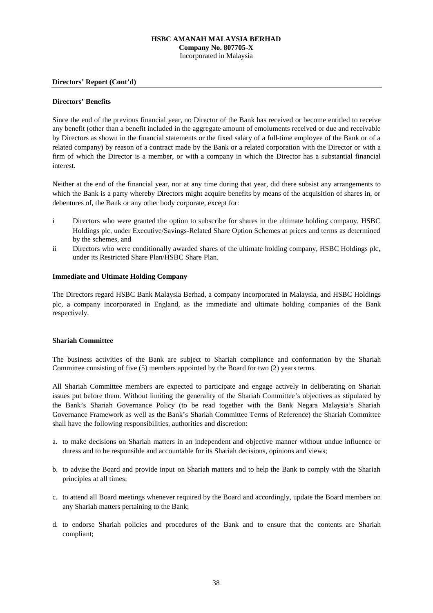**Directors' Report (Cont'd)**

### **Directors' Benefits**

Since the end of the previous financial year, no Director of the Bank has received or become entitled to receive any benefit (other than a benefit included in the aggregate amount of emoluments received or due and receivable by Directors as shown in the financial statements or the fixed salary of a full-time employee of the Bank or of a related company) by reason of a contract made by the Bank or a related corporation with the Director or with a firm of which the Director is a member, or with a company in which the Director has a substantial financial interest.

Neither at the end of the financial year, nor at any time during that year, did there subsist any arrangements to which the Bank is a party whereby Directors might acquire benefits by means of the acquisition of shares in, or debentures of, the Bank or any other body corporate, except for:

- i Directors who were granted the option to subscribe for shares in the ultimate holding company, HSBC Holdings plc, under Executive/Savings-Related Share Option Schemes at prices and terms as determined by the schemes, and
- ii Directors who were conditionally awarded shares of the ultimate holding company, HSBC Holdings plc, under its Restricted Share Plan/HSBC Share Plan.

### **Immediate and Ultimate Holding Company**

The Directors regard HSBC Bank Malaysia Berhad, a company incorporated in Malaysia, and HSBC Holdings plc, a company incorporated in England, as the immediate and ultimate holding companies of the Bank respectively.

### **Shariah Committee**

The business activities of the Bank are subject to Shariah compliance and conformation by the Shariah Committee consisting of five (5) members appointed by the Board for two (2) years terms.

All Shariah Committee members are expected to participate and engage actively in deliberating on Shariah issues put before them. Without limiting the generality of the Shariah Committee's objectives as stipulated by the Bank's Shariah Governance Policy (to be read together with the Bank Negara Malaysia's Shariah Governance Framework as well as the Bank's Shariah Committee Terms of Reference) the Shariah Committee shall have the following responsibilities, authorities and discretion:

- a. to make decisions on Shariah matters in an independent and objective manner without undue influence or duress and to be responsible and accountable for its Shariah decisions, opinions and views;
- b. to advise the Board and provide input on Shariah matters and to help the Bank to comply with the Shariah principles at all times;
- c. to attend all Board meetings whenever required by the Board and accordingly, update the Board members on any Shariah matters pertaining to the Bank;
- d. to endorse Shariah policies and procedures of the Bank and to ensure that the contents are Shariah compliant;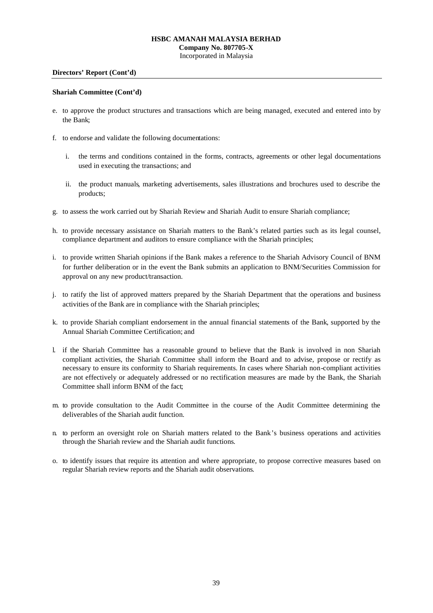# **HSBC AMANAH MALAYSIA BERHAD Company No. 807705-X**

Incorporated in Malaysia

#### **Directors' Report (Cont'd)**

#### **Shariah Committee (Cont'd)**

- e. to approve the product structures and transactions which are being managed, executed and entered into by the Bank;
- f. to endorse and validate the following documentations:
	- i. the terms and conditions contained in the forms, contracts, agreements or other legal documentations used in executing the transactions; and
	- ii. the product manuals, marketing advertisements, sales illustrations and brochures used to describe the products;
- g. to assess the work carried out by Shariah Review and Shariah Audit to ensure Shariah compliance;
- h. to provide necessary assistance on Shariah matters to the Bank's related parties such as its legal counsel, compliance department and auditors to ensure compliance with the Shariah principles;
- i. to provide written Shariah opinions if the Bank makes a reference to the Shariah Advisory Council of BNM for further deliberation or in the event the Bank submits an application to BNM/Securities Commission for approval on any new product/transaction.
- j. to ratify the list of approved matters prepared by the Shariah Department that the operations and business activities of the Bank are in compliance with the Shariah principles;
- k. to provide Shariah compliant endorsement in the annual financial statements of the Bank, supported by the Annual Shariah Committee Certification; and
- l. if the Shariah Committee has a reasonable ground to believe that the Bank is involved in non Shariah compliant activities, the Shariah Committee shall inform the Board and to advise, propose or rectify as necessary to ensure its conformity to Shariah requirements. In cases where Shariah non-compliant activities are not effectively or adequately addressed or no rectification measures are made by the Bank, the Shariah Committee shall inform BNM of the fact;
- m. to provide consultation to the Audit Committee in the course of the Audit Committee determining the deliverables of the Shariah audit function.
- n. to perform an oversight role on Shariah matters related to the Bank's business operations and activities through the Shariah review and the Shariah audit functions.
- o. to identify issues that require its attention and where appropriate, to propose corrective measures based on regular Shariah review reports and the Shariah audit observations.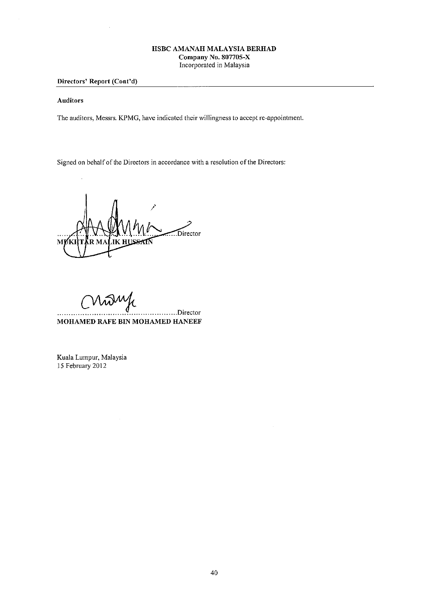### Directors' Report (Cont'd)

#### **Auditors**

The auditors, Messrs. KPMG, have indicated their willingness to accept re-appointment.

Signed on behalf of the Directors in accordance with a resolution of the Directors:

Director M  $\overline{\mathbf{R}} \mathbf{M}$ A **IK HUS** 1KI

.........Director MOHAMED RAFE BIN MOHAMED HANEEF

Kuala Lumpur, Malaysia 15 February 2012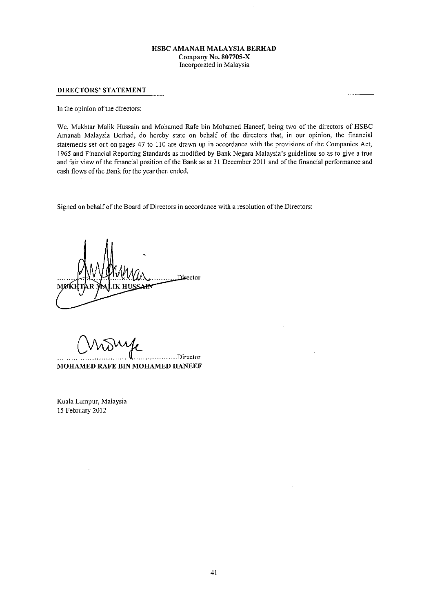#### **DIRECTORS' STATEMENT**

In the opinion of the directors:

We, Mukhtar Malik Hussain and Mohamed Rafe bin Mohamed Haneef, being two of the directors of HSBC Amanah Malaysia Berhad, do hereby state on behalf of the directors that, in our opinion, the financial statements set out on pages 47 to 110 are drawn up in accordance with the provisions of the Companies Act, 1965 and Financial Reporting Standards as modified by Bank Negara Malaysia's guidelines so as to give a true and fair view of the financial position of the Bank as at 31 December 2011 and of the financial performance and cash flows of the Bank for the year then ended.

Signed on behalf of the Board of Directors in accordance with a resolution of the Directors:

Director

.......Director

MOHAMED RAFE BIN MOHAMED HANEEF

Kuala Lumpur, Malaysia 15 February 2012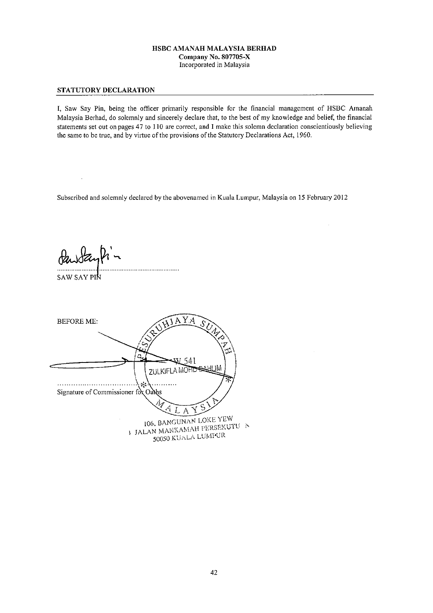#### STATUTORY DECLARATION

I, Saw Say Pin, being the officer primarily responsible for the financial management of HSBC Amanah Malaysia Berhad, do solemnly and sincerely declare that, to the best of my knowledge and belief, the financial statements set out on pages 47 to 110 are correct, and I make this solemn declaration conscientiously believing the same to be true, and by virtue of the provisions of the Statutory Declarations Act, 1960.

Subscribed and solemnly declared by the abovenamed in Kuala Lumpur, Malaysia on 15 February 2012

SAW SAY PIN

**BEFORE ME:** 41 **HLIM ZULKIFLA MOFIL**  $\sim$ Signature of Commissioner for Oavhs A 106, BANGUNAN LOKE YEW **I JALAN MAHKAMAH PERSEKUTU**N 50050 KUALA LUMPUR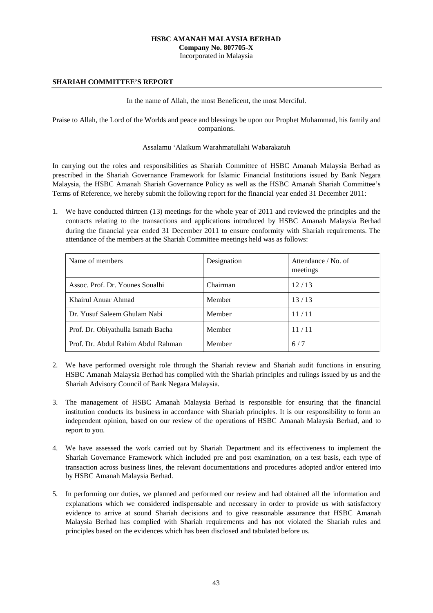### **HSBC AMANAH MALAYSIA BERHAD**

**Company No. 807705-X**

Incorporated in Malaysia

#### **SHARIAH COMMITTEE'S REPORT**

#### In the name of Allah, the most Beneficent, the most Merciful.

Praise to Allah, the Lord of the Worlds and peace and blessings be upon our Prophet Muhammad, his family and companions.

#### Assalamu 'Alaikum Warahmatullahi Wabarakatuh

In carrying out the roles and responsibilities as Shariah Committee of HSBC Amanah Malaysia Berhad as prescribed in the Shariah Governance Framework for Islamic Financial Institutions issued by Bank Negara Malaysia, the HSBC Amanah Shariah Governance Policy as well as the HSBC Amanah Shariah Committee's Terms of Reference, we hereby submit the following report for the financial year ended 31 December 2011:

1. We have conducted thirteen (13) meetings for the whole year of 2011 and reviewed the principles and the contracts relating to the transactions and applications introduced by HSBC Amanah Malaysia Berhad during the financial year ended 31 December 2011 to ensure conformity with Shariah requirements. The attendance of the members at the Shariah Committee meetings held was as follows:

| Name of members                    | Designation | Attendance / No. of<br>meetings |
|------------------------------------|-------------|---------------------------------|
| Assoc. Prof. Dr. Younes Soualhi    | Chairman    | 12/13                           |
| Khairul Anuar Ahmad                | Member      | 13/13                           |
| Dr. Yusuf Saleem Ghulam Nabi       | Member      | 11/11                           |
| Prof. Dr. Obiyathulla Ismath Bacha | Member      | 11/11                           |
| Prof. Dr. Abdul Rahim Abdul Rahman | Member      | 6/7                             |

- 2. We have performed oversight role through the Shariah review and Shariah audit functions in ensuring HSBC Amanah Malaysia Berhad has complied with the Shariah principles and rulings issued by us and the Shariah Advisory Council of Bank Negara Malaysia.
- 3. The management of HSBC Amanah Malaysia Berhad is responsible for ensuring that the financial institution conducts its business in accordance with Shariah principles. It is our responsibility to form an independent opinion, based on our review of the operations of HSBC Amanah Malaysia Berhad, and to report to you.
- 4. We have assessed the work carried out by Shariah Department and its effectiveness to implement the Shariah Governance Framework which included pre and post examination, on a test basis, each type of transaction across business lines, the relevant documentations and procedures adopted and/or entered into by HSBC Amanah Malaysia Berhad.
- 5. In performing our duties, we planned and performed our review and had obtained all the information and explanations which we considered indispensable and necessary in order to provide us with satisfactory evidence to arrive at sound Shariah decisions and to give reasonable assurance that HSBC Amanah Malaysia Berhad has complied with Shariah requirements and has not violated the Shariah rules and principles based on the evidences which has been disclosed and tabulated before us.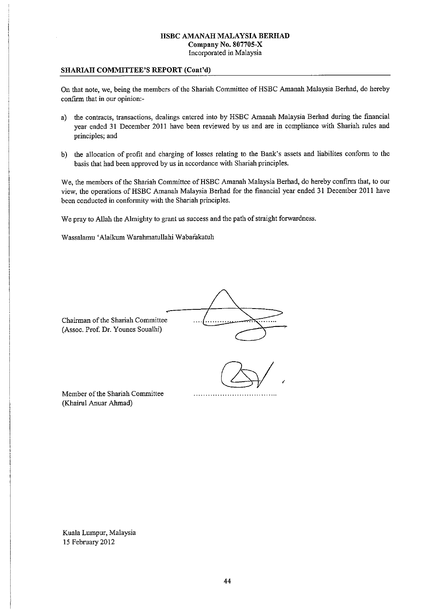#### SHARIAH COMMITTEE'S REPORT (Cont'd)

On that note, we, being the members of the Shariah Committee of HSBC Amanah Malaysia Berhad, do hereby confirm that in our opinion:-

- a) the contracts, transactions, dealings entered into by HSBC Amanah Malaysia Berhad during the financial year ended 31 December 2011 have been reviewed by us and are in compliance with Shariah rules and principles; and
- b) the allocation of profit and charging of losses relating to the Bank's assets and liabilites conform to the basis that had been approved by us in accordance with Shariah principles.

We, the members of the Shariah Committee of HSBC Amanah Malaysia Berhad, do hereby confirm that, to our view, the operations of HSBC Amanah Malaysia Berhad for the financial year ended 31 December 2011 have been conducted in conformity with the Shariah principles.

We pray to Allah the Almighty to grant us success and the path of straight forwardness.

Wassalamu 'Alaikum Warahmatullahi Wabarakatuh

Chairman of the Shariah Committee (Assoc. Prof. Dr. Younes Soualhi)

Member of the Shariah Committee (Khairul Anuar Ahmad)

Kuala Lumpur, Malaysia 15 February 2012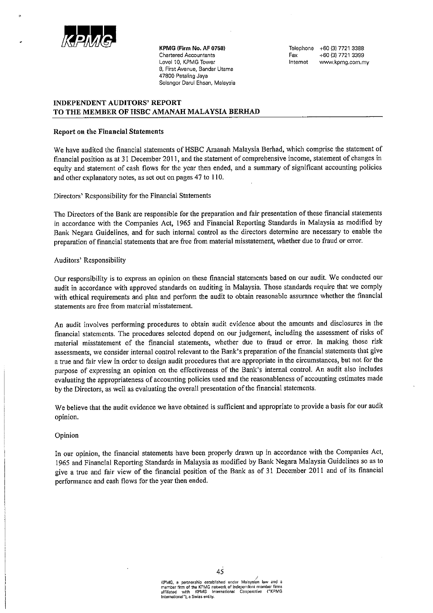

KPMG (Firm No. AF 0758) **Chartered Accountants** Level 10, KPMG Tower 8, First Avenue, Bandar Utama 47800 Petaling Jaya Selangor Darul Ehsan, Malaysia

Telephone +60 (3) 7721 3388 +60 (3) 7721 3399 Fax Internet www.kpmg.com.my

### **INDEPENDENT AUDITORS' REPORT** TO THE MEMBER OF HSBC AMANAH MALAYSIA BERHAD

#### **Report on the Financial Statements**

We have audited the financial statements of HSBC Amanah Malaysia Berhad, which comprise the statement of financial position as at 31 December 2011, and the statement of comprehensive income, statement of changes in equity and statement of cash flows for the year then ended, and a summary of significant accounting policies and other explanatory notes, as set out on pages 47 to 110.

Directors' Responsibility for the Financial Statements

The Directors of the Bank are responsible for the preparation and fair presentation of these financial statements in accordance with the Companies Act, 1965 and Financial Reporting Standards in Malaysia as modified by Bank Negara Guidelines, and for such internal control as the directors determine are necessary to enable the preparation of financial statements that are free from material misstatement, whether due to fraud or error.

#### Auditors' Responsibility

Our responsibility is to express an opinion on these financial statements based on our audit. We conducted our audit in accordance with approved standards on auditing in Malaysia. Those standards require that we comply with ethical requirements and plan and perform the audit to obtain reasonable assurance whether the financial statements are free from material misstatement.

An audit involves performing procedures to obtain audit evidence about the amounts and disclosures in the financial statements. The procedures selected depend on our judgement, including the assessment of risks of material misstatement of the financial statements, whether due to fraud or error. In making those risk assessments, we consider internal control relevant to the Bank's preparation of the financial statements that give a true and fair view in order to design audit procedures that are appropriate in the circumstances, but not for the purpose of expressing an opinion on the effectiveness of the Bank's internal control. An audit also includes evaluating the appropriateness of accounting policies used and the reasonableness of accounting estimates made by the Directors, as well as evaluating the overall presentation of the financial statements.

We believe that the audit evidence we have obtained is sufficient and appropriate to provide a basis for our audit opinion.

### Opinion

In our opinion, the financial statements have been properly drawn up in accordance with the Companies Act, 1965 and Financial Reporting Standards in Malaysia as modified by Bank Negara Malaysia Guidelines so as to give a true and fair view of the financial position of the Bank as of 31 December 2011 and of its financial performance and cash flows for the year then ended.

> KPMG, a partnership established under Malaysian law and a<br>member firm of the KPMG network of independent member firms<br>affiliated with KPMG International Cooperative ("KPMG nternational"), a Swiss entity.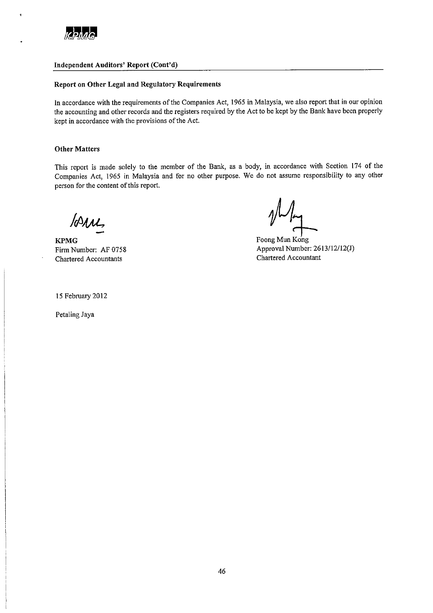

k.

#### Independent Auditors' Report (Cont'd)

### Report on Other Legal and Regulatory Requirements

In accordance with the requirements of the Companies Act, 1965 in Malaysia, we also report that in our opinion the accounting and other records and the registers required by the Act to be kept by the Bank have been properly kept in accordance with the provisions of the Act.

#### **Other Matters**

This report is made solely to the member of the Bank, as a body, in accordance with Section 174 of the Companies Act, 1965 in Malaysia and for no other purpose. We do not assume responsibility to any other person for the content of this report.

lorne,

**KPMG** Firm Number: AF 0758 **Chartered Accountants** 

Foong Mun Kong Approval Number: 2613/12/12(J) Chartered Accountant

15 February 2012

Petaling Jaya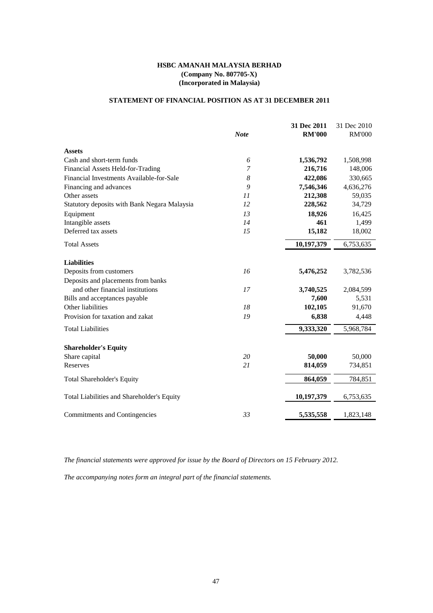# **STATEMENT OF FINANCIAL POSITION AS AT 31 DECEMBER 2011**

|                                                                        |                | 31 Dec 2011        | 31 Dec 2010        |
|------------------------------------------------------------------------|----------------|--------------------|--------------------|
|                                                                        | <b>Note</b>    | <b>RM'000</b>      | <b>RM'000</b>      |
| <b>Assets</b>                                                          |                |                    |                    |
| Cash and short-term funds                                              | 6              | 1,536,792          | 1,508,998          |
| Financial Assets Held-for-Trading                                      | $\overline{7}$ | 216,716            | 148,006            |
| Financial Investments Available-for-Sale                               | 8              | 422,086            | 330,665            |
| Financing and advances                                                 | 9              | 7,546,346          | 4,636,276          |
| Other assets                                                           | 11             | 212,308            | 59,035             |
| Statutory deposits with Bank Negara Malaysia                           | 12             | 228,562            | 34,729             |
| Equipment                                                              | 13             | 18,926             | 16,425             |
| Intangible assets                                                      | 14             | 461                | 1,499              |
| Deferred tax assets                                                    | 15             | 15,182             | 18,002             |
| <b>Total Assets</b>                                                    |                | 10,197,379         | 6,753,635          |
| <b>Liabilities</b><br>Deposits from customers                          | 16             | 5,476,252          | 3,782,536          |
|                                                                        |                |                    |                    |
| Deposits and placements from banks<br>and other financial institutions | 17             |                    |                    |
| Bills and acceptances payable                                          |                | 3,740,525<br>7,600 | 2,084,599<br>5,531 |
| Other liabilities                                                      | 18             | 102,105            | 91,670             |
| Provision for taxation and zakat                                       | 19             | 6,838              | 4,448              |
| <b>Total Liabilities</b>                                               |                | 9,333,320          | 5,968,784          |
|                                                                        |                |                    |                    |
| <b>Shareholder's Equity</b>                                            |                |                    |                    |
| Share capital                                                          | 20             | 50,000             | 50,000             |
| Reserves                                                               | 21             | 814,059            | 734,851            |
| <b>Total Shareholder's Equity</b>                                      |                | 864,059            | 784,851            |
| Total Liabilities and Shareholder's Equity                             |                | 10,197,379         | 6,753,635          |
| Commitments and Contingencies                                          | 33             | 5,535,558          | 1,823,148          |
|                                                                        |                |                    |                    |

*The financial statements were approved for issue by the Board of Directors on 15 February 2012.*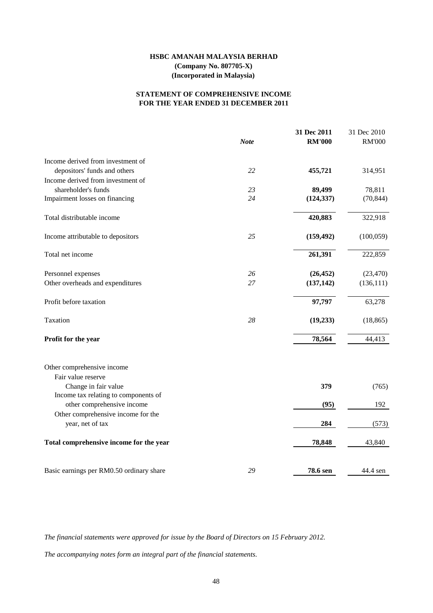### **FOR THE YEAR ENDED 31 DECEMBER 2011 STATEMENT OF COMPREHENSIVE INCOME**

|                                          |             | 31 Dec 2011   | 31 Dec 2010   |
|------------------------------------------|-------------|---------------|---------------|
|                                          | <b>Note</b> | <b>RM'000</b> | <b>RM'000</b> |
| Income derived from investment of        |             |               |               |
| depositors' funds and others             | 22          | 455,721       | 314,951       |
| Income derived from investment of        |             |               |               |
| shareholder's funds                      | 23          | 89,499        | 78,811        |
| Impairment losses on financing           | 24          | (124, 337)    | (70, 844)     |
| Total distributable income               |             | 420,883       | 322,918       |
| Income attributable to depositors        | 25          | (159, 492)    | (100, 059)    |
| Total net income                         |             | 261,391       | 222,859       |
| Personnel expenses                       | 26          | (26, 452)     | (23, 470)     |
| Other overheads and expenditures         | 27          | (137, 142)    | (136, 111)    |
| Profit before taxation                   |             | 97,797        | 63,278        |
| Taxation                                 | 28          | (19, 233)     | (18, 865)     |
| Profit for the year                      |             | 78,564        | 44,413        |
| Other comprehensive income               |             |               |               |
| Fair value reserve                       |             |               |               |
| Change in fair value                     |             | 379           | (765)         |
| Income tax relating to components of     |             |               |               |
| other comprehensive income               |             | (95)          | 192           |
| Other comprehensive income for the       |             |               |               |
| year, net of tax                         |             | 284           | (573)         |
| Total comprehensive income for the year  |             | 78,848        | 43,840        |
| Basic earnings per RM0.50 ordinary share | 29          | 78.6 sen      | 44.4 sen      |

*The financial statements were approved for issue by the Board of Directors on 15 February 2012.*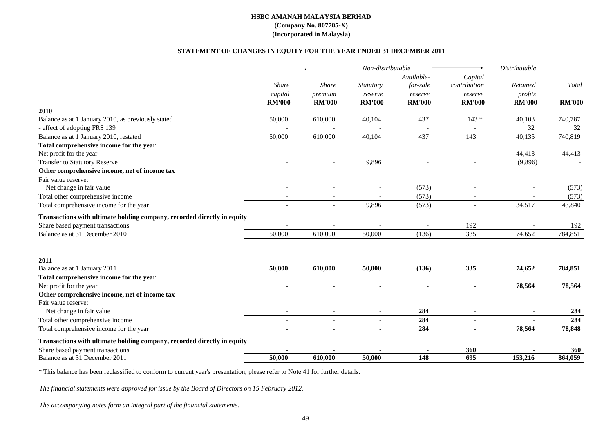#### **STATEMENT OF CHANGES IN EQUITY FOR THE YEAR ENDED 31 DECEMBER 2011**

|                                                                         |                |                | Non-distributable |               |                | Distributable |               |
|-------------------------------------------------------------------------|----------------|----------------|-------------------|---------------|----------------|---------------|---------------|
|                                                                         |                |                |                   | Available-    | Capital        |               |               |
|                                                                         | Share          | <b>Share</b>   | Statutory         | for-sale      | contribution   | Retained      | Total         |
|                                                                         | capital        | premium        | reserve           | reserve       | reserve        | profits       |               |
|                                                                         | <b>RM'000</b>  | <b>RM'000</b>  | <b>RM'000</b>     | <b>RM'000</b> | <b>RM'000</b>  | <b>RM'000</b> | <b>RM'000</b> |
| 2010                                                                    |                |                |                   |               |                |               |               |
| Balance as at 1 January 2010, as previously stated                      | 50,000         | 610,000        | 40,104            | 437           | $143*$         | 40,103        | 740,787       |
| - effect of adopting FRS 139                                            |                |                |                   |               |                | 32            | 32            |
| Balance as at 1 January 2010, restated                                  | 50,000         | 610,000        | 40,104            | 437           | 143            | 40,135        | 740,819       |
| Total comprehensive income for the year                                 |                |                |                   |               |                |               |               |
| Net profit for the year                                                 |                |                |                   |               |                | 44,413        | 44,413        |
| <b>Transfer to Statutory Reserve</b>                                    |                |                | 9,896             |               |                | (9,896)       |               |
| Other comprehensive income, net of income tax                           |                |                |                   |               |                |               |               |
| Fair value reserve:                                                     |                |                |                   |               |                |               |               |
| Net change in fair value                                                |                |                |                   | (573)         |                |               | (573)         |
| Total other comprehensive income                                        | $\overline{a}$ | $\overline{a}$ |                   | (573)         | $\overline{a}$ |               | (573)         |
| Total comprehensive income for the year                                 |                |                | 9,896             | (573)         |                | 34,517        | 43,840        |
| Transactions with ultimate holding company, recorded directly in equity |                |                |                   |               |                |               |               |
| Share based payment transactions                                        |                |                |                   |               | 192            |               | 192           |
| Balance as at 31 December 2010                                          | 50,000         | 610,000        | 50,000            | (136)         | 335            | 74,652        | 784,851       |
| 2011                                                                    |                |                |                   |               |                |               |               |
| Balance as at 1 January 2011                                            | 50,000         | 610,000        | 50,000            | (136)         | 335            | 74,652        | 784,851       |
| Total comprehensive income for the year                                 |                |                |                   |               |                |               |               |
| Net profit for the year                                                 |                |                |                   |               |                | 78,564        | 78,564        |
| Other comprehensive income, net of income tax                           |                |                |                   |               |                |               |               |
| Fair value reserve:                                                     |                |                |                   |               |                |               |               |
| Net change in fair value                                                |                |                |                   | 284           |                |               | 284           |
| Total other comprehensive income                                        | $\blacksquare$ | $\sim$         | $\blacksquare$    | 284           | $\blacksquare$ |               | 284           |
| Total comprehensive income for the year                                 |                |                |                   | 284           |                | 78,564        | 78,848        |
| Transactions with ultimate holding company, recorded directly in equity |                |                |                   |               |                |               |               |
| Share based payment transactions                                        |                |                |                   |               | 360            |               | <b>360</b>    |
| Balance as at 31 December 2011                                          | 50,000         | 610,000        | 50,000            | 148           | 695            | 153,216       | 864,059       |

\* This balance has been reclassified to conform to current year's presentation, please refer to Note 41 for further details.

*The financial statements were approved for issue by the Board of Directors on 15 February 2012.*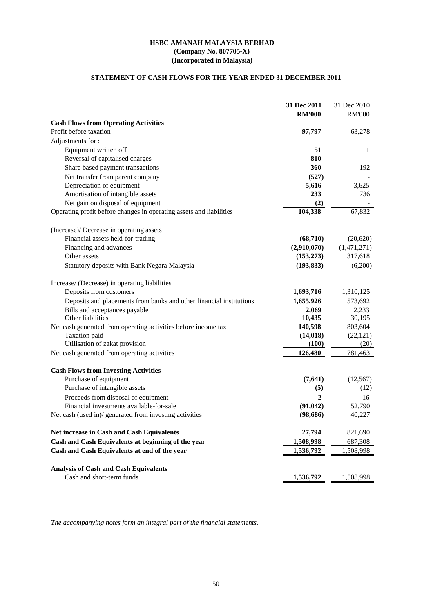### **HSBC AMANAH MALAYSIA BERHAD (Incorporated in Malaysia) (Company No. 807705-X)**

# **STATEMENT OF CASH FLOWS FOR THE YEAR ENDED 31 DECEMBER 2011**

|                                                                     | 31 Dec 2011    | 31 Dec 2010   |
|---------------------------------------------------------------------|----------------|---------------|
|                                                                     | <b>RM'000</b>  | <b>RM'000</b> |
| <b>Cash Flows from Operating Activities</b>                         |                |               |
| Profit before taxation                                              | 97,797         | 63,278        |
| Adjustments for:                                                    |                |               |
| Equipment written off                                               | 51             | 1             |
| Reversal of capitalised charges                                     | 810            |               |
| Share based payment transactions                                    | 360            | 192           |
| Net transfer from parent company                                    | (527)          |               |
| Depreciation of equipment                                           | 5,616          | 3,625         |
| Amortisation of intangible assets                                   | 233            | 736           |
| Net gain on disposal of equipment                                   | (2)            |               |
| Operating profit before changes in operating assets and liabilities | 104,338        | 67,832        |
| (Increase)/ Decrease in operating assets                            |                |               |
| Financial assets held-for-trading                                   | (68, 710)      | (20,620)      |
| Financing and advances                                              | (2,910,070)    | (1,471,271)   |
| Other assets                                                        | (153, 273)     | 317,618       |
| Statutory deposits with Bank Negara Malaysia                        | (193, 833)     | (6,200)       |
| Increase/ (Decrease) in operating liabilities                       |                |               |
| Deposits from customers                                             | 1,693,716      | 1,310,125     |
| Deposits and placements from banks and other financial institutions | 1,655,926      | 573,692       |
| Bills and acceptances payable                                       | 2,069          | 2,233         |
| Other liabilities                                                   | 10,435         | 30,195        |
| Net cash generated from operating activities before income tax      | 140,598        | 803,604       |
| Taxation paid                                                       | (14, 018)      | (22, 121)     |
| Utilisation of zakat provision                                      | (100)          | (20)          |
| Net cash generated from operating activities                        | 126,480        | 781,463       |
| <b>Cash Flows from Investing Activities</b>                         |                |               |
| Purchase of equipment                                               | (7, 641)       | (12, 567)     |
| Purchase of intangible assets                                       | (5)            | (12)          |
| Proceeds from disposal of equipment                                 | $\overline{2}$ | 16            |
| Financial investments available-for-sale                            | (91, 042)      | 52,790        |
| Net cash (used in)/ generated from investing activities             | (98, 686)      | 40,227        |
| Net increase in Cash and Cash Equivalents                           | 27,794         | 821,690       |
| Cash and Cash Equivalents at beginning of the year                  | 1,508,998      | 687,308       |
| Cash and Cash Equivalents at end of the year                        | 1,536,792      | 1,508,998     |
| <b>Analysis of Cash and Cash Equivalents</b>                        |                |               |
| Cash and short-term funds                                           | 1,536,792      | 1,508,998     |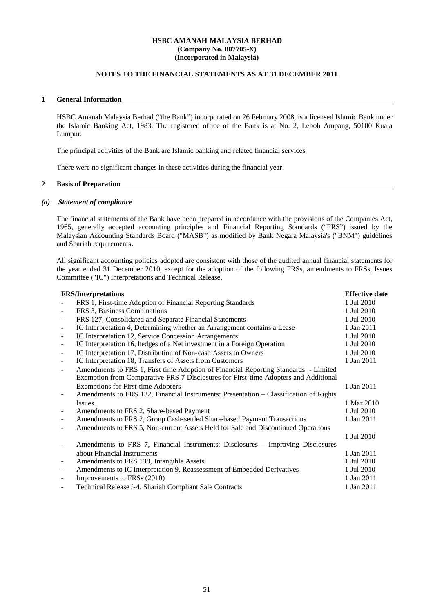### **NOTES TO THE FINANCIAL STATEMENTS AS AT 31 DECEMBER 2011**

#### **1 General Information**

HSBC Amanah Malaysia Berhad ("the Bank") incorporated on 26 February 2008, is a licensed Islamic Bank under the Islamic Banking Act, 1983. The registered office of the Bank is at No. 2, Leboh Ampang, 50100 Kuala Lumpur.

The principal activities of the Bank are Islamic banking and related financial services.

There were no significant changes in these activities during the financial year.

#### **2 Basis of Preparation**

#### *(a) Statement of compliance*

The financial statements of the Bank have been prepared in accordance with the provisions of the Companies Act, 1965, generally accepted accounting principles and Financial Reporting Standards ("FRS") issued by the Malaysian Accounting Standards Board ("MASB") as modified by Bank Negara Malaysia's ("BNM") guidelines and Shariah requirements.

All significant accounting policies adopted are consistent with those of the audited annual financial statements for the year ended 31 December 2010, except for the adoption of the following FRSs, amendments to FRSs, Issues Committee ("IC") Interpretations and Technical Release.

|                          | <b>FRS/Interpretations</b>                                                                                                                                                 | <b>Effective date</b> |
|--------------------------|----------------------------------------------------------------------------------------------------------------------------------------------------------------------------|-----------------------|
|                          | FRS 1, First-time Adoption of Financial Reporting Standards                                                                                                                | 1 Jul 2010            |
|                          | FRS 3, Business Combinations                                                                                                                                               | 1 Jul 2010            |
|                          | FRS 127, Consolidated and Separate Financial Statements                                                                                                                    | 1 Jul 2010            |
|                          | IC Interpretation 4, Determining whether an Arrangement contains a Lease                                                                                                   | 1 Jan 2011            |
| $\blacksquare$           | IC Interpretation 12, Service Concession Arrangements                                                                                                                      | 1 Jul 2010            |
| $\overline{\phantom{a}}$ | IC Interpretation 16, hedges of a Net investment in a Foreign Operation                                                                                                    | 1 Jul 2010            |
| $\blacksquare$           | IC Interpretation 17, Distribution of Non-cash Assets to Owners                                                                                                            | 1 Jul 2010            |
| $\blacksquare$           | IC Interpretation 18, Transfers of Assets from Customers                                                                                                                   | 1 Jan 2011            |
| $\overline{\phantom{a}}$ | Amendments to FRS 1, First time Adoption of Financial Reporting Standards - Limited<br>Exemption from Comparative FRS 7 Disclosures for First-time Adopters and Additional |                       |
|                          | <b>Exemptions for First-time Adopters</b>                                                                                                                                  | 1 Jan 2011            |
|                          | Amendments to FRS 132, Financial Instruments: Presentation – Classification of Rights                                                                                      |                       |
|                          | <b>Issues</b>                                                                                                                                                              | 1 Mar 2010            |
|                          | Amendments to FRS 2, Share-based Payment                                                                                                                                   | 1 Jul 2010            |
|                          | Amendments to FRS 2, Group Cash-settled Share-based Payment Transactions                                                                                                   | 1 Jan 2011            |
|                          | Amendments to FRS 5, Non-current Assets Held for Sale and Discontinued Operations                                                                                          |                       |
|                          |                                                                                                                                                                            | 1 Jul 2010            |
|                          | Amendments to FRS 7, Financial Instruments: Disclosures – Improving Disclosures                                                                                            |                       |
|                          | about Financial Instruments                                                                                                                                                | 1 Jan 2011            |
|                          | Amendments to FRS 138, Intangible Assets                                                                                                                                   | 1 Jul 2010            |
| ۰                        | Amendments to IC Interpretation 9, Reassessment of Embedded Derivatives                                                                                                    | 1 Jul 2010            |
|                          | Improvements to FRSs (2010)                                                                                                                                                | 1 Jan 2011            |
|                          | Technical Release <i>i</i> -4, Shariah Compliant Sale Contracts                                                                                                            | 1 Jan 2011            |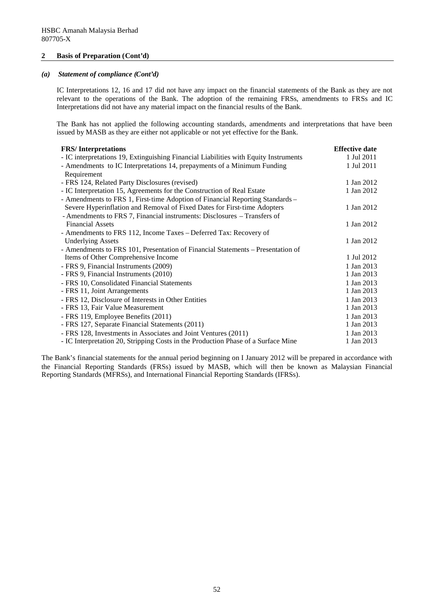### **2 Basis of Preparation (Cont'd)**

## *(a) Statement of compliance (Cont'd)*

IC Interpretations 12, 16 and 17 did not have any impact on the financial statements of the Bank as they are not relevant to the operations of the Bank. The adoption of the remaining FRSs, amendments to FRSs and IC Interpretations did not have any material impact on the financial results of the Bank.

The Bank has not applied the following accounting standards, amendments and interpretations that have been issued by MASB as they are either not applicable or not yet effective for the Bank.

| <b>FRS/Interpretations</b>                                                           | <b>Effective date</b> |
|--------------------------------------------------------------------------------------|-----------------------|
| - IC interpretations 19, Extinguishing Financial Liabilities with Equity Instruments | 1 Jul 2011            |
| - Amendments to IC Interpretations 14, prepayments of a Minimum Funding              | 1 Jul 2011            |
| Requirement                                                                          |                       |
| - FRS 124, Related Party Disclosures (revised)                                       | 1 Jan 2012            |
| - IC Interpretation 15, Agreements for the Construction of Real Estate               | 1 Jan 2012            |
| - Amendments to FRS 1, First-time Adoption of Financial Reporting Standards –        |                       |
| Severe Hyperinflation and Removal of Fixed Dates for First-time Adopters             | 1 Jan 2012            |
| - Amendments to FRS 7, Financial instruments: Disclosures – Transfers of             |                       |
| <b>Financial Assets</b>                                                              | 1 Jan 2012            |
| - Amendments to FRS 112, Income Taxes - Deferred Tax: Recovery of                    |                       |
| <b>Underlying Assets</b>                                                             | 1 Jan 2012            |
| - Amendments to FRS 101, Presentation of Financial Statements - Presentation of      |                       |
| Items of Other Comprehensive Income                                                  | 1 Jul 2012            |
| - FRS 9, Financial Instruments (2009)                                                | 1 Jan 2013            |
| - FRS 9, Financial Instruments (2010)                                                | 1 Jan 2013            |
| - FRS 10, Consolidated Financial Statements                                          | 1 Jan 2013            |
| - FRS 11, Joint Arrangements                                                         | 1 Jan 2013            |
| - FRS 12, Disclosure of Interests in Other Entities                                  | 1 Jan 2013            |
| - FRS 13, Fair Value Measurement                                                     | 1 Jan 2013            |
| - FRS 119, Employee Benefits (2011)                                                  | 1 Jan 2013            |
| - FRS 127, Separate Financial Statements (2011)                                      | 1 Jan 2013            |
| - FRS 128, Investments in Associates and Joint Ventures (2011)                       | 1 Jan 2013            |
| - IC Interpretation 20, Stripping Costs in the Production Phase of a Surface Mine    | 1 Jan 2013            |

The Bank's financial statements for the annual period beginning on I January 2012 will be prepared in accordance with the Financial Reporting Standards (FRSs) issued by MASB, which will then be known as Malaysian Financial Reporting Standards (MFRSs), and International Financial Reporting Standards (IFRSs).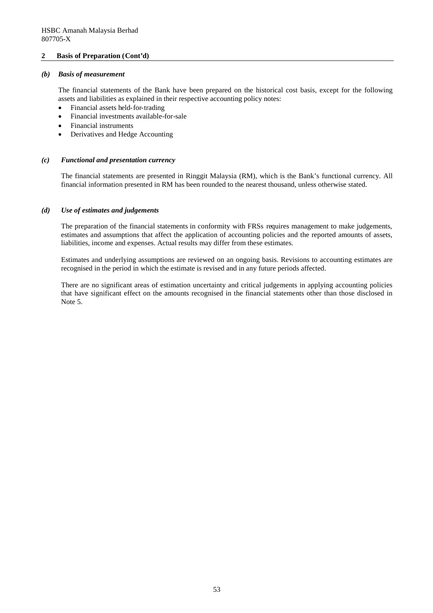### **2 Basis of Preparation (Cont'd)**

### *(b) Basis of measurement*

The financial statements of the Bank have been prepared on the historical cost basis, except for the following assets and liabilities as explained in their respective accounting policy notes:

- Financial assets held-for-trading
- Financial investments available-for-sale
- Financial instruments
- Derivatives and Hedge Accounting

### *(c) Functional and presentation currency*

The financial statements are presented in Ringgit Malaysia (RM), which is the Bank's functional currency. All financial information presented in RM has been rounded to the nearest thousand, unless otherwise stated.

#### *(d) Use of estimates and judgements*

The preparation of the financial statements in conformity with FRSs requires management to make judgements, estimates and assumptions that affect the application of accounting policies and the reported amounts of assets, liabilities, income and expenses. Actual results may differ from these estimates.

Estimates and underlying assumptions are reviewed on an ongoing basis. Revisions to accounting estimates are recognised in the period in which the estimate is revised and in any future periods affected.

There are no significant areas of estimation uncertainty and critical judgements in applying accounting policies that have significant effect on the amounts recognised in the financial statements other than those disclosed in Note 5.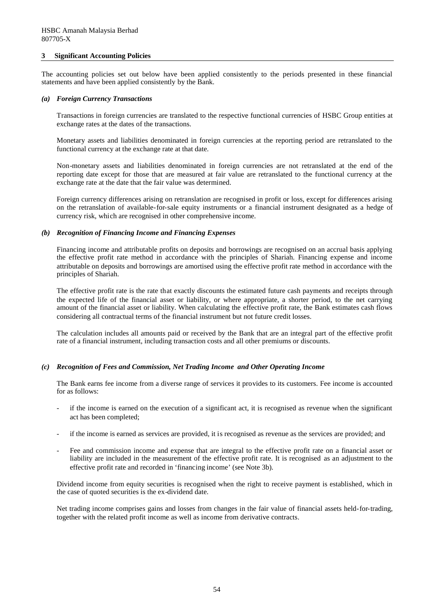#### **3 Significant Accounting Policies**

The accounting policies set out below have been applied consistently to the periods presented in these financial statements and have been applied consistently by the Bank.

#### *(a) Foreign Currency Transactions*

Transactions in foreign currencies are translated to the respective functional currencies of HSBC Group entities at exchange rates at the dates of the transactions.

Monetary assets and liabilities denominated in foreign currencies at the reporting period are retranslated to the functional currency at the exchange rate at that date.

Non-monetary assets and liabilities denominated in foreign currencies are not retranslated at the end of the reporting date except for those that are measured at fair value are retranslated to the functional currency at the exchange rate at the date that the fair value was determined.

Foreign currency differences arising on retranslation are recognised in profit or loss, except for differences arising on the retranslation of available-for-sale equity instruments or a financial instrument designated as a hedge of currency risk, which are recognised in other comprehensive income.

#### *(b) Recognition of Financing Income and Financing Expenses*

Financing income and attributable profits on deposits and borrowings are recognised on an accrual basis applying the effective profit rate method in accordance with the principles of Shariah. Financing expense and income attributable on deposits and borrowings are amortised using the effective profit rate method in accordance with the principles of Shariah.

The effective profit rate is the rate that exactly discounts the estimated future cash payments and receipts through the expected life of the financial asset or liability, or where appropriate, a shorter period, to the net carrying amount of the financial asset or liability. When calculating the effective profit rate, the Bank estimates cash flows considering all contractual terms of the financial instrument but not future credit losses.

The calculation includes all amounts paid or received by the Bank that are an integral part of the effective profit rate of a financial instrument, including transaction costs and all other premiums or discounts.

#### *(c) Recognition of Fees and Commission, Net Trading Income and Other Operating Income*

The Bank earns fee income from a diverse range of services it provides to its customers. Fee income is accounted for as follows:

- if the income is earned on the execution of a significant act, it is recognised as revenue when the significant act has been completed;
- if the income is earned as services are provided, it is recognised as revenue as the services are provided; and
- Fee and commission income and expense that are integral to the effective profit rate on a financial asset or liability are included in the measurement of the effective profit rate. It is recognised as an adjustment to the effective profit rate and recorded in 'financing income' (see Note 3b).

Dividend income from equity securities is recognised when the right to receive payment is established, which in the case of quoted securities is the ex-dividend date.

Net trading income comprises gains and losses from changes in the fair value of financial assets held-for-trading, together with the related profit income as well as income from derivative contracts.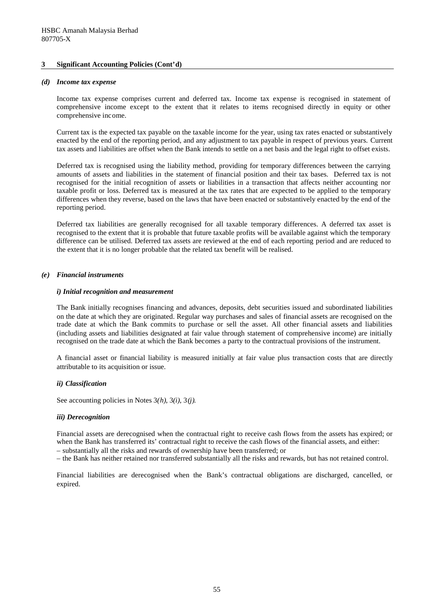#### *(d) Income tax expense*

Income tax expense comprises current and deferred tax. Income tax expense is recognised in statement of comprehensive income except to the extent that it relates to items recognised directly in equity or other comprehensive income.

Current tax is the expected tax payable on the taxable income for the year, using tax rates enacted or substantively enacted by the end of the reporting period, and any adjustment to tax payable in respect of previous years. Current tax assets and liabilities are offset when the Bank intends to settle on a net basis and the legal right to offset exists.

Deferred tax is recognised using the liability method, providing for temporary differences between the carrying amounts of assets and liabilities in the statement of financial position and their tax bases. Deferred tax is not recognised for the initial recognition of assets or liabilities in a transaction that affects neither accounting nor taxable profit or loss. Deferred tax is measured at the tax rates that are expected to be applied to the temporary differences when they reverse, based on the laws that have been enacted or substantively enacted by the end of the reporting period.

Deferred tax liabilities are generally recognised for all taxable temporary differences. A deferred tax asset is recognised to the extent that it is probable that future taxable profits will be available against which the temporary difference can be utilised. Deferred tax assets are reviewed at the end of each reporting period and are reduced to the extent that it is no longer probable that the related tax benefit will be realised.

#### *(e) Financial instruments*

#### *i) Initial recognition and measurement*

The Bank initially recognises financing and advances, deposits, debt securities issued and subordinated liabilities on the date at which they are originated. Regular way purchases and sales of financial assets are recognised on the trade date at which the Bank commits to purchase or sell the asset. All other financial assets and liabilities (including assets and liabilities designated at fair value through statement of comprehensive income) are initially recognised on the trade date at which the Bank becomes a party to the contractual provisions of the instrument.

A financial asset or financial liability is measured initially at fair value plus transaction costs that are directly attributable to its acquisition or issue.

#### *ii) Classification*

See accounting policies in Notes 3*(h)*, 3*(i)*, 3*(j).*

#### *iii) Derecognition*

Financial assets are derecognised when the contractual right to receive cash flows from the assets has expired; or when the Bank has transferred its' contractual right to receive the cash flows of the financial assets, and either:

– substantially all the risks and rewards of ownership have been transferred; or

– the Bank has neither retained nor transferred substantially all the risks and rewards, but has not retained control.

Financial liabilities are derecognised when the Bank's contractual obligations are discharged, cancelled, or expired.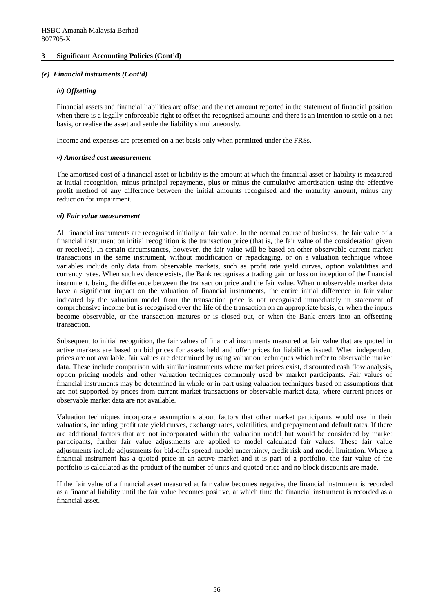### *(e) Financial instruments (Cont'd)*

### *iv) Offsetting*

Financial assets and financial liabilities are offset and the net amount reported in the statement of financial position when there is a legally enforceable right to offset the recognised amounts and there is an intention to settle on a net basis, or realise the asset and settle the liability simultaneously.

Income and expenses are presented on a net basis only when permitted under the FRSs.

#### *v) Amortised cost measurement*

The amortised cost of a financial asset or liability is the amount at which the financial asset or liability is measured at initial recognition, minus principal repayments, plus or minus the cumulative amortisation using the effective profit method of any difference between the initial amounts recognised and the maturity amount, minus any reduction for impairment.

#### *vi) Fair value measurement*

All financial instruments are recognised initially at fair value. In the normal course of business, the fair value of a financial instrument on initial recognition is the transaction price (that is, the fair value of the consideration given or received). In certain circumstances, however, the fair value will be based on other observable current market transactions in the same instrument, without modification or repackaging, or on a valuation technique whose variables include only data from observable markets, such as profit rate yield curves, option volatilities and currency rates. When such evidence exists, the Bank recognises a trading gain or loss on inception of the financial instrument, being the difference between the transaction price and the fair value. When unobservable market data have a significant impact on the valuation of financial instruments, the entire initial difference in fair value indicated by the valuation model from the transaction price is not recognised immediately in statement of comprehensive income but is recognised over the life of the transaction on an appropriate basis, or when the inputs become observable, or the transaction matures or is closed out, or when the Bank enters into an offsetting transaction.

Subsequent to initial recognition, the fair values of financial instruments measured at fair value that are quoted in active markets are based on bid prices for assets held and offer prices for liabilities issued. When independent prices are not available, fair values are determined by using valuation techniques which refer to observable market data. These include comparison with similar instruments where market prices exist, discounted cash flow analysis, option pricing models and other valuation techniques commonly used by market participants. Fair values of financial instruments may be determined in whole or in part using valuation techniques based on assumptions that are not supported by prices from current market transactions or observable market data, where current prices or observable market data are not available.

Valuation techniques incorporate assumptions about factors that other market participants would use in their valuations, including profit rate yield curves, exchange rates, volatilities, and prepayment and default rates. If there are additional factors that are not incorporated within the valuation model but would be considered by market participants, further fair value adjustments are applied to model calculated fair values. These fair value adjustments include adjustments for bid-offer spread, model uncertainty, credit risk and model limitation. Where a financial instrument has a quoted price in an active market and it is part of a portfolio, the fair value of the portfolio is calculated as the product of the number of units and quoted price and no block discounts are made.

If the fair value of a financial asset measured at fair value becomes negative, the financial instrument is recorded as a financial liability until the fair value becomes positive, at which time the financial instrument is recorded as a financial asset.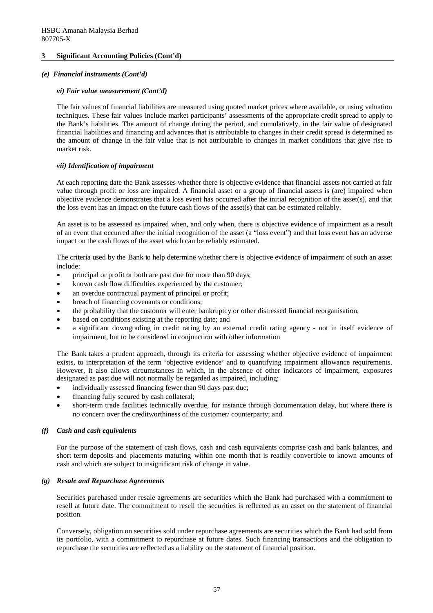### *(e) Financial instruments (Cont'd)*

### *vi) Fair value measurement (Cont'd)*

The fair values of financial liabilities are measured using quoted market prices where available, or using valuation techniques. These fair values include market participants' assessments of the appropriate credit spread to apply to the Bank's liabilities. The amount of change during the period, and cumulatively, in the fair value of designated financial liabilities and financing and advances that is attributable to changes in their credit spread is determined as the amount of change in the fair value that is not attributable to changes in market conditions that give rise to market risk.

### *vii) Identification of impairment*

At each reporting date the Bank assesses whether there is objective evidence that financial assets not carried at fair value through profit or loss are impaired. A financial asset or a group of financial assets is (are) impaired when objective evidence demonstrates that a loss event has occurred after the initial recognition of the asset(s), and that the loss event has an impact on the future cash flows of the asset(s) that can be estimated reliably.

An asset is to be assessed as impaired when, and only when, there is objective evidence of impairment as a result of an event that occurred after the initial recognition of the asset (a "loss event") and that loss event has an adverse impact on the cash flows of the asset which can be reliably estimated.

The criteria used by the Bank to help determine whether there is objective evidence of impairment of such an asset include:

- principal or profit or both are past due for more than 90 days;
- known cash flow difficulties experienced by the customer;
- an overdue contractual payment of principal or profit:
- breach of financing covenants or conditions;
- the probability that the customer will enter bankruptcy or other distressed financial reorganisation,
- based on conditions existing at the reporting date; and
- a significant downgrading in credit rating by an external credit rating agency not in itself evidence of impairment, but to be considered in conjunction with other information

The Bank takes a prudent approach, through its criteria for assessing whether objective evidence of impairment exists, to interpretation of the term 'objective evidence' and to quantifying impairment allowance requirements. However, it also allows circumstances in which, in the absence of other indicators of impairment, exposures designated as past due will not normally be regarded as impaired, including:

- individually assessed financing fewer than 90 days past due;
- financing fully secured by cash collateral;
- short-term trade facilities technically overdue, for instance through documentation delay, but where there is no concern over the creditworthiness of the customer/ counterparty; and

### *(f) Cash and cash equivalents*

For the purpose of the statement of cash flows, cash and cash equivalents comprise cash and bank balances, and short term deposits and placements maturing within one month that is readily convertible to known amounts of cash and which are subject to insignificant risk of change in value.

### *(g) Resale and Repurchase Agreements*

Securities purchased under resale agreements are securities which the Bank had purchased with a commitment to resell at future date. The commitment to resell the securities is reflected as an asset on the statement of financial position.

Conversely, obligation on securities sold under repurchase agreements are securities which the Bank had sold from its portfolio, with a commitment to repurchase at future dates. Such financing transactions and the obligation to repurchase the securities are reflected as a liability on the statement of financial position.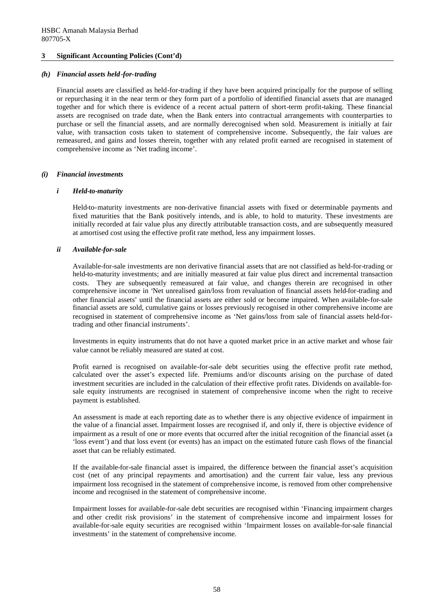### *(h) Financial assets held-for-trading*

Financial assets are classified as held-for-trading if they have been acquired principally for the purpose of selling or repurchasing it in the near term or they form part of a portfolio of identified financial assets that are managed together and for which there is evidence of a recent actual pattern of short-term profit-taking. These financial assets are recognised on trade date, when the Bank enters into contractual arrangements with counterparties to purchase or sell the financial assets, and are normally derecognised when sold. Measurement is initially at fair value, with transaction costs taken to statement of comprehensive income. Subsequently, the fair values are remeasured, and gains and losses therein, together with any related profit earned are recognised in statement of comprehensive income as 'Net trading income'.

### *(i) Financial investments*

### *i Held-to-maturity*

Held-to-maturity investments are non-derivative financial assets with fixed or determinable payments and fixed maturities that the Bank positively intends, and is able, to hold to maturity. These investments are initially recorded at fair value plus any directly attributable transaction costs, and are subsequently measured at amortised cost using the effective profit rate method, less any impairment losses.

### *ii Available-for-sale*

Available-for-sale investments are non derivative financial assets that are not classified as held-for-trading or held-to-maturity investments; and are initially measured at fair value plus direct and incremental transaction costs. They are subsequently remeasured at fair value, and changes therein are recognised in other comprehensive income in 'Net unrealised gain/loss from revaluation of financial assets held-for-trading and other financial assets' until the financial assets are either sold or become impaired. When available-for-sale financial assets are sold, cumulative gains or losses previously recognised in other comprehensive income are recognised in statement of comprehensive income as 'Net gains/loss from sale of financial assets held-fortrading and other financial instruments'.

Investments in equity instruments that do not have a quoted market price in an active market and whose fair value cannot be reliably measured are stated at cost.

Profit earned is recognised on available-for-sale debt securities using the effective profit rate method, calculated over the asset's expected life. Premiums and/or discounts arising on the purchase of dated investment securities are included in the calculation of their effective profit rates. Dividends on available-forsale equity instruments are recognised in statement of comprehensive income when the right to receive payment is established.

An assessment is made at each reporting date as to whether there is any objective evidence of impairment in the value of a financial asset. Impairment losses are recognised if, and only if, there is objective evidence of impairment as a result of one or more events that occurred after the initial recognition of the financial asset (a 'loss event') and that loss event (or events) has an impact on the estimated future cash flows of the financial asset that can be reliably estimated.

If the available-for-sale financial asset is impaired, the difference between the financial asset's acquisition cost (net of any principal repayments and amortisation) and the current fair value, less any previous impairment loss recognised in the statement of comprehensive income, is removed from other comprehensive income and recognised in the statement of comprehensive income.

Impairment losses for available-for-sale debt securities are recognised within 'Financing impairment charges and other credit risk provisions' in the statement of comprehensive income and impairment losses for available-for-sale equity securities are recognised within 'Impairment losses on available-for-sale financial investments' in the statement of comprehensive income.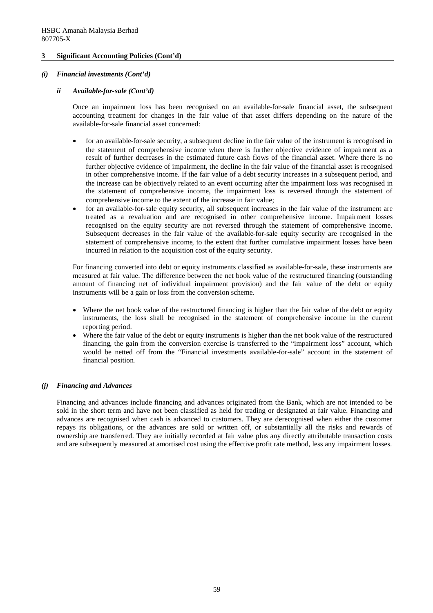### *(i) Financial investments (Cont'd)*

### *ii Available-for-sale (Cont'd)*

Once an impairment loss has been recognised on an available-for-sale financial asset, the subsequent accounting treatment for changes in the fair value of that asset differs depending on the nature of the available-for-sale financial asset concerned:

- for an available-for-sale security, a subsequent decline in the fair value of the instrument is recognised in the statement of comprehensive income when there is further objective evidence of impairment as a result of further decreases in the estimated future cash flows of the financial asset. Where there is no further objective evidence of impairment, the decline in the fair value of the financial asset is recognised in other comprehensive income. If the fair value of a debt security increases in a subsequent period, and the increase can be objectively related to an event occurring after the impairment loss was recognised in the statement of comprehensive income, the impairment loss is reversed through the statement of comprehensive income to the extent of the increase in fair value;
- for an available-for-sale equity security, all subsequent increases in the fair value of the instrument are treated as a revaluation and are recognised in other comprehensive income. Impairment losses recognised on the equity security are not reversed through the statement of comprehensive income. Subsequent decreases in the fair value of the available-for-sale equity security are recognised in the statement of comprehensive income, to the extent that further cumulative impairment losses have been incurred in relation to the acquisition cost of the equity security.

For financing converted into debt or equity instruments classified as available-for-sale, these instruments are measured at fair value. The difference between the net book value of the restructured financing (outstanding amount of financing net of individual impairment provision) and the fair value of the debt or equity instruments will be a gain or loss from the conversion scheme.

- Where the net book value of the restructured financing is higher than the fair value of the debt or equity instruments, the loss shall be recognised in the statement of comprehensive income in the current reporting period.
- Where the fair value of the debt or equity instruments is higher than the net book value of the restructured financing, the gain from the conversion exercise is transferred to the "impairment loss" account, which would be netted off from the "Financial investments available-for-sale" account in the statement of financial position.

### *(j) Financing and Advances*

Financing and advances include financing and advances originated from the Bank, which are not intended to be sold in the short term and have not been classified as held for trading or designated at fair value. Financing and advances are recognised when cash is advanced to customers. They are derecognised when either the customer repays its obligations, or the advances are sold or written off, or substantially all the risks and rewards of ownership are transferred. They are initially recorded at fair value plus any directly attributable transaction costs and are subsequently measured at amortised cost using the effective profit rate method, less any impairment losses.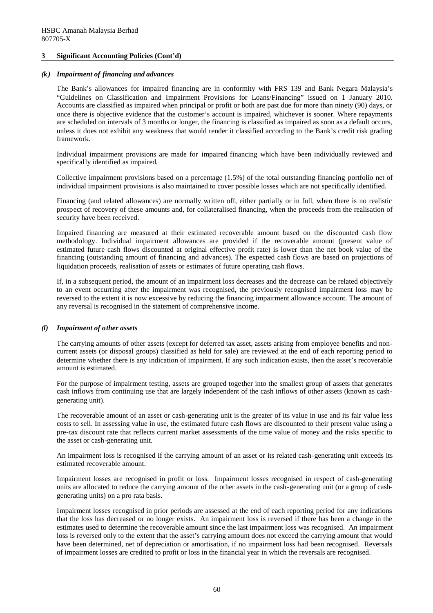#### *(k) Impairment of financing and advances*

The Bank's allowances for impaired financing are in conformity with FRS 139 and Bank Negara Malaysia's "Guidelines on Classification and Impairment Provisions for Loans/Financing" issued on 1 January 2010. Accounts are classified as impaired when principal or profit or both are past due for more than ninety (90) days, or once there is objective evidence that the customer's account is impaired, whichever is sooner. Where repayments are scheduled on intervals of 3 months or longer, the financing is classified as impaired as soon as a default occurs, unless it does not exhibit any weakness that would render it classified according to the Bank's credit risk grading framework.

Individual impairment provisions are made for impaired financing which have been individually reviewed and specifically identified as impaired.

Collective impairment provisions based on a percentage (1.5%) of the total outstanding financing portfolio net of individual impairment provisions is also maintained to cover possible losses which are not specifically identified.

Financing (and related allowances) are normally written off, either partially or in full, when there is no realistic prospect of recovery of these amounts and, for collateralised financing, when the proceeds from the realisation of security have been received.

Impaired financing are measured at their estimated recoverable amount based on the discounted cash flow methodology. Individual impairment allowances are provided if the recoverable amount (present value of estimated future cash flows discounted at original effective profit rate) is lower than the net book value of the financing (outstanding amount of financing and advances). The expected cash flows are based on projections of liquidation proceeds, realisation of assets or estimates of future operating cash flows.

If, in a subsequent period, the amount of an impairment loss decreases and the decrease can be related objectively to an event occurring after the impairment was recognised, the previously recognised impairment loss may be reversed to the extent it is now excessive by reducing the financing impairment allowance account. The amount of any reversal is recognised in the statement of comprehensive income.

### *(l) Impairment of other assets*

The carrying amounts of other assets (except for deferred tax asset, assets arising from employee benefits and noncurrent assets (or disposal groups) classified as held for sale) are reviewed at the end of each reporting period to determine whether there is any indication of impairment. If any such indication exists, then the asset's recoverable amount is estimated.

For the purpose of impairment testing, assets are grouped together into the smallest group of assets that generates cash inflows from continuing use that are largely independent of the cash inflows of other assets (known as cashgenerating unit).

The recoverable amount of an asset or cash-generating unit is the greater of its value in use and its fair value less costs to sell. In assessing value in use, the estimated future cash flows are discounted to their present value using a pre-tax discount rate that reflects current market assessments of the time value of money and the risks specific to the asset or cash-generating unit.

An impairment loss is recognised if the carrying amount of an asset or its related cash-generating unit exceeds its estimated recoverable amount.

Impairment losses are recognised in profit or loss. Impairment losses recognised in respect of cash-generating units are allocated to reduce the carrying amount of the other assets in the cash-generating unit (or a group of cashgenerating units) on a pro rata basis.

Impairment losses recognised in prior periods are assessed at the end of each reporting period for any indications that the loss has decreased or no longer exists. An impairment loss is reversed if there has been a change in the estimates used to determine the recoverable amount since the last impairment loss was recognised. An impairment loss is reversed only to the extent that the asset's carrying amount does not exceed the carrying amount that would have been determined, net of depreciation or amortisation, if no impairment loss had been recognised. Reversals of impairment losses are credited to profit or loss in the financial year in which the reversals are recognised.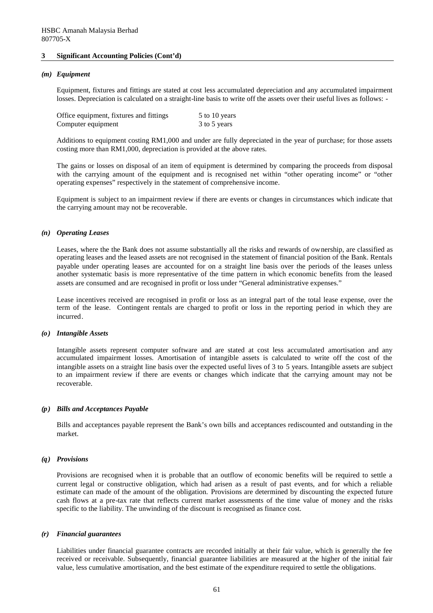#### *(m) Equipment*

Equipment, fixtures and fittings are stated at cost less accumulated depreciation and any accumulated impairment losses. Depreciation is calculated on a straight-line basis to write off the assets over their useful lives as follows: -

| Office equipment, fixtures and fittings | 5 to 10 years |
|-----------------------------------------|---------------|
| Computer equipment                      | 3 to 5 years  |

Additions to equipment costing RM1,000 and under are fully depreciated in the year of purchase; for those assets costing more than RM1,000, depreciation is provided at the above rates.

The gains or losses on disposal of an item of equipment is determined by comparing the proceeds from disposal with the carrying amount of the equipment and is recognised net within "other operating income" or "other operating expenses" respectively in the statement of comprehensive income.

Equipment is subject to an impairment review if there are events or changes in circumstances which indicate that the carrying amount may not be recoverable.

#### *(n) Operating Leases*

Leases, where the the Bank does not assume substantially all the risks and rewards of ownership, are classified as operating leases and the leased assets are not recognised in the statement of financial position of the Bank. Rentals payable under operating leases are accounted for on a straight line basis over the periods of the leases unless another systematic basis is more representative of the time pattern in which economic benefits from the leased assets are consumed and are recognised in profit or loss under "General administrative expenses."

Lease incentives received are recognised in profit or loss as an integral part of the total lease expense, over the term of the lease. Contingent rentals are charged to profit or loss in the reporting period in which they are incurred.

#### *(o) Intangible Assets*

Intangible assets represent computer software and are stated at cost less accumulated amortisation and any accumulated impairment losses. Amortisation of intangible assets is calculated to write off the cost of the intangible assets on a straight line basis over the expected useful lives of 3 to 5 years. Intangible assets are subject to an impairment review if there are events or changes which indicate that the carrying amount may not be recoverable.

#### *(p) Bills and Acceptances Payable*

Bills and acceptances payable represent the Bank's own bills and acceptances rediscounted and outstanding in the market.

#### *(q) Provisions*

Provisions are recognised when it is probable that an outflow of economic benefits will be required to settle a current legal or constructive obligation, which had arisen as a result of past events, and for which a reliable estimate can made of the amount of the obligation. Provisions are determined by discounting the expected future cash flows at a pre-tax rate that reflects current market assessments of the time value of money and the risks specific to the liability. The unwinding of the discount is recognised as finance cost.

#### *(r) Financial guarantees*

Liabilities under financial guarantee contracts are recorded initially at their fair value, which is generally the fee received or receivable. Subsequently, financial guarantee liabilities are measured at the higher of the initial fair value, less cumulative amortisation, and the best estimate of the expenditure required to settle the obligations.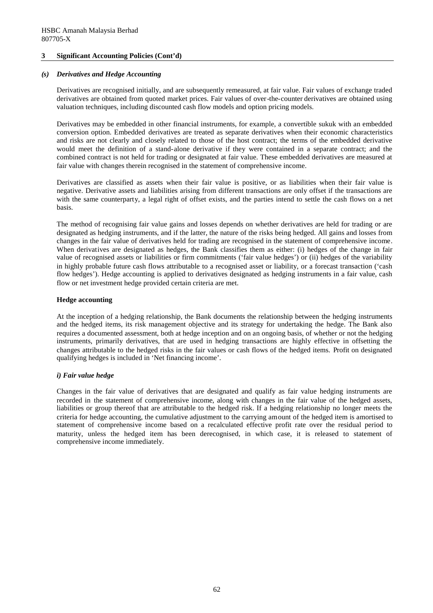#### *(s) Derivatives and Hedge Accounting*

Derivatives are recognised initially, and are subsequently remeasured, at fair value. Fair values of exchange traded derivatives are obtained from quoted market prices. Fair values of over-the-counter derivatives are obtained using valuation techniques, including discounted cash flow models and option pricing models.

Derivatives may be embedded in other financial instruments, for example, a convertible sukuk with an embedded conversion option. Embedded derivatives are treated as separate derivatives when their economic characteristics and risks are not clearly and closely related to those of the host contract; the terms of the embedded derivative would meet the definition of a stand-alone derivative if they were contained in a separate contract; and the combined contract is not held for trading or designated at fair value. These embedded derivatives are measured at fair value with changes therein recognised in the statement of comprehensive income.

Derivatives are classified as assets when their fair value is positive, or as liabilities when their fair value is negative. Derivative assets and liabilities arising from different transactions are only offset if the transactions are with the same counterparty, a legal right of offset exists, and the parties intend to settle the cash flows on a net basis.

The method of recognising fair value gains and losses depends on whether derivatives are held for trading or are designated as hedging instruments, and if the latter, the nature of the risks being hedged. All gains and losses from changes in the fair value of derivatives held for trading are recognised in the statement of comprehensive income. When derivatives are designated as hedges, the Bank classifies them as either: (i) hedges of the change in fair value of recognised assets or liabilities or firm commitments ('fair value hedges') or (ii) hedges of the variability in highly probable future cash flows attributable to a recognised asset or liability, or a forecast transaction ('cash flow hedges'). Hedge accounting is applied to derivatives designated as hedging instruments in a fair value, cash flow or net investment hedge provided certain criteria are met.

#### **Hedge accounting**

At the inception of a hedging relationship, the Bank documents the relationship between the hedging instruments and the hedged items, its risk management objective and its strategy for undertaking the hedge. The Bank also requires a documented assessment, both at hedge inception and on an ongoing basis, of whether or not the hedging instruments, primarily derivatives, that are used in hedging transactions are highly effective in offsetting the changes attributable to the hedged risks in the fair values or cash flows of the hedged items. Profit on designated qualifying hedges is included in 'Net financing income'.

### *i) Fair value hedge*

Changes in the fair value of derivatives that are designated and qualify as fair value hedging instruments are recorded in the statement of comprehensive income, along with changes in the fair value of the hedged assets, liabilities or group thereof that are attributable to the hedged risk. If a hedging relationship no longer meets the criteria for hedge accounting, the cumulative adjustment to the carrying amount of the hedged item is amortised to statement of comprehensive income based on a recalculated effective profit rate over the residual period to maturity, unless the hedged item has been derecognised, in which case, it is released to statement of comprehensive income immediately.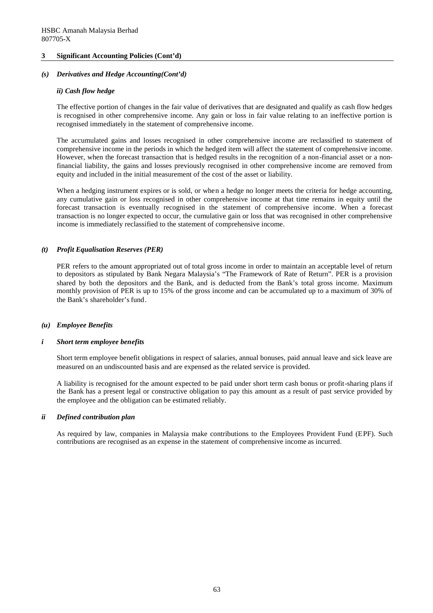### *(s) Derivatives and Hedge Accounting(Cont'd)*

### *ii) Cash flow hedge*

The effective portion of changes in the fair value of derivatives that are designated and qualify as cash flow hedges is recognised in other comprehensive income. Any gain or loss in fair value relating to an ineffective portion is recognised immediately in the statement of comprehensive income.

The accumulated gains and losses recognised in other comprehensive income are reclassified to statement of comprehensive income in the periods in which the hedged item will affect the statement of comprehensive income. However, when the forecast transaction that is hedged results in the recognition of a non-financial asset or a nonfinancial liability, the gains and losses previously recognised in other comprehensive income are removed from equity and included in the initial measurement of the cost of the asset or liability.

When a hedging instrument expires or is sold, or when a hedge no longer meets the criteria for hedge accounting, any cumulative gain or loss recognised in other comprehensive income at that time remains in equity until the forecast transaction is eventually recognised in the statement of comprehensive income. When a forecast transaction is no longer expected to occur, the cumulative gain or loss that was recognised in other comprehensive income is immediately reclassified to the statement of comprehensive income.

### *(t) Profit Equalisation Reserves (PER)*

PER refers to the amount appropriated out of total gross income in order to maintain an acceptable level of return to depositors as stipulated by Bank Negara Malaysia's "The Framework of Rate of Return". PER is a provision shared by both the depositors and the Bank, and is deducted from the Bank's total gross income. Maximum monthly provision of PER is up to 15% of the gross income and can be accumulated up to a maximum of 30% of the Bank's shareholder's fund.

### *(u) Employee Benefits*

#### *i Short term employee benefits*

Short term employee benefit obligations in respect of salaries, annual bonuses, paid annual leave and sick leave are measured on an undiscounted basis and are expensed as the related service is provided.

A liability is recognised for the amount expected to be paid under short term cash bonus or profit-sharing plans if the Bank has a present legal or constructive obligation to pay this amount as a result of past service provided by the employee and the obligation can be estimated reliably.

### *ii Defined contribution plan*

As required by law, companies in Malaysia make contributions to the Employees Provident Fund (EPF). Such contributions are recognised as an expense in the statement of comprehensive income as incurred.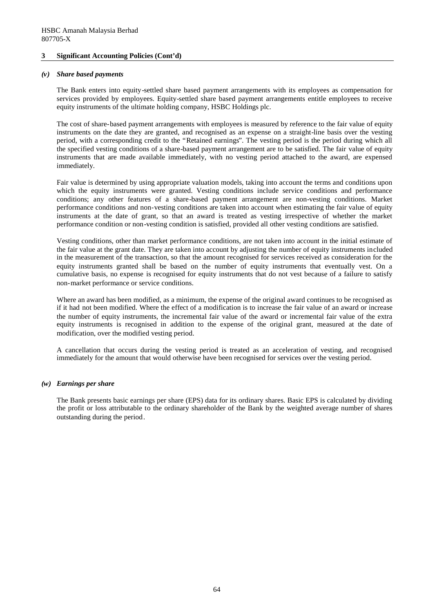#### *(v) Share based payments*

The Bank enters into equity-settled share based payment arrangements with its employees as compensation for services provided by employees. Equity-settled share based payment arrangements entitle employees to receive equity instruments of the ultimate holding company, HSBC Holdings plc.

The cost of share-based payment arrangements with employees is measured by reference to the fair value of equity instruments on the date they are granted, and recognised as an expense on a straight-line basis over the vesting period, with a corresponding credit to the "Retained earnings". The vesting period is the period during which all the specified vesting conditions of a share-based payment arrangement are to be satisfied. The fair value of equity instruments that are made available immediately, with no vesting period attached to the award, are expensed immediately.

Fair value is determined by using appropriate valuation models, taking into account the terms and conditions upon which the equity instruments were granted. Vesting conditions include service conditions and performance conditions; any other features of a share-based payment arrangement are non-vesting conditions. Market performance conditions and non-vesting conditions are taken into account when estimating the fair value of equity instruments at the date of grant, so that an award is treated as vesting irrespective of whether the market performance condition or non-vesting condition is satisfied, provided all other vesting conditions are satisfied.

Vesting conditions, other than market performance conditions, are not taken into account in the initial estimate of the fair value at the grant date. They are taken into account by adjusting the number of equity instruments included in the measurement of the transaction, so that the amount recognised for services received as consideration for the equity instruments granted shall be based on the number of equity instruments that eventually vest. On a cumulative basis, no expense is recognised for equity instruments that do not vest because of a failure to satisfy non-market performance or service conditions.

Where an award has been modified, as a minimum, the expense of the original award continues to be recognised as if it had not been modified. Where the effect of a modification is to increase the fair value of an award or increase the number of equity instruments, the incremental fair value of the award or incremental fair value of the extra equity instruments is recognised in addition to the expense of the original grant, measured at the date of modification, over the modified vesting period.

A cancellation that occurs during the vesting period is treated as an acceleration of vesting, and recognised immediately for the amount that would otherwise have been recognised for services over the vesting period.

### *(w) Earnings per share*

The Bank presents basic earnings per share (EPS) data for its ordinary shares. Basic EPS is calculated by dividing the profit or loss attributable to the ordinary shareholder of the Bank by the weighted average number of shares outstanding during the period.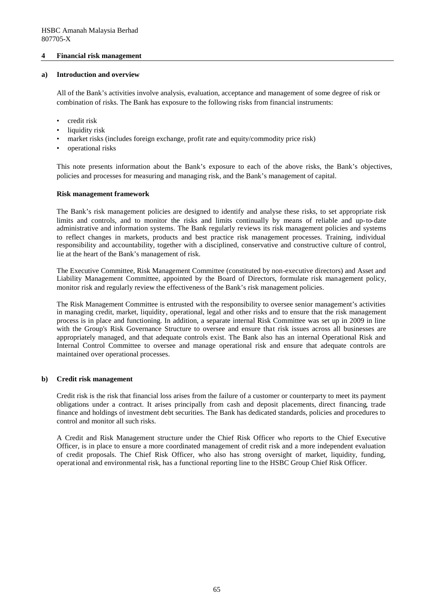#### **4 Financial risk management**

#### **a) Introduction and overview**

All of the Bank's activities involve analysis, evaluation, acceptance and management of some degree of risk or combination of risks. The Bank has exposure to the following risks from financial instruments:

- credit risk
- liquidity risk
- market risks (includes foreign exchange, profit rate and equity/commodity price risk)
- operational risks

This note presents information about the Bank's exposure to each of the above risks, the Bank's objectives, policies and processes for measuring and managing risk, and the Bank's management of capital.

#### **Risk management framework**

The Bank's risk management policies are designed to identify and analyse these risks, to set appropriate risk limits and controls, and to monitor the risks and limits continually by means of reliable and up-to-date administrative and information systems. The Bank regularly reviews its risk management policies and systems to reflect changes in markets, products and best practice risk management processes. Training, individual responsibility and accountability, together with a disciplined, conservative and constructive culture of control, lie at the heart of the Bank's management of risk.

The Executive Committee, Risk Management Committee (constituted by non-executive directors) and Asset and Liability Management Committee, appointed by the Board of Directors, formulate risk management policy, monitor risk and regularly review the effectiveness of the Bank's risk management policies.

The Risk Management Committee is entrusted with the responsibility to oversee senior management's activities in managing credit, market, liquidity, operational, legal and other risks and to ensure that the risk management process is in place and functioning. In addition, a separate internal Risk Committee was set up in 2009 in line with the Group's Risk Governance Structure to oversee and ensure that risk issues across all businesses are appropriately managed, and that adequate controls exist. The Bank also has an internal Operational Risk and Internal Control Committee to oversee and manage operational risk and ensure that adequate controls are maintained over operational processes.

#### **b) Credit risk management**

Credit risk is the risk that financial loss arises from the failure of a customer or counterparty to meet its payment obligations under a contract. It arises principally from cash and deposit placements, direct financing, trade finance and holdings of investment debt securities. The Bank has dedicated standards, policies and procedures to control and monitor all such risks.

A Credit and Risk Management structure under the Chief Risk Officer who reports to the Chief Executive Officer, is in place to ensure a more coordinated management of credit risk and a more independent evaluation of credit proposals. The Chief Risk Officer, who also has strong oversight of market, liquidity, funding, operational and environmental risk, has a functional reporting line to the HSBC Group Chief Risk Officer.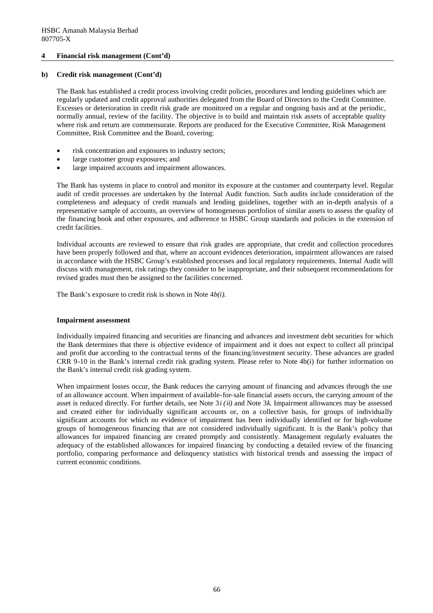#### **b) Credit risk management (Cont'd)**

The Bank has established a credit process involving credit policies, procedures and lending guidelines which are regularly updated and credit approval authorities delegated from the Board of Directors to the Credit Committee. Excesses or deterioration in credit risk grade are monitored on a regular and ongoing basis and at the periodic, normally annual, review of the facility. The objective is to build and maintain risk assets of acceptable quality where risk and return are commensurate. Reports are produced for the Executive Committee, Risk Management Committee, Risk Committee and the Board, covering:

- risk concentration and exposures to industry sectors;
- large customer group exposures; and
- large impaired accounts and impairment allowances.

The Bank has systems in place to control and monitor its exposure at the customer and counterparty level. Regular audit of credit processes are undertaken by the Internal Audit function. Such audits include consideration of the completeness and adequacy of credit manuals and lending guidelines, together with an in-depth analysis of a representative sample of accounts, an overview of homogeneous portfolios of similar assets to assess the quality of the financing book and other exposures, and adherence to HSBC Group standards and policies in the extension of credit facilities.

Individual accounts are reviewed to ensure that risk grades are appropriate, that credit and collection procedures have been properly followed and that, where an account evidences deterioration, impairment allowances are raised in accordance with the HSBC Group's established processes and local regulatory requirements. Internal Audit will discuss with management, risk ratings they consider to be inappropriate, and their subsequent recommendations for revised grades must then be assigned to the facilities concerned.

The Bank's exposure to credit risk is shown in Note 4*b(i).*

#### **Impairment assessment**

Individually impaired financing and securities are financing and advances and investment debt securities for which the Bank determines that there is objective evidence of impairment and it does not expect to collect all principal and profit due according to the contractual terms of the financing/investment security. These advances are graded CRR 9-10 in the Bank's internal credit risk grading system. Please refer to Note 4b(i) for further information on the Bank's internal credit risk grading system.

When impairment losses occur, the Bank reduces the carrying amount of financing and advances through the use of an allowance account. When impairment of available-for-sale financial assets occurs, the carrying amount of the asset is reduced directly. For further details, see Note 3*i (ii)* and Note 3*k*. Impairment allowances may be assessed and created either for individually significant accounts or, on a collective basis, for groups of individually significant accounts for which no evidence of impairment has been individually identified or for high-volume groups of homogeneous financing that are not considered individually significant. It is the Bank's policy that allowances for impaired financing are created promptly and consistently. Management regularly evaluates the adequacy of the established allowances for impaired financing by conducting a detailed review of the financing portfolio, comparing performance and delinquency statistics with historical trends and assessing the impact of current economic conditions.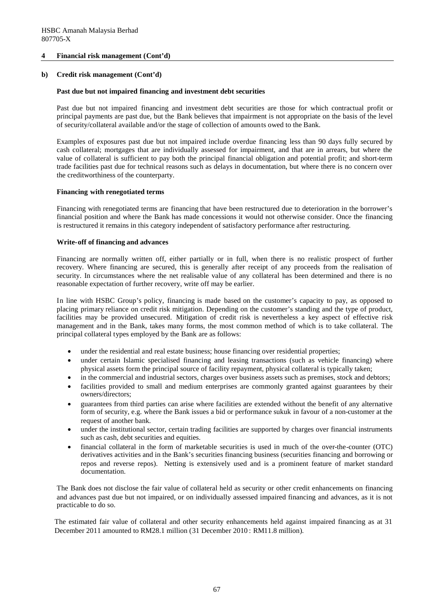### **b) Credit risk management (Cont'd)**

### **Past due but not impaired financing and investment debt securities**

Past due but not impaired financing and investment debt securities are those for which contractual profit or principal payments are past due, but the Bank believes that impairment is not appropriate on the basis of the level of security/collateral available and/or the stage of collection of amounts owed to the Bank.

Examples of exposures past due but not impaired include overdue financing less than 90 days fully secured by cash collateral; mortgages that are individually assessed for impairment, and that are in arrears, but where the value of collateral is sufficient to pay both the principal financial obligation and potential profit; and short-term trade facilities past due for technical reasons such as delays in documentation, but where there is no concern over the creditworthiness of the counterparty.

### **Financing with renegotiated terms**

Financing with renegotiated terms are financing that have been restructured due to deterioration in the borrower's financial position and where the Bank has made concessions it would not otherwise consider. Once the financing is restructured it remains in this category independent of satisfactory performance after restructuring.

### **Write-off of financing and advances**

Financing are normally written off, either partially or in full, when there is no realistic prospect of further recovery. Where financing are secured, this is generally after receipt of any proceeds from the realisation of security. In circumstances where the net realisable value of any collateral has been determined and there is no reasonable expectation of further recovery, write off may be earlier.

In line with HSBC Group's policy, financing is made based on the customer's capacity to pay, as opposed to placing primary reliance on credit risk mitigation. Depending on the customer's standing and the type of product, facilities may be provided unsecured. Mitigation of credit risk is nevertheless a key aspect of effective risk management and in the Bank, takes many forms, the most common method of which is to take collateral. The principal collateral types employed by the Bank are as follows:

- under the residential and real estate business; house financing over residential properties;
- under certain Islamic specialised financing and leasing transactions (such as vehicle financing) where physical assets form the principal source of facility repayment, physical collateral is typically taken;
- in the commercial and industrial sectors, charges over business assets such as premises, stock and debtors;
- facilities provided to small and medium enterprises are commonly granted against guarantees by their owners/directors;
- guarantees from third parties can arise where facilities are extended without the benefit of any alternative form of security, e.g. where the Bank issues a bid or performance sukuk in favour of a non-customer at the request of another bank.
- under the institutional sector, certain trading facilities are supported by charges over financial instruments such as cash, debt securities and equities.
- financial collateral in the form of marketable securities is used in much of the over-the-counter (OTC) derivatives activities and in the Bank's securities financing business (securities financing and borrowing or repos and reverse repos). Netting is extensively used and is a prominent feature of market standard documentation.

The Bank does not disclose the fair value of collateral held as security or other credit enhancements on financing and advances past due but not impaired, or on individually assessed impaired financing and advances, as it is not practicable to do so.

The estimated fair value of collateral and other security enhancements held against impaired financing as at 31 December 2011 amounted to RM28.1 million (31 December 2010 : RM11.8 million).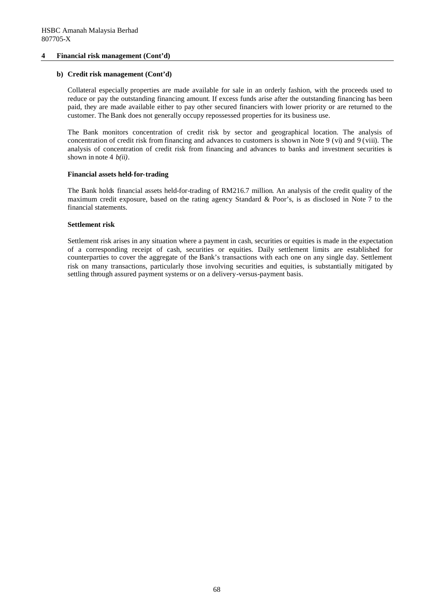#### **b) Credit risk management (Cont'd)**

Collateral especially properties are made available for sale in an orderly fashion, with the proceeds used to reduce or pay the outstanding financing amount. If excess funds arise after the outstanding financing has been paid, they are made available either to pay other secured financiers with lower priority or are returned to the customer. The Bank does not generally occupy repossessed properties for its business use.

The Bank monitors concentration of credit risk by sector and geographical location. The analysis of concentration of credit risk from financing and advances to customers is shown in Note 9 (vi) and 9 (viii). The analysis of concentration of credit risk from financing and advances to banks and investment securities is shown in note 4 *b(ii).*

#### **Financial assets held-for-trading**

The Bank holds financial assets held-for-trading of RM216.7 million. An analysis of the credit quality of the maximum credit exposure, based on the rating agency Standard & Poor's, is as disclosed in Note 7 to the financial statements.

#### **Settlement risk**

Settlement risk arises in any situation where a payment in cash, securities or equities is made in the expectation of a corresponding receipt of cash, securities or equities. Daily settlement limits are established for counterparties to cover the aggregate of the Bank's transactions with each one on any single day. Settlement risk on many transactions, particularly those involving securities and equities, is substantially mitigated by settling through assured payment systems or on a delivery-versus-payment basis.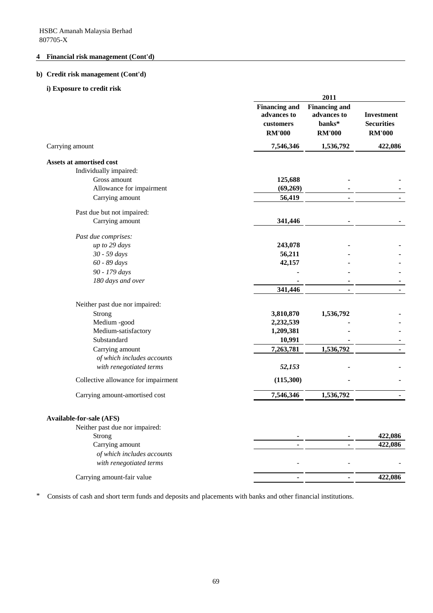# **b) Credit risk management (Cont'd)**

### **i) Exposure to credit risk**

|                                     |                                                                   | 2011                                                           |                                                         |
|-------------------------------------|-------------------------------------------------------------------|----------------------------------------------------------------|---------------------------------------------------------|
|                                     | <b>Financing and</b><br>advances to<br>customers<br><b>RM'000</b> | <b>Financing and</b><br>advances to<br>banks*<br><b>RM'000</b> | <b>Investment</b><br><b>Securities</b><br><b>RM'000</b> |
| Carrying amount                     | 7,546,346                                                         | 1,536,792                                                      | 422,086                                                 |
| Assets at amortised cost            |                                                                   |                                                                |                                                         |
| Individually impaired:              |                                                                   |                                                                |                                                         |
| Gross amount                        | 125,688                                                           |                                                                |                                                         |
| Allowance for impairment            | (69,269)                                                          |                                                                |                                                         |
| Carrying amount                     | 56,419                                                            |                                                                |                                                         |
| Past due but not impaired:          |                                                                   |                                                                |                                                         |
| Carrying amount                     | 341,446                                                           |                                                                |                                                         |
| Past due comprises:                 |                                                                   |                                                                |                                                         |
| up to 29 days                       | 243,078                                                           |                                                                |                                                         |
| 30 - 59 days                        | 56,211                                                            |                                                                |                                                         |
| 60 - 89 days                        | 42,157                                                            |                                                                |                                                         |
| 90 - 179 days                       |                                                                   |                                                                |                                                         |
| 180 days and over                   |                                                                   |                                                                |                                                         |
|                                     | 341,446                                                           |                                                                |                                                         |
| Neither past due nor impaired:      |                                                                   |                                                                |                                                         |
| Strong                              | 3,810,870                                                         | 1,536,792                                                      |                                                         |
| Medium -good                        | 2,232,539                                                         |                                                                |                                                         |
| Medium-satisfactory                 | 1,209,381                                                         |                                                                |                                                         |
| Substandard                         | 10,991                                                            |                                                                |                                                         |
| Carrying amount                     | 7,263,781                                                         | 1,536,792                                                      |                                                         |
| of which includes accounts          |                                                                   |                                                                |                                                         |
| with renegotiated terms             | 52,153                                                            |                                                                |                                                         |
| Collective allowance for impairment | (115,300)                                                         |                                                                |                                                         |
| Carrying amount-amortised cost      | 7,546,346                                                         | 1,536,792                                                      | $\blacksquare$                                          |
|                                     |                                                                   |                                                                |                                                         |
| <b>Available-for-sale (AFS)</b>     |                                                                   |                                                                |                                                         |
| Neither past due nor impaired:      |                                                                   |                                                                |                                                         |
| Strong                              |                                                                   |                                                                | 422,086                                                 |
| Carrying amount                     |                                                                   |                                                                | 422,086                                                 |
| of which includes accounts          |                                                                   |                                                                |                                                         |
| with renegotiated terms             |                                                                   |                                                                |                                                         |
| Carrying amount-fair value          |                                                                   |                                                                | 422,086                                                 |

\* Consists of cash and short term funds and deposits and placements with banks and other financial institutions.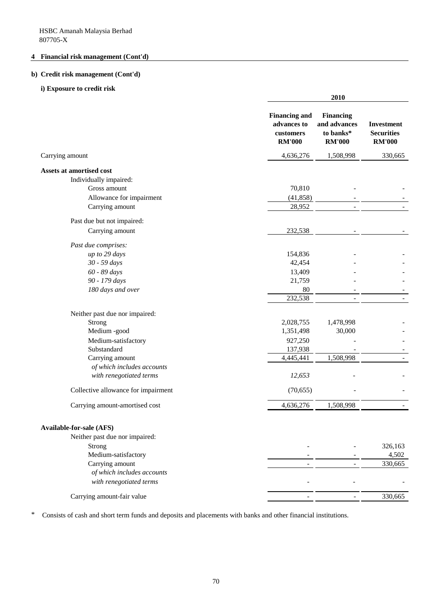# **b) Credit risk management (Cont'd)**

### **i) Exposure to credit risk**

|                                     |                                                                          | 2010                                                           |                                                         |  |
|-------------------------------------|--------------------------------------------------------------------------|----------------------------------------------------------------|---------------------------------------------------------|--|
|                                     | <b>Financing and</b><br>advances to<br><b>customers</b><br><b>RM'000</b> | <b>Financing</b><br>and advances<br>to banks*<br><b>RM'000</b> | <b>Investment</b><br><b>Securities</b><br><b>RM'000</b> |  |
| Carrying amount                     | 4,636,276                                                                | 1,508,998                                                      | 330,665                                                 |  |
| Assets at amortised cost            |                                                                          |                                                                |                                                         |  |
| Individually impaired:              |                                                                          |                                                                |                                                         |  |
| Gross amount                        | 70,810                                                                   |                                                                |                                                         |  |
| Allowance for impairment            | (41, 858)                                                                |                                                                |                                                         |  |
| Carrying amount                     | 28,952                                                                   |                                                                |                                                         |  |
| Past due but not impaired:          |                                                                          |                                                                |                                                         |  |
| Carrying amount                     | 232,538                                                                  |                                                                |                                                         |  |
| Past due comprises:                 |                                                                          |                                                                |                                                         |  |
| up to 29 days                       | 154,836                                                                  |                                                                |                                                         |  |
| 30 - 59 days                        | 42,454                                                                   |                                                                |                                                         |  |
| 60 - 89 days                        | 13,409                                                                   |                                                                |                                                         |  |
| 90 - 179 days                       | 21,759                                                                   |                                                                |                                                         |  |
| 180 days and over                   | 80                                                                       |                                                                |                                                         |  |
|                                     | 232,538                                                                  |                                                                |                                                         |  |
| Neither past due nor impaired:      |                                                                          |                                                                |                                                         |  |
| Strong                              | 2,028,755                                                                | 1,478,998                                                      |                                                         |  |
| Medium -good                        | 1,351,498                                                                | 30,000                                                         |                                                         |  |
| Medium-satisfactory                 | 927,250                                                                  |                                                                |                                                         |  |
| Substandard                         | 137,938                                                                  |                                                                |                                                         |  |
| Carrying amount                     | 4,445,441                                                                | 1,508,998                                                      |                                                         |  |
| of which includes accounts          |                                                                          |                                                                |                                                         |  |
| with renegotiated terms             | 12,653                                                                   |                                                                |                                                         |  |
| Collective allowance for impairment | (70, 655)                                                                |                                                                |                                                         |  |
| Carrying amount-amortised cost      | 4,636,276                                                                | 1,508,998                                                      |                                                         |  |
|                                     |                                                                          |                                                                |                                                         |  |
| <b>Available-for-sale (AFS)</b>     |                                                                          |                                                                |                                                         |  |
| Neither past due nor impaired:      |                                                                          |                                                                |                                                         |  |
| Strong                              |                                                                          |                                                                | 326,163                                                 |  |
| Medium-satisfactory                 |                                                                          |                                                                | 4,502                                                   |  |
| Carrying amount                     |                                                                          |                                                                | 330,665                                                 |  |
| of which includes accounts          |                                                                          |                                                                |                                                         |  |
| with renegotiated terms             |                                                                          |                                                                |                                                         |  |
| Carrying amount-fair value          |                                                                          |                                                                | 330,665                                                 |  |

\* Consists of cash and short term funds and deposits and placements with banks and other financial institutions.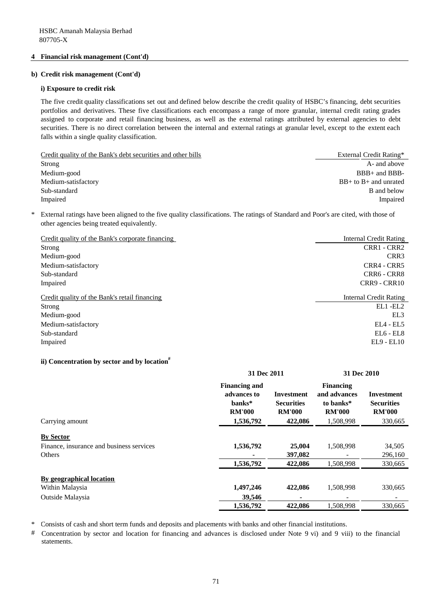#### **b) Credit risk management (Cont'd)**

#### **i) Exposure to credit risk**

The five credit quality classifications set out and defined below describe the credit quality of HSBC's financing, debt securities portfolios and derivatives. These five classifications each encompass a range of more granular, internal credit rating grades assigned to corporate and retail financing business, as well as the external ratings attributed by external agencies to debt securities. There is no direct correlation between the internal and external ratings at granular level, except to the extent each falls within a single quality classification.

| Credit quality of the Bank's debt securities and other bills | External Credit Rating*   |
|--------------------------------------------------------------|---------------------------|
| Strong                                                       | A- and above              |
| Medium-good                                                  | $BBB+$ and $BBB-$         |
| Medium-satisfactory                                          | $BB+$ to $B+$ and unrated |
| Sub-standard                                                 | <b>B</b> and below        |
| Impaired                                                     | Impaired                  |
|                                                              |                           |

\* External ratings have been aligned to the five quality classifications. The ratings of Standard and Poor's are cited, with those of other agencies being treated equivalently.

| Credit quality of the Bank's corporate financing | <b>Internal Credit Rating</b> |
|--------------------------------------------------|-------------------------------|
| Strong                                           | CRR1 - CRR2                   |
| Medium-good                                      | CRR <sub>3</sub>              |
| Medium-satisfactory                              | CRR4 - CRR5                   |
| Sub-standard                                     | CRR6 - CRR8                   |
| Impaired                                         | CRR9 - CRR10                  |
| Credit quality of the Bank's retail financing    | <b>Internal Credit Rating</b> |
|                                                  |                               |
| Strong                                           | $EL1 - EL2$                   |
| Medium-good                                      | EL3                           |
| Medium-satisfactory                              | $EL4 - EL5$                   |
| Sub-standard                                     | $EL6 - EL8$                   |

#### **ii) Concentration by sector and by location#**

|                                                                        | 31 Dec 2011                                                    |                                                  | 31 Dec 2010                                                    |                                                         |
|------------------------------------------------------------------------|----------------------------------------------------------------|--------------------------------------------------|----------------------------------------------------------------|---------------------------------------------------------|
|                                                                        | <b>Financing and</b><br>advances to<br>banks*<br><b>RM'000</b> | Investment<br><b>Securities</b><br><b>RM'000</b> | <b>Financing</b><br>and advances<br>to banks*<br><b>RM'000</b> | <b>Investment</b><br><b>Securities</b><br><b>RM'000</b> |
| Carrying amount                                                        | 1,536,792                                                      | 422,086                                          | 1,508,998                                                      | 330,665                                                 |
| <b>By Sector</b><br>Finance, insurance and business services<br>Others | 1,536,792<br>1,536,792                                         | 25,004<br>397.082<br>422,086                     | 1,508,998<br>1,508,998                                         | 34,505<br>296,160<br>330,665                            |
|                                                                        |                                                                |                                                  |                                                                |                                                         |
| By geographical location                                               |                                                                |                                                  |                                                                |                                                         |
| Within Malaysia                                                        | 1,497,246                                                      | 422,086                                          | 1,508,998                                                      | 330,665                                                 |
| Outside Malaysia                                                       | 39,546                                                         |                                                  |                                                                |                                                         |
|                                                                        | 1,536,792                                                      | 422,086                                          | 1,508,998                                                      | 330,665                                                 |

\* Consists of cash and short term funds and deposits and placements with banks and other financial institutions.

# Concentration by sector and location for financing and advances is disclosed under Note 9 vi) and 9 viii) to the financial statements.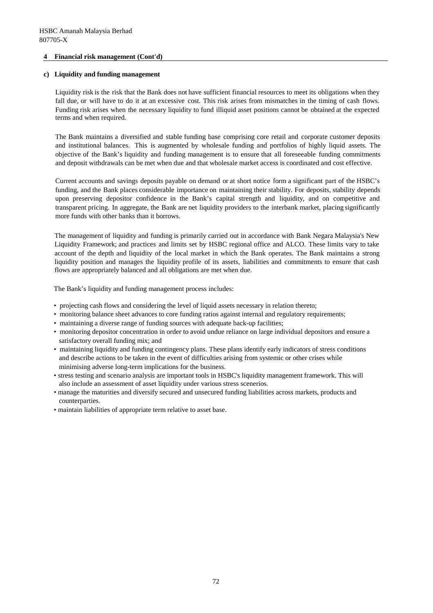#### **c) Liquidity and funding management**

Liquidity risk is the risk that the Bank does not have sufficient financial resources to meet its obligations when they fall due, or will have to do it at an excessive cost. This risk arises from mismatches in the timing of cash flows. Funding risk arises when the necessary liquidity to fund illiquid asset positions cannot be obtained at the expected terms and when required.

The Bank maintains a diversified and stable funding base comprising core retail and corporate customer deposits and institutional balances. This is augmented by wholesale funding and portfolios of highly liquid assets. The objective of the Bank's liquidity and funding management is to ensure that all foreseeable funding commitments and deposit withdrawals can be met when due and that wholesale market access is coordinated and cost effective.

Current accounts and savings deposits payable on demand or at short notice form a significant part of the HSBC's funding, and the Bank places considerable importance on maintaining their stability. For deposits, stability depends upon preserving depositor confidence in the Bank's capital strength and liquidity, and on competitive and transparent pricing. In aggregate, the Bank are net liquidity providers to the interbank market, placing significantly more funds with other banks than it borrows.

The management of liquidity and funding is primarily carried out in accordance with Bank Negara Malaysia's New Liquidity Framework; and practices and limits set by HSBC regional office and ALCO. These limits vary to take account of the depth and liquidity of the local market in which the Bank operates. The Bank maintains a strong liquidity position and manages the liquidity profile of its assets, liabilities and commitments to ensure that cash flows are appropriately balanced and all obligations are met when due.

The Bank's liquidity and funding management process includes:

- projecting cash flows and considering the level of liquid assets necessary in relation thereto;
- monitoring balance sheet advances to core funding ratios against internal and regulatory requirements;
- maintaining a diverse range of funding sources with adequate back-up facilities;
- monitoring depositor concentration in order to avoid undue reliance on large individual depositors and ensure a satisfactory overall funding mix; and
- maintaining liquidity and funding contingency plans. These plans identify early indicators of stress conditions and describe actions to be taken in the event of difficulties arising from systemic or other crises while minimising adverse long-term implications for the business.
- stress testing and scenario analysis are important tools in HSBC's liquidity management framework. This will also include an assessment of asset liquidity under various stress scenerios.
- manage the maturities and diversify secured and unsecured funding liabilities across markets, products and counterparties.
- maintain liabilities of appropriate term relative to asset base.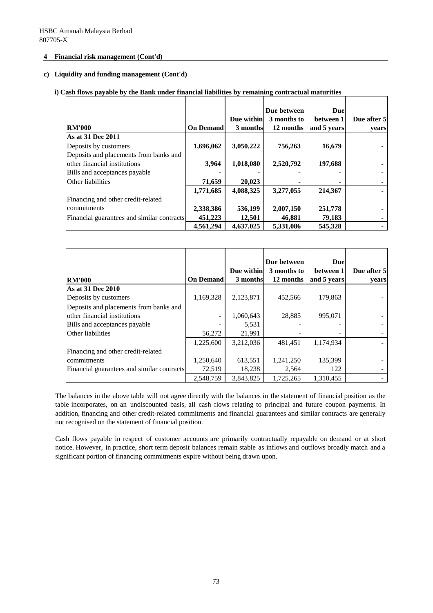#### **c) Liquidity and funding management (Cont'd)**

# **i) Cash flows payable by the Bank under financial liabilities by remaining contractual maturities**

|                                            |                  | Due within | Due between<br>3 months to | <b>Due</b><br>between 1 | Due after 5 |
|--------------------------------------------|------------------|------------|----------------------------|-------------------------|-------------|
| <b>RM'000</b>                              | <b>On Demand</b> | 3 months   | 12 months                  | and 5 years             | vears       |
| As at 31 Dec 2011                          |                  |            |                            |                         |             |
| Deposits by customers                      | 1,696,062        | 3,050,222  | 756,263                    | 16,679                  |             |
| Deposits and placements from banks and     |                  |            |                            |                         |             |
| other financial institutions               | 3,964            | 1,018,080  | 2,520,792                  | 197,688                 |             |
| Bills and acceptances payable              |                  |            |                            |                         |             |
| Other liabilities                          | 71,659           | 20,023     |                            |                         |             |
|                                            | 1,771,685        | 4,088,325  | 3,277,055                  | 214,367                 |             |
| Financing and other credit-related         |                  |            |                            |                         |             |
| commitments                                | 2,338,386        | 536,199    | 2,007,150                  | 251,778                 |             |
| Financial guarantees and similar contracts | 451,223          | 12,501     | 46,881                     | 79,183                  |             |
|                                            | 4,561,294        | 4,637,025  | 5,331,086                  | 545,328                 |             |

|                                            |                  | Due within | Due between<br>3 months to | <b>Due</b><br>between 1 | Due after 5 |
|--------------------------------------------|------------------|------------|----------------------------|-------------------------|-------------|
| <b>RM'000</b>                              | <b>On Demand</b> | 3 months   | 12 months                  | and 5 years             | years       |
| <b>As at 31 Dec 2010</b>                   |                  |            |                            |                         |             |
| Deposits by customers                      | 1,169,328        | 2,123,871  | 452,566                    | 179,863                 |             |
| Deposits and placements from banks and     |                  |            |                            |                         |             |
| other financial institutions               | -                | 1,060,643  | 28.885                     | 995.071                 |             |
| Bills and acceptances payable              |                  | 5,531      |                            |                         |             |
| Other liabilities                          | 56,272           | 21,991     |                            |                         |             |
|                                            | 1,225,600        | 3,212,036  | 481,451                    | 1,174,934               |             |
| Financing and other credit-related         |                  |            |                            |                         |             |
| commitments                                | 1,250,640        | 613,551    | 1,241,250                  | 135,399                 |             |
| Financial guarantees and similar contracts | 72,519           | 18,238     | 2,564                      | 122                     |             |
|                                            | 2,548,759        | 3,843,825  | 1,725,265                  | 1,310,455               |             |

The balances in the above table will not agree directly with the balances in the statement of financial position as the table incorporates, on an undiscounted basis, all cash flows relating to principal and future coupon payments. In addition, financing and other credit-related commitments and financial guarantees and similar contracts are generally not recognised on the statement of financial position.

Cash flows payable in respect of customer accounts are primarily contractually repayable on demand or at short notice. However, in practice, short term deposit balances remain stable as inflows and outflows broadly match and a significant portion of financing commitments expire without being drawn upon.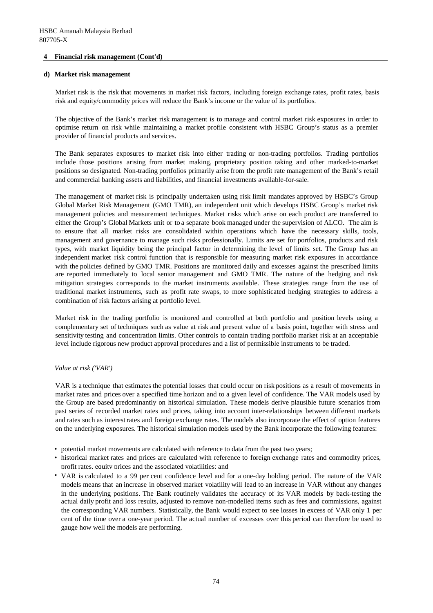#### **d) Market risk management**

Market risk is the risk that movements in market risk factors, including foreign exchange rates, profit rates, basis risk and equity/commodity prices will reduce the Bank's income or the value of its portfolios.

The objective of the Bank's market risk management is to manage and control market risk exposures in order to optimise return on risk while maintaining a market profile consistent with HSBC Group's status as a premier provider of financial products and services.

The Bank separates exposures to market risk into either trading or non-trading portfolios. Trading portfolios include those positions arising from market making, proprietary position taking and other marked-to-market positions so designated. Non-trading portfolios primarily arise from the profit rate management of the Bank's retail and commercial banking assets and liabilities, and financial investments available-for-sale.

The management of market risk is principally undertaken using risk limit mandates approved by HSBC's Group Global Market Risk Management (GMO TMR), an independent unit which develops HSBC Group's market risk management policies and measurement techniques. Market risks which arise on each product are transferred to either the Group's Global Markets unit or to a separate book managed under the supervision of ALCO. The aim is to ensure that all market risks are consolidated within operations which have the necessary skills, tools, management and governance to manage such risks professionally. Limits are set for portfolios, products and risk types, with market liquidity being the principal factor in determining the level of limits set. The Group has an independent market risk control function that is responsible for measuring market risk exposures in accordance with the policies defined by GMO TMR. Positions are monitored daily and excesses against the prescribed limits are reported immediately to local senior management and GMO TMR. The nature of the hedging and risk mitigation strategies corresponds to the market instruments available. These strategies range from the use of traditional market instruments, such as profit rate swaps, to more sophisticated hedging strategies to address a combination of risk factors arising at portfolio level.

Market risk in the trading portfolio is monitored and controlled at both portfolio and position levels using a complementary set of techniques such as value at risk and present value of a basis point, together with stress and sensitivity testing and concentration limits. Other controls to contain trading portfolio market risk at an acceptable level include rigorous new product approval procedures and a list of permissible instruments to be traded.

#### *Value at risk ('VAR')*

VAR is a technique that estimates the potential losses that could occur on risk positions as a result of movements in market rates and prices over a specified time horizon and to a given level of confidence. The VAR models used by the Group are based predominantly on historical simulation. These models derive plausible future scenarios from past series of recorded market rates and prices, taking into account inter-relationships between different markets and rates such as interest rates and foreign exchange rates. The models also incorporate the effect of option features on the underlying exposures. The historical simulation models used by the Bank incorporate the following features:

- potential market movements are calculated with reference to data from the past two years;
- historical market rates and prices are calculated with reference to foreign exchange rates and commodity prices, profit rates, equity prices and the associated volatilities; and
- VAR is calculated to a 99 per cent confidence level and for a one-day holding period. The nature of the VAR models means that an increase in observed market volatility will lead to an increase in VAR without any changes in the underlying positions. The Bank routinely validates the accuracy of its VAR models by back-testing the actual daily profit and loss results, adjusted to remove non-modelled items such as fees and commissions, against the corresponding VAR numbers. Statistically, the Bank would expect to see losses in excess of VAR only 1 per cent of the time over a one-year period. The actual number of excesses over this period can therefore be used to gauge how well the models are performing.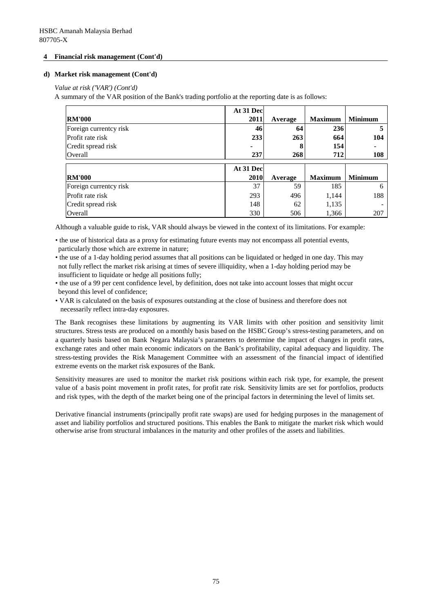#### **d) Market risk management (Cont'd)**

*Value at risk ('VAR') (Cont'd)*

A summary of the VAR position of the Bank's trading portfolio at the reporting date is as follows:

|                        | At 31 Dec |         |                |                |
|------------------------|-----------|---------|----------------|----------------|
| <b>RM'000</b>          | 2011      | Average | <b>Maximum</b> | <b>Minimum</b> |
| Foreign currentcy risk | 46        | 64      | 236            | 5              |
| Profit rate risk       | 233       | 263     | 664            | 104            |
| Credit spread risk     |           | 8       | 154            |                |
| Overall                | 237       | 268     | 712            | 108            |
|                        |           |         |                |                |
|                        |           |         |                |                |
|                        | At 31 Dec |         |                |                |
| <b>RM'000</b>          | 2010      | Average | <b>Maximum</b> | <b>Minimum</b> |
| Foreign currentcy risk | 37        | 59      | 185            | 6              |
| Profit rate risk       | 293       | 496     | 1,144          | 188            |
| Credit spread risk     | 148       | 62      | 1,135          |                |

Although a valuable guide to risk, VAR should always be viewed in the context of its limitations. For example:

- the use of historical data as a proxy for estimating future events may not encompass all potential events, particularly those which are extreme in nature;
- the use of a 1-day holding period assumes that all positions can be liquidated or hedged in one day. This may not fully reflect the market risk arising at times of severe illiquidity, when a 1-day holding period may be insufficient to liquidate or hedge all positions fully;
- the use of a 99 per cent confidence level, by definition, does not take into account losses that might occur beyond this level of confidence;
- VAR is calculated on the basis of exposures outstanding at the close of business and therefore does not necessarily reflect intra-day exposures.

The Bank recognises these limitations by augmenting its VAR limits with other position and sensitivity limit structures. Stress tests are produced on a monthly basis based on the HSBC Group's stress-testing parameters, and on a quarterly basis based on Bank Negara Malaysia's parameters to determine the impact of changes in profit rates, exchange rates and other main economic indicators on the Bank's profitability, capital adequacy and liquidity. The stress-testing provides the Risk Management Committee with an assessment of the financial impact of identified extreme events on the market risk exposures of the Bank.

Sensitivity measures are used to monitor the market risk positions within each risk type, for example, the present value of a basis point movement in profit rates, for profit rate risk. Sensitivity limits are set for portfolios, products and risk types, with the depth of the market being one of the principal factors in determining the level of limits set.

Derivative financial instruments (principally profit rate swaps) are used for hedging purposes in the management of asset and liability portfolios and structured positions. This enables the Bank to mitigate the market risk which would otherwise arise from structural imbalances in the maturity and other profiles of the assets and liabilities.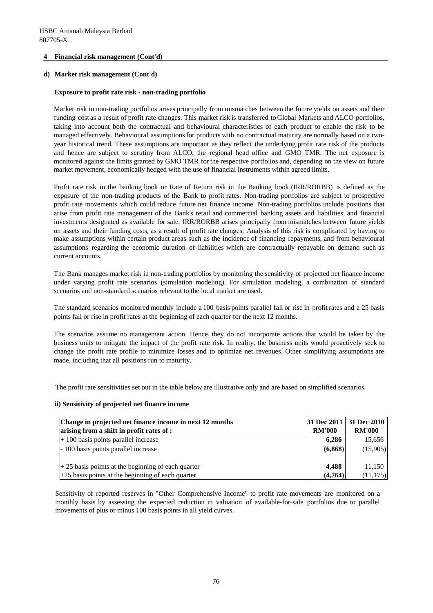#### **d) Market risk management (Cont'd)**

#### **Exposure to profit rate risk - non-trading portfolio**

Market risk in non-trading portfolios arises principally from mismatches between the future yields on assets and their funding cost as a result of profit rate changes. This market risk is transferred to Global Markets and ALCO portfolios, taking into account both the contractual and behavioural characteristics of each product to enable the risk to be managed effectively. Behavioural assumptionsfor products with no contractual maturity are normally based on a twoyear historical trend. These assumptions are important as they reflect the underlying profit rate risk of the products and hence are subject to scrutiny from ALCO, the regional head office and GMO TMR. The net exposure is monitored against the limits granted by GMO TMR for the respective portfolios and, depending on the view on future market movement, economically hedged with the use of financial instruments within agreed limits.

Profit rate risk in the banking book or Rate of Return risk in the Banking book (IRR/RORBB) is defined as the exposure of the non-trading products of the Bank to profit rates. Non-trading portfolios are subject to prospective profit rate movements which could reduce future net finance income. Non-trading portfolios include positions that arise from profit rate management of the Bank's retail and commercial banking assets and liabilities, and financial investments designated as available for sale. IRR/RORBB arises principally from mismatches between future yields on assets and their funding costs, as a result of profit rate changes. Analysis of this risk is complicated by having to make assumptions within certain product areas such as the incidence of financing repayments, and from behavioural assumptions regarding the economic duration of liabilities which are contractually repayable on demand such as current accounts.

The Bank manages market risk in non-trading portfolios by monitoring the sensitivity of projected net finance income under varying profit rate scenarios (simulation modeling). For simulation modeling, a combination of standard scenarios and non-standard scenarios relevant to the local market are used.

The standard scenarios monitored monthly include a 100 basis points parallel fall or rise in profit rates and a 25 basis points fall or rise in profit rates at the beginning of each quarter for the next 12 months.

The scenarios assume no management action. Hence, they do not incorporate actions that would be taken by the business units to mitigate the impact of the profit rate risk. In reality, the business units would proactively seek to change the profit rate profile to minimize losses and to optimize net revenues. Other simplifying assumptions are made, including that all positions run to maturity.

The profit rate sensitivities set out in the table below are illustrative only and are based on simplified scenarios.

#### **ii) Sensitivity of projected net finance income**

| Change in projected net finance income in next 12 months |               | 31 Dec 2011   31 Dec 2010 |
|----------------------------------------------------------|---------------|---------------------------|
| arising from a shift in profit rates of :                | <b>RM'000</b> | <b>RM'000</b>             |
| $+100$ basis points parallel increase                    | 6.286         | 15,656                    |
| -100 basis points parallel increase                      | (6,868)       | (15,905)                  |
|                                                          |               |                           |
| $+25$ basis poimts at the beginning of each quarter      | 4.488         | 11,150                    |
| $+25$ basis points at the beginning of each quarter      | (4,764)       | (11, 175)                 |

Sensitivity of reported reserves in "Other Comprehensive Income" to profit rate movements are monitored on a monthly basis by assessing the expected reduction in valuation of available-for-sale portfolios due to parallel movements of plus or minus 100 basis points in all yield curves.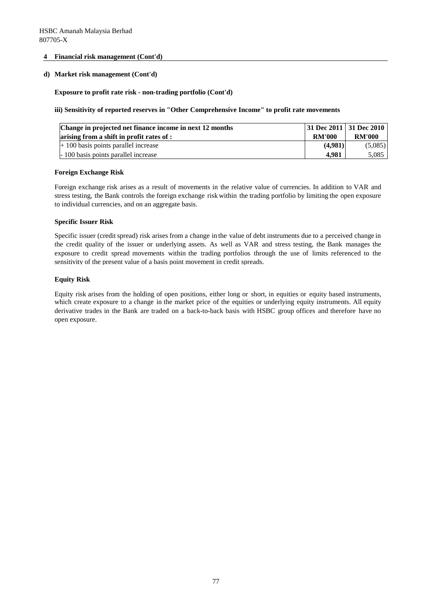#### **d) Market risk management (Cont'd)**

#### **Exposure to profit rate risk - non-trading portfolio (Cont'd)**

#### **iii) Sensitivity of reported reserves in "Other Comprehensive Income" to profit rate movements**

| Change in projected net finance income in next 12 months |               | 31 Dec 2011 31 Dec 2010 |
|----------------------------------------------------------|---------------|-------------------------|
| arising from a shift in profit rates of :                | <b>RM'000</b> | <b>RM'000</b>           |
| $+100$ basis points parallel increase                    | (4.981)       | (5,085)                 |
| -100 basis points parallel increase                      | 4.981         | 5,085                   |

#### **Foreign Exchange Risk**

Foreign exchange risk arises as a result of movements in the relative value of currencies. In addition to VAR and stress testing, the Bank controls the foreign exchange risk within the trading portfolio by limiting the open exposure to individual currencies, and on an aggregate basis.

#### **Specific Issuer Risk**

Specific issuer (credit spread) risk arises from a change in the value of debt instruments due to a perceived change in the credit quality of the issuer or underlying assets. As well as VAR and stress testing, the Bank manages the exposure to credit spread movements within the trading portfolios through the use of limits referenced to the sensitivity of the present value of a basis point movement in credit spreads.

#### **Equity Risk**

Equity risk arises from the holding of open positions, either long or short, in equities or equity based instruments, which create exposure to a change in the market price of the equities or underlying equity instruments. All equity derivative trades in the Bank are traded on a back-to-back basis with HSBC group offices and therefore have no open exposure.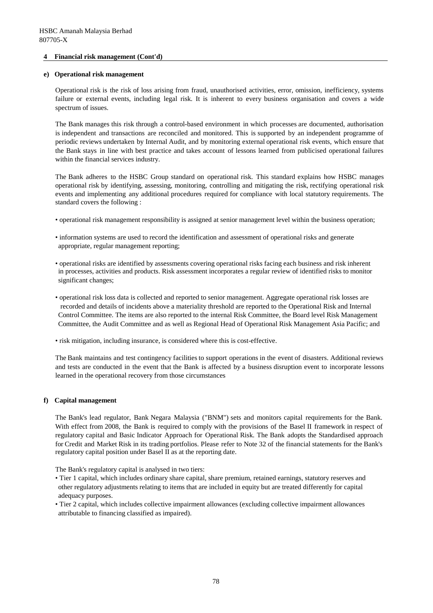#### **e) Operational risk management**

Operational risk is the risk of loss arising from fraud, unauthorised activities, error, omission, inefficiency, systems failure or external events, including legal risk. It is inherent to every business organisation and covers a wide spectrum of issues.

The Bank manages this risk through a control-based environment in which processes are documented, authorisation is independent and transactions are reconciled and monitored. This is supported by an independent programme of periodic reviews undertaken by Internal Audit, and by monitoring external operational risk events, which ensure that the Bank stays in line with best practice and takes account of lessons learned from publicised operational failures within the financial services industry.

The Bank adheres to the HSBC Group standard on operational risk. This standard explains how HSBC manages operational risk by identifying, assessing, monitoring, controlling and mitigating the risk, rectifying operational risk events and implementing any additional procedures required for compliance with local statutory requirements. The standard covers the following :

- operational risk management responsibility is assigned at senior management level within the business operation;
- information systems are used to record the identification and assessment of operational risks and generate appropriate, regular management reporting;
- operational risks are identified by assessments covering operational risks facing each business and risk inherent in processes, activities and products. Risk assessment incorporates a regular review of identified risks to monitor significant changes;
- operational risk loss data is collected and reported to senior management. Aggregate operational risk losses are recorded and details of incidents above a materiality threshold are reported to the Operational Risk and Internal Control Committee. The items are also reported to the internal Risk Committee, the Board level Risk Management Committee, the Audit Committee and as well as Regional Head of Operational Risk Management Asia Pacific; and
- risk mitigation, including insurance, is considered where this is cost-effective.

The Bank maintains and test contingency facilities to support operations in the event of disasters. Additional reviews and tests are conducted in the event that the Bank is affected by a business disruption event to incorporate lessons learned in the operational recovery from those circumstances

#### **f) Capital management**

The Bank's lead regulator, Bank Negara Malaysia ("BNM") sets and monitors capital requirements for the Bank. With effect from 2008, the Bank is required to comply with the provisions of the Basel II framework in respect of regulatory capital and Basic Indicator Approach for Operational Risk. The Bank adopts the Standardised approach for Credit and Market Risk in its trading portfolios. Please refer to Note 32 of the financial statements for the Bank's regulatory capital position under Basel II as at the reporting date.

The Bank's regulatory capital is analysed in two tiers:

- Tier 1 capital, which includes ordinary share capital, share premium, retained earnings, statutory reserves and other regulatory adjustments relating to items that are included in equity but are treated differently for capital adequacy purposes.
- Tier 2 capital, which includes collective impairment allowances (excluding collective impairment allowances attributable to financing classified as impaired).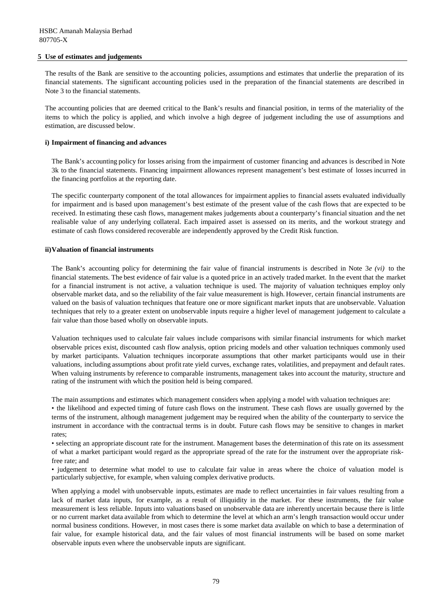#### **5 Use of estimates and judgements**

The results of the Bank are sensitive to the accounting policies, assumptions and estimates that underlie the preparation of its financial statements. The significant accounting policies used in the preparation of the financial statements are described in Note 3 to the financial statements.

The accounting policies that are deemed critical to the Bank's results and financial position, in terms of the materiality of the items to which the policy is applied, and which involve a high degree of judgement including the use of assumptions and estimation, are discussed below.

#### **i) Impairment of financing and advances**

The Bank's accounting policy for losses arising from the impairment of customer financing and advances is described in Note 3k to the financial statements. Financing impairment allowances represent management's best estimate of losses incurred in the financing portfolios at the reporting date.

The specific counterparty component of the total allowances for impairment applies to financial assets evaluated individually for impairment and is based upon management's best estimate of the present value of the cash flows that are expected to be received. In estimating these cash flows, management makes judgements about a counterparty's financial situation and the net realisable value of any underlying collateral. Each impaired asset is assessed on its merits, and the workout strategy and estimate of cash flows considered recoverable are independently approved by the Credit Risk function.

#### **ii)Valuation of financial instruments**

The Bank's accounting policy for determining the fair value of financial instruments is described in Note 3*e (vi)* to the financial statements. The best evidence of fair value is a quoted price in an actively traded market. In the event that the market for a financial instrument is not active, a valuation technique is used. The majority of valuation techniques employ only observable market data, and so the reliability of the fair value measurement is high. However, certain financial instruments are valued on the basis of valuation techniques that feature one or more significant market inputs that are unobservable. Valuation techniques that rely to a greater extent on unobservable inputs require a higher level of management judgement to calculate a fair value than those based wholly on observable inputs.

Valuation techniques used to calculate fair values include comparisons with similar financial instruments for which market observable prices exist, discounted cash flow analysis, option pricing models and other valuation techniques commonly used by market participants. Valuation techniques incorporate assumptions that other market participants would use in their valuations, including assumptions about profit rate yield curves, exchange rates, volatilities, and prepayment and default rates. When valuing instruments by reference to comparable instruments, management takes into account the maturity, structure and rating of the instrument with which the position held is being compared.

The main assumptions and estimates which management considers when applying a model with valuation techniques are: • the likelihood and expected timing of future cash flows on the instrument. These cash flows are usually governed by the terms of the instrument, although management judgement may be required when the ability of the counterparty to service the instrument in accordance with the contractual terms is in doubt. Future cash flows may be sensitive to changes in market rates;

• selecting an appropriate discount rate for the instrument. Management bases the determination of this rate on its assessment of what a market participant would regard as the appropriate spread of the rate for the instrument over the appropriate riskfree rate; and

• judgement to determine what model to use to calculate fair value in areas where the choice of valuation model is particularly subjective, for example, when valuing complex derivative products.

When applying a model with unobservable inputs, estimates are made to reflect uncertainties in fair values resulting from a lack of market data inputs, for example, as a result of illiquidity in the market. For these instruments, the fair value measurement is less reliable. Inputs into valuations based on unobservable data are inherently uncertain because there is little or no current market data available from which to determine the level at which an arm's length transaction would occur under normal business conditions. However, in most cases there is some market data available on which to base a determination of fair value, for example historical data, and the fair values of most financial instruments will be based on some market observable inputs even where the unobservable inputs are significant.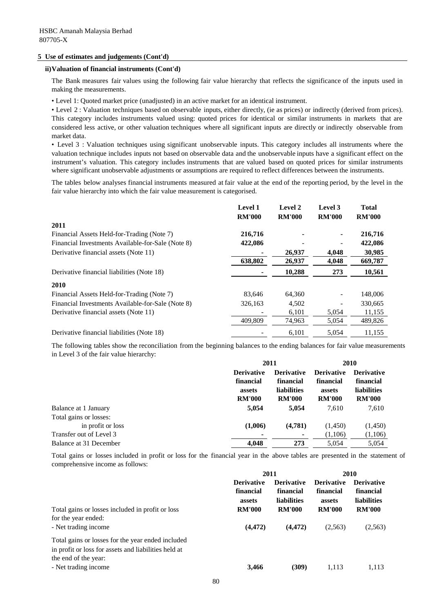#### **5 Use of estimates and judgements (Cont'd)**

#### **ii)Valuation of financial instruments (Cont'd)**

The Bank measures fair values using the following fair value hierarchy that reflects the significance of the inputs used in making the measurements.

• Level 1: Quoted market price (unadjusted) in an active market for an identical instrument.

• Level 2 : Valuation techniques based on observable inputs, either directly, (ie as prices) or indirectly (derived from prices). This category includes instruments valued using: quoted prices for identical or similar instruments in markets that are considered less active, or other valuation techniques where all significant inputs are directly or indirectly observable from market data.

• Level 3 : Valuation techniques using significant unobservable inputs. This category includes all instruments where the valuation technique includes inputs not based on observable data and the unobservable inputs have a significant effect on the instrument's valuation. This category includes instruments that are valued based on quoted prices for similar instruments where significant unobservable adjustments or assumptions are required to reflect differences between the instruments.

The tables below analyses financial instruments measured at fair value at the end of the reporting period, by the level in the fair value hierarchy into which the fair value measurement is categorised.

|                                                   | <b>Level 1</b> | Level 2       | Level 3       | <b>Total</b>  |
|---------------------------------------------------|----------------|---------------|---------------|---------------|
|                                                   | <b>RM'000</b>  | <b>RM'000</b> | <b>RM'000</b> | <b>RM'000</b> |
| 2011                                              |                |               |               |               |
| Financial Assets Held-for-Trading (Note 7)        | 216,716        |               | ٠             | 216,716       |
| Financial Investments Available-for-Sale (Note 8) | 422,086        |               | -             | 422,086       |
| Derivative financial assets (Note 11)             |                | 26,937        | 4,048         | 30,985        |
|                                                   | 638,802        | 26,937        | 4,048         | 669,787       |
| Derivative financial liabilities (Note 18)        |                | 10,288        | 273           | 10,561        |
| <b>2010</b>                                       |                |               |               |               |
| Financial Assets Held-for-Trading (Note 7)        | 83.646         | 64,360        |               | 148,006       |
| Financial Investments Available-for-Sale (Note 8) | 326,163        | 4,502         | ۰             | 330,665       |
| Derivative financial assets (Note 11)             |                | 6,101         | 5,054         | 11,155        |
|                                                   | 409,809        | 74,963        | 5,054         | 489,826       |
| Derivative financial liabilities (Note 18)        |                | 6,101         | 5,054         | 11,155        |

The following tables show the reconciliation from the beginning balances to the ending balances for fair value measurements in Level 3 of the fair value hierarchy:

|                         | 2011              |                    | 2010              |                    |
|-------------------------|-------------------|--------------------|-------------------|--------------------|
|                         | <b>Derivative</b> | <b>Derivative</b>  | <b>Derivative</b> | <b>Derivative</b>  |
|                         | financial         | financial          | financial         | financial          |
|                         | assets            | <b>liabilities</b> | assets            | <b>liabilities</b> |
|                         | <b>RM'000</b>     | <b>RM'000</b>      | <b>RM'000</b>     | <b>RM'000</b>      |
| Balance at 1 January    | 5,054             | 5,054              | 7,610             | 7,610              |
| Total gains or losses:  |                   |                    |                   |                    |
| in profit or loss       | (1,006)           | (4,781)            | (1,450)           | (1,450)            |
| Transfer out of Level 3 | ۰                 |                    | (1,106)           | (1,106)            |
| Balance at 31 December  | 4.048             | 273                | 5,054             | 5,054              |

Total gains or losses included in profit or loss for the financial year in the above tables are presented in the statement of comprehensive income as follows:

|                                                                                                                                   | 2011                                     |                                                      | 2010                                     |                                                      |
|-----------------------------------------------------------------------------------------------------------------------------------|------------------------------------------|------------------------------------------------------|------------------------------------------|------------------------------------------------------|
|                                                                                                                                   | <b>Derivative</b><br>financial<br>assets | <b>Derivative</b><br>financial<br><b>liabilities</b> | <b>Derivative</b><br>financial<br>assets | <b>Derivative</b><br>financial<br><b>liabilities</b> |
| Total gains or losses included in profit or loss<br>for the year ended:<br>- Net trading income                                   | <b>RM'000</b><br>(4, 472)                | <b>RM'000</b><br>(4, 472)                            | <b>RM'000</b><br>(2,563)                 | <b>RM'000</b><br>(2,563)                             |
| Total gains or losses for the year ended included<br>in profit or loss for assets and liabilities held at<br>the end of the year: |                                          |                                                      |                                          |                                                      |
| - Net trading income                                                                                                              | 3,466                                    | (309)                                                | 1,113                                    | 1,113                                                |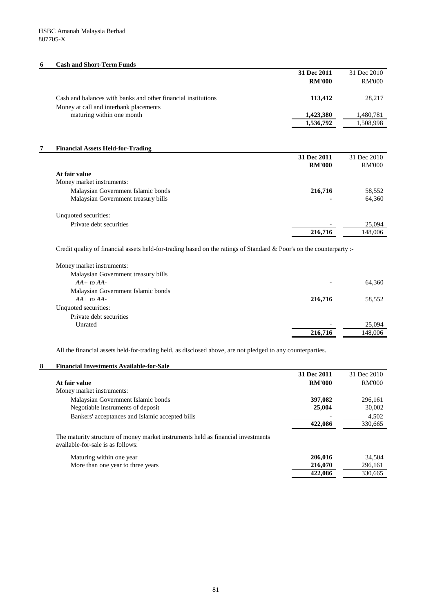#### **6 Cash and Short-Term Funds**

|                                                                                                         | 31 Dec 2011<br><b>RM'000</b> | 31 Dec 2010<br><b>RM'000</b> |
|---------------------------------------------------------------------------------------------------------|------------------------------|------------------------------|
| Cash and balances with banks and other financial institutions<br>Money at call and interbank placements | 113,412                      | 28,217                       |
| maturing within one month                                                                               | 1,423,380                    | 1,480,781                    |
|                                                                                                         | 1,536,792                    | 1,508,998                    |

#### **7 Financial Assets Held-for-Trading**

|                                     | 31 Dec 2011   | 31 Dec 2010   |
|-------------------------------------|---------------|---------------|
|                                     | <b>RM'000</b> | <b>RM'000</b> |
| At fair value                       |               |               |
| Money market instruments:           |               |               |
| Malaysian Government Islamic bonds  | 216,716       | 58,552        |
| Malaysian Government treasury bills |               | 64,360        |
| Unquoted securities:                |               |               |
| Private debt securities             | ۰             | 25,094        |
|                                     | 216,716       | 148.006       |

Credit quality of financial assets held-for-trading based on the ratings of Standard & Poor's on the counterparty :-

| Money market instruments:           |         |
|-------------------------------------|---------|
| Malaysian Government treasury bills |         |
| $AA + to AA$<br>۰                   | 64,360  |
| Malaysian Government Islamic bonds  |         |
| 216,716<br>$AA + to AA$             | 58,552  |
| Unquoted securities:                |         |
| Private debt securities             |         |
| Unrated                             | 25,094  |
| 216,716                             | 148,006 |

All the financial assets held-for-trading held, as disclosed above, are not pledged to any counterparties.

# **8 Financial Investments Available-for-Sale**

|                                                 | 31 Dec 2011    | 31 Dec 2010   |
|-------------------------------------------------|----------------|---------------|
| At fair value                                   | <b>RM'000</b>  | <b>RM'000</b> |
| Money market instruments:                       |                |               |
| Malaysian Government Islamic bonds              | 397.082        | 296,161       |
| Negotiable instruments of deposit               | 25,004         | 30,002        |
| Bankers' acceptances and Islamic accepted bills | $\blacksquare$ | 4.502         |
|                                                 | 422,086        | 330,665       |

The maturity structure of money market instruments held as financial investments available-for-sale is as follows:

| Maturing within one year          | 206.016 | 34.504  |
|-----------------------------------|---------|---------|
| More than one year to three years | 216.070 | 296,161 |
|                                   | 422,086 | 330.665 |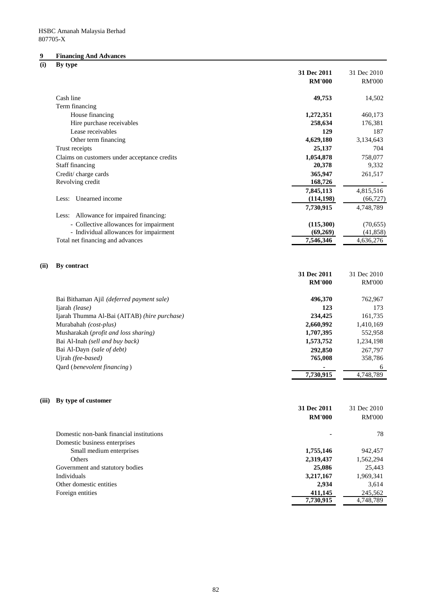# **9 Financing And Advances**

# **(i) By type**

|      | $\boldsymbol{v}$<br>$\mathbf{v}$ $\mathbf{r}$ | 31 Dec 2011   | 31 Dec 2010   |
|------|-----------------------------------------------|---------------|---------------|
|      |                                               | <b>RM'000</b> | <b>RM'000</b> |
|      |                                               |               |               |
|      | Cash line                                     | 49,753        | 14,502        |
|      | Term financing                                |               |               |
|      | House financing                               | 1,272,351     | 460,173       |
|      | Hire purchase receivables                     | 258,634       | 176,381       |
|      | Lease receivables                             | 129           | 187           |
|      | Other term financing                          | 4,629,180     | 3,134,643     |
|      | Trust receipts                                | 25,137        | 704           |
|      | Claims on customers under acceptance credits  | 1,054,878     | 758,077       |
|      | Staff financing                               | 20,378        | 9,332         |
|      | Credit/charge cards                           | 365,947       | 261,517       |
|      | Revolving credit                              | 168,726       |               |
|      |                                               | 7,845,113     | 4,815,516     |
|      | Unearned income<br>Less:                      | (114, 198)    | (66, 727)     |
|      |                                               | 7,730,915     | 4,748,789     |
|      | Less: Allowance for impaired financing:       |               |               |
|      | - Collective allowances for impairment        | (115,300)     | (70, 655)     |
|      | - Individual allowances for impairment        | (69,269)      | (41, 858)     |
|      | Total net financing and advances              | 7,546,346     | 4,636,276     |
|      |                                               |               |               |
| (ii) | By contract                                   |               |               |
|      |                                               | 31 Dec 2011   | 31 Dec 2010   |
|      |                                               | <b>RM'000</b> | <b>RM'000</b> |
|      |                                               |               |               |
|      | Bai Bithaman Ajil (deferred payment sale)     | 496,370       | 762,967       |
|      | Ijarah (lease)                                | 123           | 173           |
|      | Ijarah Thumma Al-Bai (AITAB) (hire purchase)  | 234,425       | 161,735       |
|      | Murabahah (cost-plus)                         | 2,660,992     | 1,410,169     |
|      | Musharakah (profit and loss sharing)          | 1,707,395     | 552,958       |
|      | Bai Al-Inah (sell and buy back)               | 1,573,752     | 1,234,198     |
|      | Bai Al-Dayn (sale of debt)                    | 292,850       | 267,797       |
|      | Ujrah (fee-based)                             | 765,008       | 358,786       |
|      | Qard (benevolent financing)                   |               | 6             |
|      |                                               | 7,730,915     | 4,748,789     |
|      |                                               |               |               |
|      |                                               |               |               |
|      | (iii) By type of customer                     |               |               |
|      |                                               | 31 Dec 2011   | 31 Dec 2010   |
|      |                                               | <b>RM'000</b> | <b>RM'000</b> |
|      | Domestic non-bank financial institutions      |               | 78            |
|      | Domestic business enterprises                 |               |               |
|      | Small medium enterprises                      | 1,755,146     | 942,457       |
|      | Others                                        | 2,319,437     | 1,562,294     |
|      | Government and statutory bodies               | 25,086        | 25,443        |
|      | Individuals                                   | 3,217,167     | 1,969,341     |
|      | Other domestic entities                       | 2,934         | 3,614         |
|      | Foreign entities                              | 411,145       | 245,562       |
|      |                                               | 7,730,915     | 4,748,789     |
|      |                                               |               |               |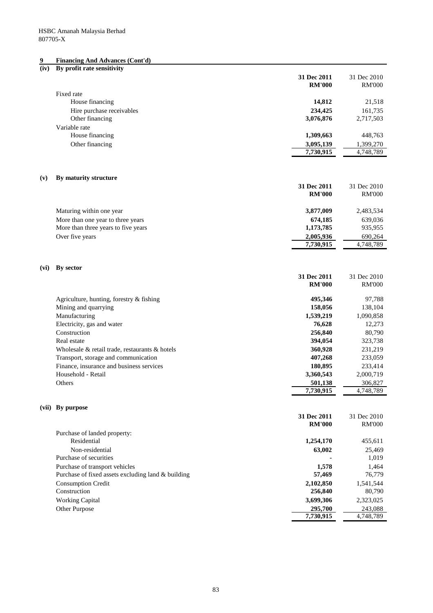#### **9 Financing And Advances (Cont'd)**

#### **(iv) By profit rate sensitivity**

|      | $\mathbf{v}_j$ promerant seminarity                                      | 31 Dec 2011<br><b>RM'000</b> | 31 Dec 2010<br><b>RM'000</b> |
|------|--------------------------------------------------------------------------|------------------------------|------------------------------|
|      | Fixed rate                                                               |                              |                              |
|      | House financing                                                          | 14,812                       | 21,518                       |
|      | Hire purchase receivables                                                | 234,425                      | 161,735                      |
|      | Other financing                                                          | 3,076,876                    | 2,717,503                    |
|      | Variable rate                                                            |                              |                              |
|      | House financing                                                          | 1,309,663                    | 448,763                      |
|      | Other financing                                                          | 3,095,139                    | 1,399,270                    |
|      |                                                                          | 7,730,915                    | 4,748,789                    |
| (v)  | By maturity structure                                                    |                              |                              |
|      |                                                                          | 31 Dec 2011                  | 31 Dec 2010                  |
|      |                                                                          | <b>RM'000</b>                | <b>RM'000</b>                |
|      |                                                                          |                              |                              |
|      | Maturing within one year                                                 | 3,877,009                    | 2,483,534                    |
|      | More than one year to three years<br>More than three years to five years | 674,185                      | 639,036                      |
|      | Over five years                                                          | 1,173,785<br>2,005,936       | 935,955<br>690,264           |
|      |                                                                          | 7,730,915                    | 4,748,789                    |
|      |                                                                          |                              |                              |
| (vi) | By sector                                                                |                              |                              |
|      |                                                                          | 31 Dec 2011                  | 31 Dec 2010                  |
|      |                                                                          | <b>RM'000</b>                | <b>RM'000</b>                |
|      | Agriculture, hunting, forestry & fishing                                 | 495,346                      | 97,788                       |
|      | Mining and quarrying                                                     | 158,056                      | 138,104                      |
|      | Manufacturing                                                            | 1,539,219                    | 1,090,858                    |
|      | Electricity, gas and water                                               | 76,628                       | 12,273                       |
|      | Construction                                                             | 256,840                      | 80,790                       |
|      | Real estate                                                              | 394,054                      | 323,738                      |
|      | Wholesale & retail trade, restaurants & hotels                           | 360,928                      | 231,219                      |
|      | Transport, storage and communication                                     | 407,268                      | 233,059                      |
|      | Finance, insurance and business services                                 | 180,895                      | 233,414                      |
|      | Household - Retail                                                       | 3,360,543                    | 2,000,719                    |
|      | Others                                                                   | 501,138                      | 306,827                      |
|      |                                                                          | 7,730,915                    | 4,748,789                    |
|      | (vii) By purpose                                                         |                              |                              |
|      |                                                                          | 31 Dec 2011                  | 31 Dec 2010                  |
|      |                                                                          | <b>RM'000</b>                | <b>RM'000</b>                |
|      | Purchase of landed property:                                             |                              |                              |
|      | Residential                                                              | 1,254,170                    | 455,611                      |
|      | Non-residential                                                          | 63,002                       | 25,469                       |
|      | Purchase of securities                                                   |                              | 1,019                        |
|      | Purchase of transport vehicles                                           | 1,578                        | 1,464                        |
|      | Purchase of fixed assets excluding land & building                       | 57,469                       | 76,779                       |
|      | <b>Consumption Credit</b>                                                | 2,102,850                    | 1,541,544                    |
|      | Construction                                                             | 256,840                      | 80,790                       |
|      | <b>Working Capital</b>                                                   | 3,699,306                    | 2,323,025                    |
|      | Other Purpose                                                            | 295,700                      | 243,088                      |
|      |                                                                          | 7,730,915                    | 4,748,789                    |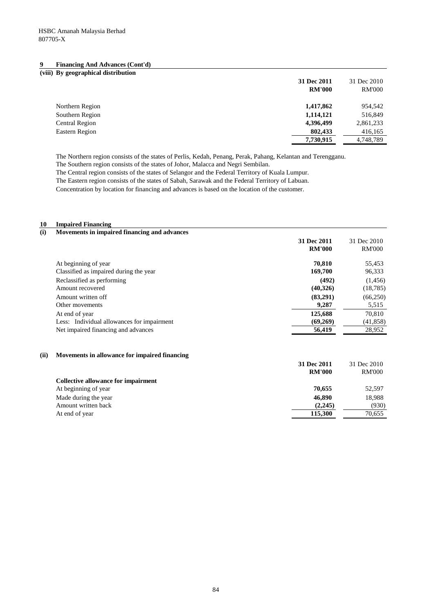| (viii) By geographical distribution |               |               |
|-------------------------------------|---------------|---------------|
|                                     | 31 Dec 2011   | 31 Dec 2010   |
|                                     | <b>RM'000</b> | <b>RM'000</b> |
| Northern Region                     | 1,417,862     | 954,542       |
| Southern Region                     | 1,114,121     | 516,849       |
| Central Region                      | 4,396,499     | 2,861,233     |
| Eastern Region                      | 802,433       | 416,165       |
|                                     | 7,730,915     | 4,748,789     |

The Northern region consists of the states of Perlis, Kedah, Penang, Perak, Pahang, Kelantan and Terengganu. The Southern region consists of the states of Johor, Malacca and Negri Sembilan.

The Central region consists of the states of Selangor and the Federal Territory of Kuala Lumpur.

The Eastern region consists of the states of Sabah, Sarawak and the Federal Territory of Labuan.

Concentration by location for financing and advances is based on the location of the customer.

#### **10 Impaired Financing**

| Movements in impaired financing and advances |
|----------------------------------------------|
|                                              |

| 31 Dec 2011<br><b>RM'000</b> | 31 Dec 2010<br><b>RM'000</b> |
|------------------------------|------------------------------|
| 70.810                       | 55,453                       |
| 169,700                      | 96,333                       |
| (492)                        | (1,456)                      |
| (40,326)                     | (18, 785)                    |
| (83,291)                     | (66, 250)                    |
| 9,287                        | 5,515                        |
| 125,688                      | 70,810                       |
| (69,269)                     | (41, 858)                    |
| 56,419                       | 28,952                       |
|                              |                              |

#### **(ii) Movements in allowance for impaired financing**

|                                     | 31 Dec 2011<br><b>RM'000</b> | 31 Dec 2010<br><b>RM'000</b> |
|-------------------------------------|------------------------------|------------------------------|
| Collective allowance for impairment |                              |                              |
| At beginning of year                | 70.655                       | 52,597                       |
| Made during the year                | 46,890                       | 18,988                       |
| Amount written back                 | (2,245)                      | (930)                        |
| At end of year                      | 115,300                      | 70.655                       |
|                                     |                              |                              |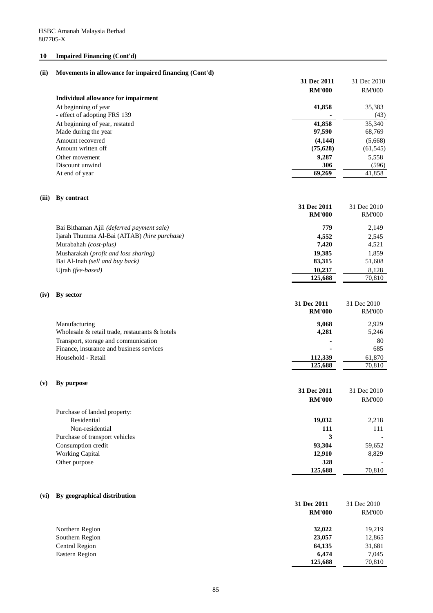# **10 Impaired Financing (Cont'd)**

#### **(ii) Movements in allowance for impaired financing (Cont'd)**

|                                     | 31 Dec 2011   | 31 Dec 2010   |
|-------------------------------------|---------------|---------------|
|                                     | <b>RM'000</b> | <b>RM'000</b> |
| Individual allowance for impairment |               |               |
| At beginning of year                | 41,858        | 35,383        |
| - effect of adopting FRS 139        |               | (43)          |
| At beginning of year, restated      | 41,858        | 35,340        |
| Made during the year                | 97,590        | 68,769        |
| Amount recovered                    | (4, 144)      | (5,668)       |
| Amount written off                  | (75,628)      | (61, 545)     |
| Other movement                      | 9,287         | 5,558         |
| Discount unwind                     | 306           | (596)         |
| At end of year                      | 69,269        | 41,858        |

#### **(iii) By contract**

|                                               | 31 Dec 2011<br><b>RM'000</b> | 31 Dec 2010<br><b>RM'000</b> |
|-----------------------------------------------|------------------------------|------------------------------|
| Bai Bithaman Ajil (deferred payment sale)     | 779                          | 2,149                        |
| Ijarah Thumma Al-Bai (AITAB) (hire purchase)  | 4,552                        | 2,545                        |
| Murabahah (cost-plus)                         | 7.420                        | 4,521                        |
| Musharakah ( <i>profit and loss sharing</i> ) | 19,385                       | 1.859                        |
| Bai Al-Inah (sell and buy back)               | 83,315                       | 51,608                       |
| Ujrah <i>(fee-based)</i>                      | 10.237                       | 8.128                        |
|                                               | 125,688                      | 70.810                       |

#### **(iv) By sector**

|                                                | 31 Dec 2011<br><b>RM'000</b> | 31 Dec 2010<br><b>RM'000</b> |
|------------------------------------------------|------------------------------|------------------------------|
| Manufacturing                                  | 9.068                        | 2.929                        |
| Wholesale & retail trade, restaurants & hotels | 4,281                        | 5,246                        |
| Transport, storage and communication           | $\blacksquare$               | 80                           |
| Finance, insurance and business services       | $\blacksquare$               | 685                          |
| Household - Retail                             | 112,339                      | 61,870                       |
|                                                | 125,688                      | 70,810                       |
|                                                |                              |                              |

#### **(v) By purpose**

|                                | <b>RM'000</b> | <b>RM'000</b> |
|--------------------------------|---------------|---------------|
| Purchase of landed property:   |               |               |
| Residential                    | 19,032        | 2,218         |
| Non-residential                | 111           | 111           |
| Purchase of transport vehicles | 3             |               |
| Consumption credit             | 93,304        | 59,652        |
| <b>Working Capital</b>         | 12,910        | 8,829         |
| Other purpose                  | 328           |               |
|                                | 125,688       | 70,810        |

**31 Dec 2011** 31 Dec 2010

#### **(vi) By geographical distribution**

| ру деодгаршсат симподитом | 31 Dec 2011<br><b>RM'000</b> | 31 Dec 2010<br><b>RM'000</b> |
|---------------------------|------------------------------|------------------------------|
| Northern Region           | 32,022                       | 19,219                       |
| Southern Region           | 23,057                       | 12,865                       |
| Central Region            | 64,135                       | 31,681                       |
| Eastern Region            | 6,474                        | 7,045                        |
|                           | 125,688                      | 70,810                       |
|                           |                              |                              |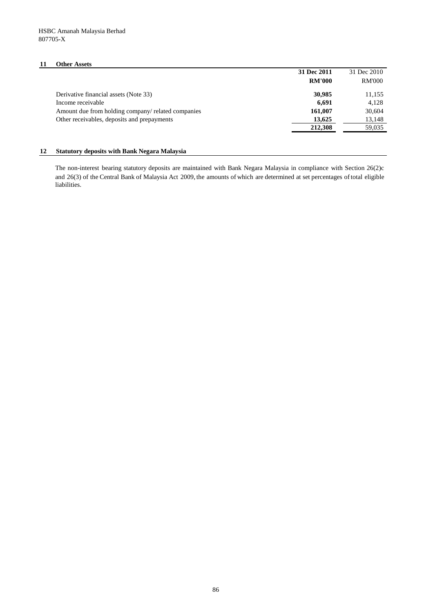# **11 Other Assets**

| 31 Dec 2011   | 31 Dec 2010   |
|---------------|---------------|
| <b>RM'000</b> | <b>RM'000</b> |
| 30,985        | 11,155        |
| 6,691         | 4,128         |
| 161,007       | 30,604        |
| 13,625        | 13,148        |
| 212,308       | 59,035        |
|               |               |

# **12 Statutory deposits with Bank Negara Malaysia**

The non-interest bearing statutory deposits are maintained with Bank Negara Malaysia in compliance with Section 26(2)c and 26(3) of the Central Bank of Malaysia Act 2009, the amounts of which are determined at set percentages oftotal eligible liabilities.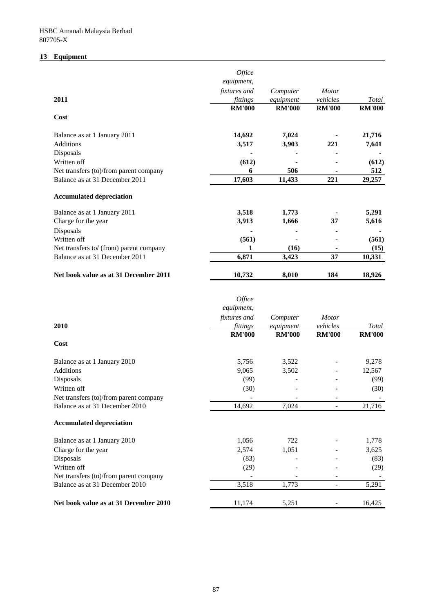# **13 Equipment**

|                                         | Office<br>equipment,            |                       | <b>Motor</b>  |               |
|-----------------------------------------|---------------------------------|-----------------------|---------------|---------------|
| 2011                                    | <i>fixtures and</i><br>fittings | Computer<br>equipment | vehicles      | Total         |
|                                         | <b>RM'000</b>                   | <b>RM'000</b>         | <b>RM'000</b> | <b>RM'000</b> |
| Cost                                    |                                 |                       |               |               |
| Balance as at 1 January 2011            | 14,692                          | 7,024                 |               | 21,716        |
| <b>Additions</b>                        | 3,517                           | 3,903                 | 221           | 7,641         |
| Disposals                               |                                 |                       |               |               |
| Written off                             | (612)                           |                       |               | (612)         |
| Net transfers (to)/from parent company  | 6                               | 506                   |               | 512           |
| Balance as at 31 December 2011          | 17,603                          | 11,433                | 221           | 29,257        |
| <b>Accumulated depreciation</b>         |                                 |                       |               |               |
| Balance as at 1 January 2011            | 3,518                           | 1,773                 |               | 5,291         |
| Charge for the year                     | 3,913                           | 1,666                 | 37            | 5,616         |
| Disposals                               |                                 |                       |               |               |
| Written off                             | (561)                           |                       |               | (561)         |
| Net transfers to/ (from) parent company | 1                               | (16)                  |               | (15)          |
| Balance as at 31 December 2011          | 6,871                           | 3,423                 | 37            | 10,331        |
| Net book value as at 31 December 2011   | 10,732                          | 8,010                 | 184           | 18,926        |

|                                        | Office        |               |               |               |
|----------------------------------------|---------------|---------------|---------------|---------------|
|                                        | equipment,    |               |               |               |
|                                        | fixtures and  | Computer      | <b>Motor</b>  |               |
| 2010                                   | fittings      | equipment     | vehicles      | Total         |
| Cost                                   | <b>RM'000</b> | <b>RM'000</b> | <b>RM'000</b> | <b>RM'000</b> |
| Balance as at 1 January 2010           | 5,756         | 3,522         |               | 9,278         |
| <b>Additions</b>                       | 9,065         | 3,502         |               | 12,567        |
| Disposals                              | (99)          |               |               | (99)          |
| Written off                            | (30)          |               |               | (30)          |
| Net transfers (to)/from parent company |               |               |               |               |
| Balance as at 31 December 2010         | 14,692        | 7,024         |               | 21,716        |
| <b>Accumulated depreciation</b>        |               |               |               |               |
| Balance as at 1 January 2010           | 1,056         | 722           |               | 1,778         |
| Charge for the year                    | 2,574         | 1,051         |               | 3,625         |
| Disposals                              | (83)          |               |               | (83)          |
| Written off                            | (29)          |               |               | (29)          |
| Net transfers (to)/from parent company |               |               |               |               |
| Balance as at 31 December 2010         | 3,518         | 1,773         |               | 5,291         |
| Net book value as at 31 December 2010  | 11,174        | 5,251         |               | 16,425        |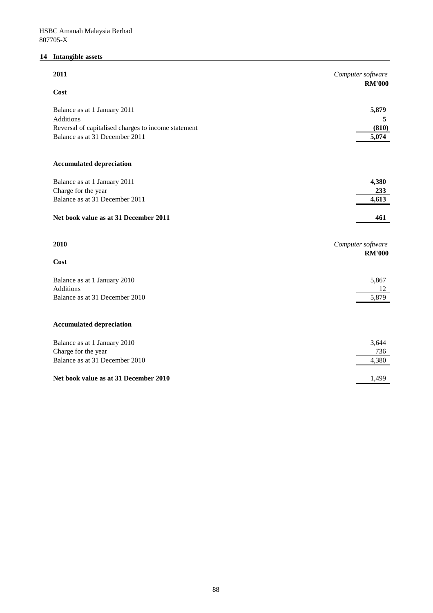# **14 Intangible assets**

| 2011                                                                                  | Computer software                  |
|---------------------------------------------------------------------------------------|------------------------------------|
| Cost                                                                                  | <b>RM'000</b>                      |
| Balance as at 1 January 2011                                                          | 5,879                              |
| Additions                                                                             | 5                                  |
| Reversal of capitalised charges to income statement<br>Balance as at 31 December 2011 | (810)<br>5,074                     |
|                                                                                       |                                    |
| <b>Accumulated depreciation</b>                                                       |                                    |
| Balance as at 1 January 2011                                                          | 4,380                              |
| Charge for the year                                                                   | 233                                |
| Balance as at 31 December 2011                                                        | 4,613                              |
| Net book value as at 31 December 2011                                                 | 461                                |
| 2010                                                                                  | Computer software<br><b>RM'000</b> |
| Cost                                                                                  |                                    |
| Balance as at 1 January 2010                                                          | 5,867                              |
| <b>Additions</b>                                                                      | 12                                 |
| Balance as at 31 December 2010                                                        | 5,879                              |
|                                                                                       |                                    |
| <b>Accumulated depreciation</b>                                                       |                                    |
| Balance as at 1 January 2010                                                          | 3,644                              |
| Charge for the year                                                                   | 736                                |
| Balance as at 31 December 2010                                                        | 4,380                              |
| Net book value as at 31 December 2010                                                 | 1,499                              |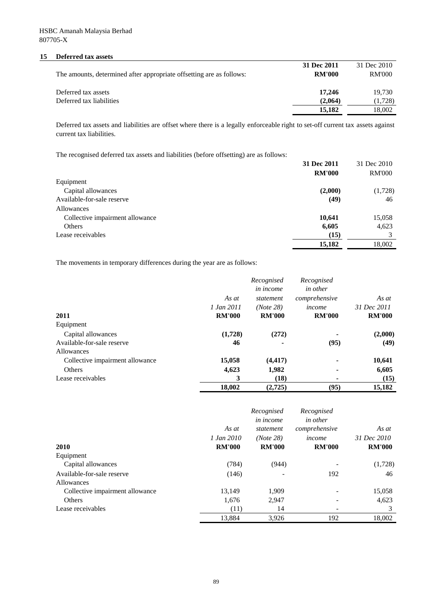#### **15 Deferred tax assets**

|                                                                      | 31 Dec 2011   | 31 Dec 2010 |
|----------------------------------------------------------------------|---------------|-------------|
| The amounts, determined after appropriate offsetting are as follows: | <b>RM'000</b> | RM'000      |
| Deferred tax assets                                                  | 17.246        | 19.730      |
| Deferred tax liabilities                                             | (2.064)       | (1,728)     |
|                                                                      | 15.182        | 18.002      |

Deferred tax assets and liabilities are offset where there is a legally enforceable right to set-off current tax assets against current tax liabilities.

The recognised deferred tax assets and liabilities (before offsetting) are as follows:

| The recognition derented this models must interimes (occurs officially) me ms rolls was |               |               |
|-----------------------------------------------------------------------------------------|---------------|---------------|
|                                                                                         | 31 Dec 2011   | 31 Dec 2010   |
|                                                                                         | <b>RM'000</b> | <b>RM'000</b> |
| Equipment                                                                               |               |               |
| Capital allowances                                                                      | (2,000)       | (1,728)       |
| Available-for-sale reserve                                                              | (49)          | 46            |
| <b>Allowances</b>                                                                       |               |               |
| Collective impairment allowance                                                         | 10,641        | 15,058        |
| Others                                                                                  | 6,605         | 4,623         |
| Lease receivables                                                                       | (15)          |               |
|                                                                                         | 15,182        | 18.002        |

The movements in temporary differences during the year are as follows:

|                                 |               | Recognised<br>in income | Recognised<br><i>in other</i> |               |
|---------------------------------|---------------|-------------------------|-------------------------------|---------------|
|                                 | As at         | statement               | comprehensive                 | As at         |
|                                 | 1 Jan 2011    | (Note 28)               | income                        | 31 Dec 2011   |
| 2011                            | <b>RM'000</b> | <b>RM'000</b>           | <b>RM'000</b>                 | <b>RM'000</b> |
| Equipment                       |               |                         |                               |               |
| Capital allowances              | (1,728)       | (272)                   |                               | (2,000)       |
| Available-for-sale reserve      | 46            |                         | (95)                          | (49)          |
| Allowances                      |               |                         |                               |               |
| Collective impairment allowance | 15,058        | (4, 417)                |                               | 10,641        |
| <b>Others</b>                   | 4,623         | 1,982                   |                               | 6,605         |
| Lease receivables               | 3             | (18)                    |                               | (15)          |
|                                 | 18,002        | (2,725)                 | (95)                          | 15,182        |

|                                 | As at         | Recognised<br>in income<br>statement | Recognised<br><i>in other</i><br>comprehensive | As at         |
|---------------------------------|---------------|--------------------------------------|------------------------------------------------|---------------|
|                                 | 1 Jan 2010    | (Note 28)                            | income                                         | 31 Dec 2010   |
| 2010                            | <b>RM'000</b> | <b>RM'000</b>                        | <b>RM'000</b>                                  | <b>RM'000</b> |
| Equipment                       |               |                                      |                                                |               |
| Capital allowances              | (784)         | (944)                                |                                                | (1,728)       |
| Available-for-sale reserve      | (146)         |                                      | 192                                            | 46            |
| Allowances                      |               |                                      |                                                |               |
| Collective impairment allowance | 13,149        | 1,909                                |                                                | 15,058        |
| Others                          | 1,676         | 2,947                                |                                                | 4,623         |
| Lease receivables               | (11)          | 14                                   |                                                |               |
|                                 | 13,884        | 3,926                                | 192                                            | 18,002        |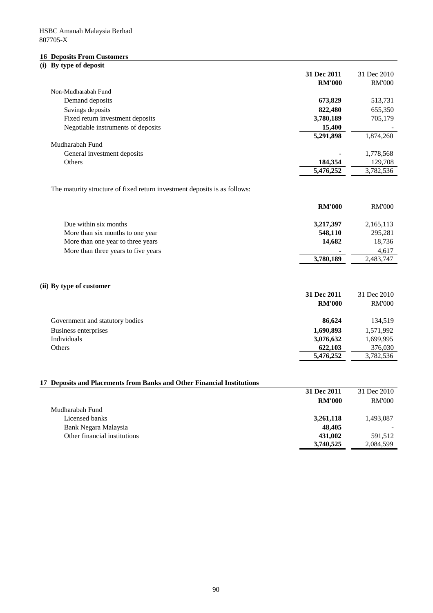#### **16 Deposits From Customers**

#### **(i) By type of deposit**

|                                    | 31 Dec 2011   | 31 Dec 2010   |
|------------------------------------|---------------|---------------|
|                                    | <b>RM'000</b> | <b>RM'000</b> |
| Non-Mudharabah Fund                |               |               |
| Demand deposits                    | 673,829       | 513,731       |
| Savings deposits                   | 822,480       | 655,350       |
| Fixed return investment deposits   | 3,780,189     | 705,179       |
| Negotiable instruments of deposits | 15,400        |               |
|                                    | 5,291,898     | 1,874,260     |
| Mudharabah Fund                    |               |               |
| General investment deposits        | -             | 1,778,568     |
| Others                             | 184,354       | 129,708       |
|                                    | 5,476,252     | 3,782,536     |

The maturity structure of fixed return investment deposits is as follows:

|                                     | <b>RM'000</b>  | <b>RM'000</b> |
|-------------------------------------|----------------|---------------|
| Due within six months               | 3,217,397      | 2,165,113     |
| More than six months to one year    | 548,110        | 295,281       |
| More than one year to three years   | 14.682         | 18,736        |
| More than three years to five years | $\blacksquare$ | 4,617         |
|                                     | 3,780,189      | 2,483,747     |

# **(ii) By type of customer**

|                                 | 31 Dec 2011   | 31 Dec 2010   |
|---------------------------------|---------------|---------------|
|                                 | <b>RM'000</b> | <b>RM'000</b> |
|                                 |               |               |
| Government and statutory bodies | 86.624        | 134,519       |
| Business enterprises            | 1,690,893     | 1,571,992     |
| Individuals                     | 3,076,632     | 1,699,995     |
| <b>Others</b>                   | 622,103       | 376,030       |
|                                 | 5,476,252     | 3,782,536     |

# **17 Deposits and Placements from Banks and Other Financial Institutions**

|                              | 31 Dec 2011   | 31 Dec 2010   |
|------------------------------|---------------|---------------|
|                              | <b>RM'000</b> | <b>RM'000</b> |
| Mudharabah Fund              |               |               |
| Licensed banks               | 3,261,118     | 1,493,087     |
| Bank Negara Malaysia         | 48,405        |               |
| Other financial institutions | 431,002       | 591,512       |
|                              | 3,740,525     | 2,084,599     |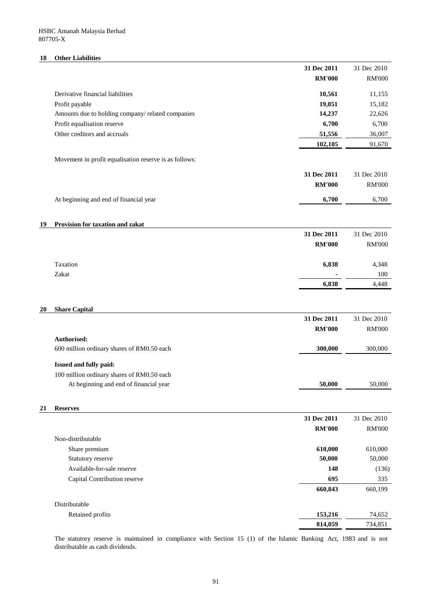# **18 Other Liabilities**

|    |                                                        | 31 Dec 2011   | 31 Dec 2010   |
|----|--------------------------------------------------------|---------------|---------------|
|    |                                                        | <b>RM'000</b> | <b>RM'000</b> |
|    | Derivative financial liabilities                       | 10,561        | 11,155        |
|    | Profit payable                                         | 19,051        | 15,182        |
|    | Amounts due to holding company/related companies       | 14,237        | 22,626        |
|    | Profit equalisation reserve                            | 6,700         | 6,700         |
|    | Other creditors and accruals                           | 51,556        | 36,007        |
|    |                                                        | 102,105       | 91,670        |
|    |                                                        |               |               |
|    | Movement in profit equalisation reserve is as follows: |               |               |
|    |                                                        | 31 Dec 2011   | 31 Dec 2010   |
|    |                                                        | <b>RM'000</b> | <b>RM'000</b> |
|    | At beginning and end of financial year                 | 6,700         | 6,700         |
|    |                                                        |               |               |
|    |                                                        |               |               |
| 19 | Provision for taxation and zakat                       |               |               |
|    |                                                        | 31 Dec 2011   | 31 Dec 2010   |
|    |                                                        | <b>RM'000</b> | <b>RM'000</b> |
|    | Taxation                                               | 6,838         | 4,348         |
|    | Zakat                                                  |               | 100           |
|    |                                                        | 6,838         | 4,448         |
|    |                                                        |               |               |
|    |                                                        |               |               |
| 20 | <b>Share Capital</b>                                   | 31 Dec 2011   | 31 Dec 2010   |
|    |                                                        | <b>RM'000</b> | <b>RM'000</b> |
|    | Authorised:                                            |               |               |
|    | 600 million ordinary shares of RM0.50 each             | 300,000       | 300,000       |
|    |                                                        |               |               |
|    | Issued and fully paid:                                 |               |               |
|    | 100 million ordinary shares of RM0.50 each             |               |               |
|    | At beginning and end of financial year                 | 50,000        | 50,000        |
|    |                                                        |               |               |
| 21 | <b>Reserves</b>                                        |               |               |
|    |                                                        | 31 Dec 2011   | 31 Dec 2010   |
|    |                                                        | <b>RM'000</b> | <b>RM'000</b> |
|    |                                                        |               |               |

| Non-distributable            |         |         |
|------------------------------|---------|---------|
| Share premium                | 610,000 | 610,000 |
| Statutory reserve            | 50,000  | 50,000  |
| Available-for-sale reserve   | 148     | (136)   |
| Capital Contribution reserve | 695     | 335     |
|                              | 660,843 | 660,199 |
| Distributable                |         |         |
| Retained profits             | 153,216 | 74,652  |
|                              | 814,059 | 734,851 |

The statutory reserve is maintained in compliance with Section 15 (1) of the Islamic Banking Act, 1983 and is not distributable as cash dividends.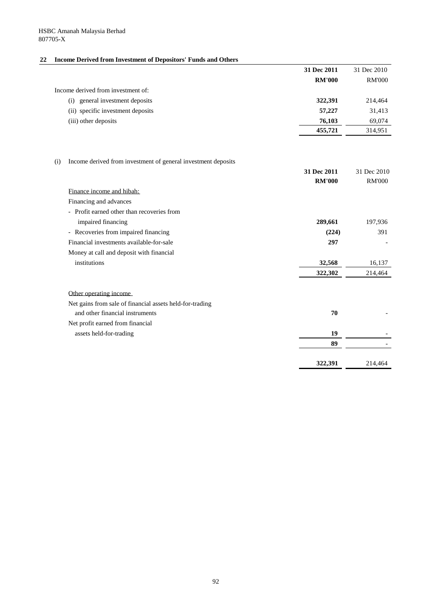# **22 Income Derived from Investment of Depositors' Funds and Others**

|                                                                      | 31 Dec 2011   | 31 Dec 2010   |
|----------------------------------------------------------------------|---------------|---------------|
|                                                                      | <b>RM'000</b> | <b>RM'000</b> |
| Income derived from investment of:                                   |               |               |
| (i) general investment deposits                                      | 322,391       | 214,464       |
| (ii) specific investment deposits                                    | 57,227        | 31,413        |
| (iii) other deposits                                                 | 76,103        | 69,074        |
|                                                                      | 455,721       | 314,951       |
|                                                                      |               |               |
| Income derived from investment of general investment deposits<br>(i) |               |               |
|                                                                      | 31 Dec 2011   | 31 Dec 2010   |
|                                                                      | <b>RM'000</b> | <b>RM'000</b> |
| Finance income and hibah:                                            |               |               |
| Financing and advances                                               |               |               |
| - Profit earned other than recoveries from                           |               |               |
| impaired financing                                                   | 289,661       | 197,936       |
| - Recoveries from impaired financing                                 | (224)         | 391           |
| Financial investments available-for-sale                             | 297           |               |
| Money at call and deposit with financial                             |               |               |
| institutions                                                         | 32,568        | 16,137        |
|                                                                      | 322,302       | 214,464       |
| Other operating income                                               |               |               |
| Net gains from sale of financial assets held-for-trading             |               |               |
| and other financial instruments                                      | 70            |               |
| Net profit earned from financial                                     |               |               |
| assets held-for-trading                                              | 19            |               |
|                                                                      | 89            |               |
|                                                                      | 322,391       | 214,464       |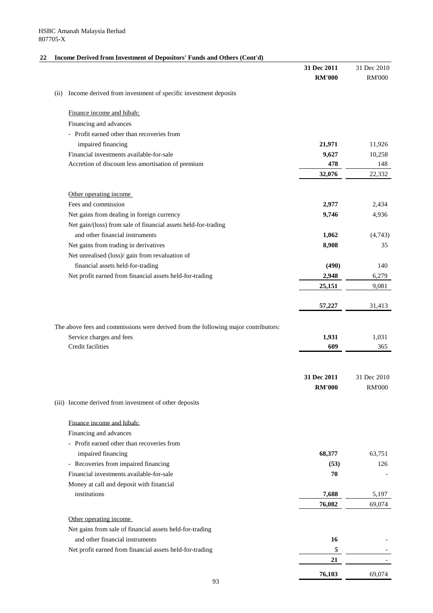# **22 Income Derived from Investment of Depositors' Funds and Others (Cont'd)**

|      |                                                                                    | 31 Dec 2011   | 31 Dec 2010   |
|------|------------------------------------------------------------------------------------|---------------|---------------|
|      |                                                                                    | <b>RM'000</b> | <b>RM'000</b> |
| (ii) | Income derived from investment of specific investment deposits                     |               |               |
|      | Finance income and hibah:                                                          |               |               |
|      | Financing and advances                                                             |               |               |
|      | - Profit earned other than recoveries from                                         |               |               |
|      | impaired financing                                                                 | 21,971        | 11,926        |
|      | Financial investments available-for-sale                                           | 9,627         | 10,258        |
|      | Accretion of discount less amortisation of premium                                 | 478           | 148           |
|      |                                                                                    | 32,076        | 22,332        |
|      |                                                                                    |               |               |
|      | Other operating income                                                             |               |               |
|      | Fees and commission                                                                | 2,977         | 2,434         |
|      | Net gains from dealing in foreign currency                                         | 9,746         | 4,936         |
|      | Net gain/(loss) from sale of financial assets held-for-trading                     |               |               |
|      | and other financial instruments                                                    | 1,062         | (4,743)       |
|      | Net gains from trading in derivatives                                              | 8,908         | 35            |
|      | Net unrealised (loss)/ gain from revaluation of                                    |               |               |
|      | financial assets held-for-trading                                                  | (490)         | 140           |
|      | Net profit earned from financial assets held-for-trading                           | 2,948         | 6,279         |
|      |                                                                                    | 25,151        | 9,081         |
|      |                                                                                    | 57,227        | 31,413        |
|      |                                                                                    |               |               |
|      | The above fees and commissions were derived from the following major contributors: |               |               |
|      | Service charges and fees                                                           | 1,931         | 1,031         |
|      | Credit facilities                                                                  | 609           | 365           |
|      |                                                                                    |               |               |
|      |                                                                                    | 31 Dec 2011   | 31 Dec 2010   |
|      |                                                                                    | <b>RM'000</b> | <b>RM'000</b> |
|      |                                                                                    |               |               |
|      | (iii) Income derived from investment of other deposits                             |               |               |
|      | Finance income and hibah:                                                          |               |               |
|      | Financing and advances                                                             |               |               |
|      | - Profit earned other than recoveries from                                         |               |               |
|      | impaired financing                                                                 | 68,377        | 63,751        |
|      | - Recoveries from impaired financing                                               | (53)          | 126           |
|      | Financial investments available-for-sale                                           | 70            |               |
|      | Money at call and deposit with financial                                           |               |               |
|      | institutions                                                                       | 7,688         | 5,197         |
|      |                                                                                    | 76,082        | 69,074        |
|      |                                                                                    |               |               |
|      | Other operating income                                                             |               |               |
|      | Net gains from sale of financial assets held-for-trading                           |               |               |
|      | and other financial instruments                                                    | 16            |               |
|      | Net profit earned from financial assets held-for-trading                           | 5             |               |
|      |                                                                                    | 21            |               |
|      |                                                                                    | 76,103        | 69,074        |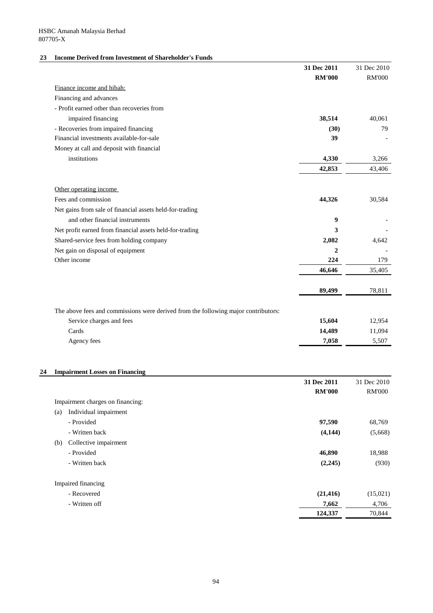# **23 Income Derived from Investment of Shareholder's Funds**

|                                                                                    | 31 Dec 2011   | 31 Dec 2010   |
|------------------------------------------------------------------------------------|---------------|---------------|
|                                                                                    | <b>RM'000</b> | <b>RM'000</b> |
| Finance income and hibah:                                                          |               |               |
| Financing and advances                                                             |               |               |
| - Profit earned other than recoveries from                                         |               |               |
| impaired financing                                                                 | 38,514        | 40,061        |
| - Recoveries from impaired financing                                               | (30)          | 79            |
| Financial investments available-for-sale                                           | 39            |               |
| Money at call and deposit with financial                                           |               |               |
| institutions                                                                       | 4,330         | 3,266         |
|                                                                                    | 42,853        | 43,406        |
| Other operating income                                                             |               |               |
| Fees and commission                                                                | 44,326        | 30,584        |
| Net gains from sale of financial assets held-for-trading                           |               |               |
| and other financial instruments                                                    | 9             |               |
| Net profit earned from financial assets held-for-trading                           | 3             |               |
| Shared-service fees from holding company                                           | 2,082         | 4,642         |
| Net gain on disposal of equipment                                                  | $\mathbf{2}$  |               |
| Other income                                                                       | 224           | 179           |
|                                                                                    | 46,646        | 35,405        |
|                                                                                    | 89,499        | 78,811        |
| The above fees and commissions were derived from the following major contributors: |               |               |
| Service charges and fees                                                           | 15,604        | 12,954        |
| Cards                                                                              | 14,489        | 11,094        |
| Agency fees                                                                        | 7,058         | 5,507         |
|                                                                                    |               |               |
| <b>Impairment Losses on Financing</b>                                              |               |               |
|                                                                                    | 31 Dec 2011   | 31 Dec 2010   |

|                                  | <b>31 Dec 2011</b> | 31 Dec 2010   |
|----------------------------------|--------------------|---------------|
|                                  | <b>RM'000</b>      | <b>RM'000</b> |
| Impairment charges on financing: |                    |               |
| Individual impairment<br>(a)     |                    |               |
| - Provided                       | 97,590             | 68,769        |
| - Written back                   | (4,144)            | (5,668)       |
| Collective impairment<br>(b)     |                    |               |
| - Provided                       | 46,890             | 18,988        |
| - Written back                   | (2,245)            | (930)         |
| Impaired financing               |                    |               |
| - Recovered                      | (21, 416)          | (15,021)      |
| - Written off                    | 7,662              | 4,706         |
|                                  | 124,337            | 70,844        |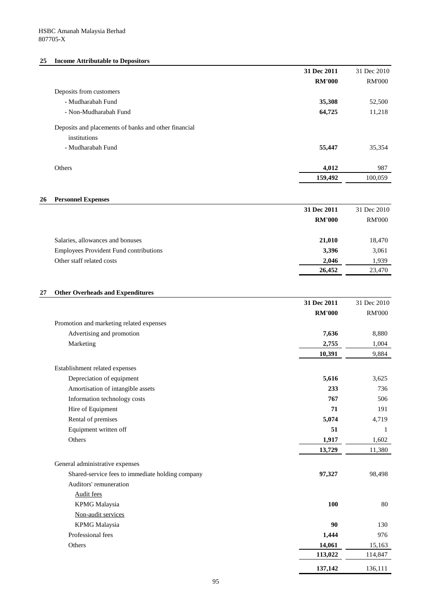# **25 Income Attributable to Depositors**

|                                                      | 31 Dec 2011   | 31 Dec 2010   |
|------------------------------------------------------|---------------|---------------|
|                                                      | <b>RM'000</b> | <b>RM'000</b> |
| Deposits from customers                              |               |               |
| - Mudharabah Fund                                    | 35,308        | 52,500        |
| - Non-Mudharabah Fund                                | 64,725        | 11,218        |
| Deposits and placements of banks and other financial |               |               |
| institutions                                         |               |               |
| - Mudharabah Fund                                    | 55,447        | 35,354        |
| <b>Others</b>                                        | 4,012         | 987           |
|                                                      | 159,492       | 100,059       |
|                                                      |               |               |

# **26 Personnel Expenses**

|                                               | 31 Dec 2011   | 31 Dec 2010   |
|-----------------------------------------------|---------------|---------------|
|                                               | <b>RM'000</b> | <b>RM'000</b> |
| Salaries, allowances and bonuses              | 21,010        | 18,470        |
| <b>Employees Provident Fund contributions</b> | 3,396         | 3,061         |
| Other staff related costs                     | 2,046         | 1,939         |
|                                               | 26,452        | 23,470        |

# **27 Other Overheads and Expenditures**

|                                                  | 31 Dec 2011   | 31 Dec 2010   |
|--------------------------------------------------|---------------|---------------|
|                                                  | <b>RM'000</b> | <b>RM'000</b> |
| Promotion and marketing related expenses         |               |               |
| Advertising and promotion                        | 7,636         | 8,880         |
| Marketing                                        | 2,755         | 1,004         |
|                                                  | 10,391        | 9,884         |
| Establishment related expenses                   |               |               |
| Depreciation of equipment                        | 5,616         | 3,625         |
| Amortisation of intangible assets                | 233           | 736           |
| Information technology costs                     | 767           | 506           |
| Hire of Equipment                                | 71            | 191           |
| Rental of premises                               | 5,074         | 4,719         |
| Equipment written off                            | 51            | 1             |
| Others                                           | 1,917         | 1,602         |
|                                                  | 13,729        | 11,380        |
| General administrative expenses                  |               |               |
| Shared-service fees to immediate holding company | 97,327        | 98,498        |
| Auditors' remuneration                           |               |               |
| <b>Audit fees</b>                                |               |               |
| <b>KPMG</b> Malaysia                             | 100           | 80            |
| Non-audit services                               |               |               |
| <b>KPMG</b> Malaysia                             | 90            | 130           |
| Professional fees                                | 1,444         | 976           |
| Others                                           | 14,061        | 15,163        |
|                                                  | 113,022       | 114,847       |
|                                                  | 137,142       | 136,111       |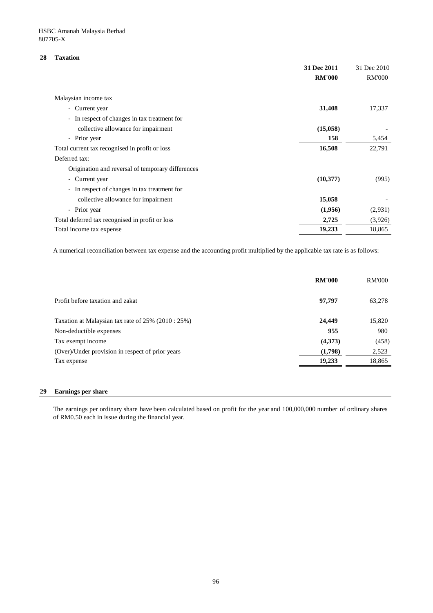#### **28 Taxation**

|                                                                        | 31 Dec 2011   | 31 Dec 2010   |
|------------------------------------------------------------------------|---------------|---------------|
|                                                                        | <b>RM'000</b> | <b>RM'000</b> |
|                                                                        |               |               |
| Malaysian income tax                                                   |               |               |
| - Current year                                                         | 31,408        | 17,337        |
| In respect of changes in tax treatment for<br>$\overline{\phantom{a}}$ |               |               |
| collective allowance for impairment                                    | (15,058)      |               |
| - Prior year                                                           | 158           | 5,454         |
| Total current tax recognised in profit or loss                         | 16,508        | 22,791        |
| Deferred tax:                                                          |               |               |
| Origination and reversal of temporary differences                      |               |               |
| Current year<br>$\overline{\phantom{0}}$                               | (10, 377)     | (995)         |
| In respect of changes in tax treatment for<br>$\overline{\phantom{a}}$ |               |               |
| collective allowance for impairment                                    | 15,058        |               |
| - Prior year                                                           | (1,956)       | (2,931)       |
| Total deferred tax recognised in profit or loss                        | 2,725         | (3,926)       |
| Total income tax expense                                               | 19,233        | 18,865        |

A numerical reconciliation between tax expense and the accounting profit multiplied by the applicable tax rate is as follows:

|                                                    | <b>RM'000</b> | <b>RM'000</b> |
|----------------------------------------------------|---------------|---------------|
| Profit before taxation and zakat                   | 97,797        | 63,278        |
| Taxation at Malaysian tax rate of 25% (2010 : 25%) | 24,449        | 15,820        |
| Non-deductible expenses                            | 955           | 980           |
| Tax exempt income                                  | (4,373)       | (458)         |
| (Over)/Under provision in respect of prior years   | (1,798)       | 2,523         |
| Tax expense                                        | 19,233        | 18,865        |
|                                                    |               |               |

#### **29 Earnings per share**

The earnings per ordinary share have been calculated based on profit for the year and 100,000,000 number of ordinary shares of RM0.50 each in issue during the financial year.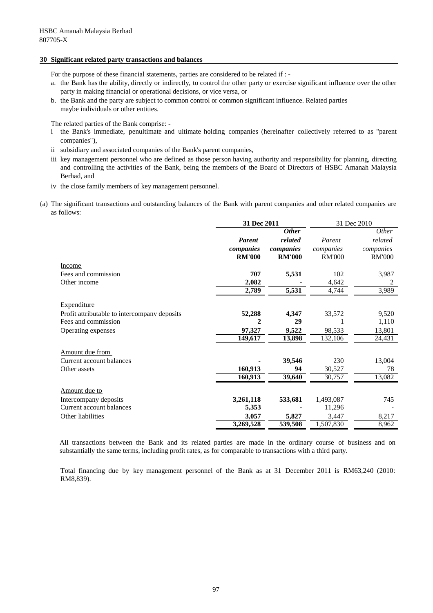#### **30 Significant related party transactions and balances**

For the purpose of these financial statements, parties are considered to be related if : -

- a. the Bank has the ability, directly or indirectly, to control the other party or exercise significant influence over the other party in making financial or operational decisions, or vice versa, or
- b. the Bank and the party are subject to common control or common significant influence. Related parties maybe individuals or other entities.

The related parties of the Bank comprise: -

- i the Bank's immediate, penultimate and ultimate holding companies (hereinafter collectively referred to as "parent companies"),
- ii subsidiary and associated companies of the Bank's parent companies,
- iii key management personnel who are defined as those person having authority and responsibility for planning, directing and controlling the activities of the Bank, being the members of the Board of Directors of HSBC Amanah Malaysia Berhad, and
- iv the close family members of key management personnel.
- (a) The significant transactions and outstanding balances of the Bank with parent companies and other related companies are as follows:

|                                              | 31 Dec 2011   |               | 31 Dec 2010   |               |
|----------------------------------------------|---------------|---------------|---------------|---------------|
|                                              |               | <b>Other</b>  |               | <i>Other</i>  |
|                                              | <b>Parent</b> | related       | Parent        | related       |
|                                              | companies     | companies     | companies     | companies     |
|                                              | <b>RM'000</b> | <b>RM'000</b> | <b>RM'000</b> | <b>RM'000</b> |
| Income                                       |               |               |               |               |
| Fees and commission                          | 707           | 5,531         | 102           | 3,987         |
| Other income                                 | 2,082         |               | 4,642         | 2             |
|                                              | 2,789         | 5,531         | 4,744         | 3,989         |
| <b>Expenditure</b>                           |               |               |               |               |
| Profit attributable to intercompany deposits | 52,288        | 4,347         | 33,572        | 9,520         |
| Fees and commission                          | 2             | 29            |               | 1,110         |
| Operating expenses                           | 97,327        | 9,522         | 98,533        | 13,801        |
|                                              | 149,617       | 13,898        | 132,106       | 24,431        |
|                                              |               |               |               |               |
| Amount due from                              |               |               |               |               |
| Current account balances                     |               | 39,546        | 230           | 13,004        |
| Other assets                                 | 160,913       | 94            | 30,527        | 78            |
|                                              | 160,913       | 39,640        | 30,757        | 13,082        |
| Amount due to                                |               |               |               |               |
| Intercompany deposits                        | 3,261,118     | 533,681       | 1,493,087     | 745           |
| Current account balances                     | 5,353         |               | 11,296        |               |
| Other liabilities                            | 3,057         | 5,827         | 3,447         | 8,217         |
|                                              | 3,269,528     | 539,508       | 1,507,830     | 8,962         |

All transactions between the Bank and its related parties are made in the ordinary course of business and on substantially the same terms, including profit rates, as for comparable to transactions with a third party.

Total financing due by key management personnel of the Bank as at 31 December 2011 is RM63,240 (2010: RM8,839).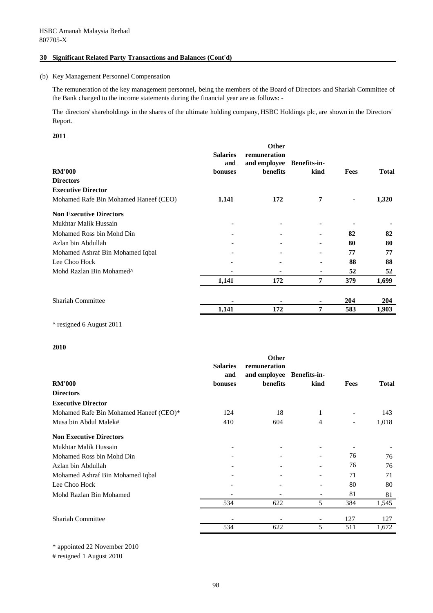#### **30 Significant Related Party Transactions and Balances (Cont'd)**

#### (b) Key Management Personnel Compensation

The remuneration of the key management personnel, being the members of the Board of Directors and Shariah Committee of the Bank charged to the income statements during the financial year are as follows: -

The directors'shareholdings in the shares of the ultimate holding company, HSBC Holdings plc, are shown in the Directors' Report.

#### **2011**

| <b>RM'000</b><br><b>Directors</b>     | <b>Salaries</b><br>and<br>bonuses | <b>Other</b><br>remuneration<br>and employee Benefits-in-<br>benefits | kind           | Fees           | <b>Total</b> |
|---------------------------------------|-----------------------------------|-----------------------------------------------------------------------|----------------|----------------|--------------|
| <b>Executive Director</b>             |                                   |                                                                       |                |                |              |
| Mohamed Rafe Bin Mohamed Haneef (CEO) | 1,141                             | 172                                                                   | 7              | $\blacksquare$ | 1,320        |
| <b>Non Executive Directors</b>        |                                   |                                                                       |                |                |              |
| Mukhtar Malik Hussain                 |                                   |                                                                       |                |                |              |
| Mohamed Ross bin Mohd Din             |                                   |                                                                       | $\blacksquare$ | 82             | 82           |
| Azlan bin Abdullah                    |                                   |                                                                       |                | 80             | 80           |
| Mohamed Ashraf Bin Mohamed Iqbal      |                                   |                                                                       |                | 77             | 77           |
| Lee Choo Hock                         |                                   |                                                                       |                | 88             | 88           |
| Mohd Razlan Bin Mohamed <sup>^</sup>  |                                   |                                                                       | ٠              | 52             | 52           |
|                                       | 1,141                             | 172                                                                   | 7              | 379            | 1,699        |
| <b>Shariah Committee</b>              |                                   |                                                                       |                | 204            | 204          |
|                                       | 1,141                             | 172                                                                   | 7              | 583            | 1,903        |

^ resigned 6 August 2011

#### **2010**

|                                        | <b>Salaries</b><br>and | <b>Other</b><br>remuneration<br>and employee | <b>Benefits-in-</b>      |                              |              |
|----------------------------------------|------------------------|----------------------------------------------|--------------------------|------------------------------|--------------|
| <b>RM'000</b>                          | bonuses                | benefits                                     | kind                     | <b>Fees</b>                  | <b>Total</b> |
| <b>Directors</b>                       |                        |                                              |                          |                              |              |
| <b>Executive Director</b>              |                        |                                              |                          |                              |              |
| Mohamed Rafe Bin Mohamed Haneef (CEO)* | 124                    | 18                                           | 1                        |                              | 143          |
| Musa bin Abdul Malek#                  | 410                    | 604                                          | 4                        | $\qquad \qquad \blacksquare$ | 1,018        |
| <b>Non Executive Directors</b>         |                        |                                              |                          |                              |              |
| Mukhtar Malik Hussain                  |                        |                                              |                          |                              |              |
| Mohamed Ross bin Mohd Din              |                        |                                              |                          | 76                           | 76           |
| Azlan bin Abdullah                     |                        |                                              |                          | 76                           | 76           |
| Mohamed Ashraf Bin Mohamed Iqbal       |                        |                                              |                          | 71                           | 71           |
| Lee Choo Hock                          |                        |                                              |                          | 80                           | 80           |
| Mohd Razlan Bin Mohamed                |                        |                                              |                          | 81                           | 81           |
|                                        | 534                    | 622                                          | 5                        | 384                          | 1,545        |
| <b>Shariah Committee</b>               |                        |                                              | $\overline{\phantom{a}}$ | 127                          | 127          |
|                                        | 534                    | 622                                          | 5                        | 511                          | 1,672        |

\* appointed 22 November 2010

# resigned 1 August 2010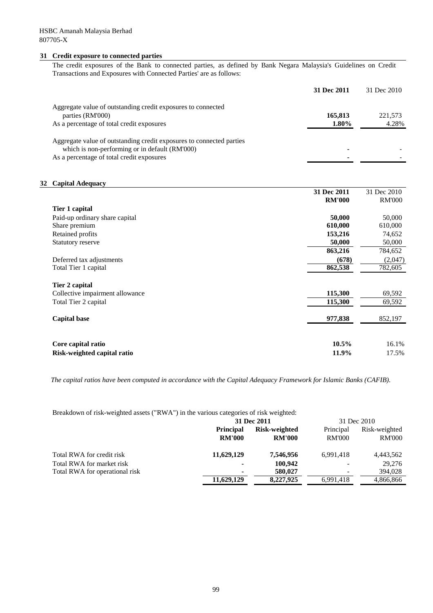#### **31 Credit exposure to connected parties**

The credit exposures of the Bank to connected parties, as defined by Bank Negara Malaysia's Guidelines on Credit Transactions and Exposures with Connected Parties' are as follows:

|                                                                      | 31 Dec 2011 | 31 Dec 2010 |
|----------------------------------------------------------------------|-------------|-------------|
| Aggregate value of outstanding credit exposures to connected         |             |             |
| parties (RM'000)                                                     | 165,813     | 221,573     |
| As a percentage of total credit exposures                            | 1.80%       | 4.28%       |
| Aggregate value of outstanding credit exposures to connected parties |             |             |
| which is non-performing or in default (RM'000)                       |             |             |
| As a percentage of total credit exposures                            |             |             |

#### **32 Capital Adequacy**

|                                 | 31 Dec 2011   | 31 Dec 2010   |
|---------------------------------|---------------|---------------|
|                                 | <b>RM'000</b> | <b>RM'000</b> |
| Tier 1 capital                  |               |               |
| Paid-up ordinary share capital  | 50,000        | 50,000        |
| Share premium                   | 610,000       | 610,000       |
| Retained profits                | 153,216       | 74,652        |
| <b>Statutory reserve</b>        | 50,000        | 50,000        |
|                                 | 863,216       | 784,652       |
| Deferred tax adjustments        | (678)         | (2,047)       |
| Total Tier 1 capital            | 862,538       | 782,605       |
|                                 |               |               |
| Tier 2 capital                  |               |               |
| Collective impairment allowance | 115,300       | 69,592        |
| Total Tier 2 capital            | 115,300       | 69,592        |
|                                 |               |               |
| <b>Capital base</b>             | 977,838       | 852,197       |
|                                 |               |               |
|                                 |               |               |
| Core capital ratio              | $10.5\%$      | 16.1%         |
| Risk-weighted capital ratio     | 11.9%         | 17.5%         |

*The capital ratios have been computed in accordance with the Capital Adequacy Framework for Islamic Banks (CAFIB).*

Breakdown of risk-weighted assets ("RWA") in the various categories of risk weighted:

|                                |                          | 31 Dec 2011   | 31 Dec 2010                  |               |  |
|--------------------------------|--------------------------|---------------|------------------------------|---------------|--|
|                                | <b>Principal</b>         | Risk-weighted | Principal                    | Risk-weighted |  |
|                                | <b>RM'000</b>            | <b>RM'000</b> | <b>RM'000</b>                | RM'000        |  |
| Total RWA for credit risk      | 11,629,129               | 7,546,956     | 6.991.418                    | 4,443,562     |  |
| Total RWA for market risk      | $\blacksquare$           | 100.942       | $\qquad \qquad \blacksquare$ | 29,276        |  |
| Total RWA for operational risk | $\overline{\phantom{0}}$ | 580,027       | -                            | 394,028       |  |
|                                | 11,629,129               | 8,227,925     | 6,991,418                    | 4,866,866     |  |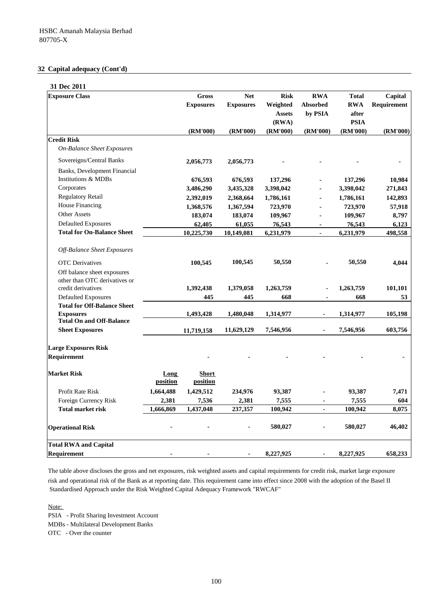# **32 Capital adequacy (Cont'd)**

| 31 Dec 2011                                         |           |                  |                  |               |                 |              |             |
|-----------------------------------------------------|-----------|------------------|------------------|---------------|-----------------|--------------|-------------|
| <b>Exposure Class</b>                               |           | <b>Gross</b>     | <b>Net</b>       | <b>Risk</b>   | <b>RWA</b>      | <b>Total</b> | Capital     |
|                                                     |           | <b>Exposures</b> | <b>Exposures</b> | Weighted      | <b>Absorbed</b> | <b>RWA</b>   | Requirement |
|                                                     |           |                  |                  | <b>Assets</b> | by PSIA         | after        |             |
|                                                     |           |                  |                  | (RWA)         |                 | <b>PSIA</b>  |             |
|                                                     |           | (RM'000)         | (RM'000)         | (RM'000)      | (RM'000)        | (RM'000)     | (RM'000)    |
| <b>Credit Risk</b>                                  |           |                  |                  |               |                 |              |             |
| <b>On-Balance Sheet Exposures</b>                   |           |                  |                  |               |                 |              |             |
| Sovereigns/Central Banks                            |           | 2,056,773        | 2,056,773        |               |                 |              |             |
| Banks, Development Financial                        |           |                  |                  |               |                 |              |             |
| <b>Institutions &amp; MDBs</b>                      |           | 676,593          | 676,593          | 137,296       |                 | 137,296      | 10,984      |
| Corporates                                          |           | 3,486,290        | 3,435,328        | 3,398,042     |                 | 3,398,042    | 271,843     |
| <b>Regulatory Retail</b>                            |           | 2,392,019        | 2,368,664        | 1,786,161     |                 | 1,786,161    | 142,893     |
| House Financing                                     |           | 1,368,576        | 1,367,594        | 723,970       | ٠               | 723,970      | 57,918      |
| <b>Other Assets</b>                                 |           | 183,074          | 183,074          | 109,967       | ä.              | 109,967      | 8,797       |
| <b>Defaulted Exposures</b>                          |           | 62,405           | 61,055           | 76,543        | ÷               | 76,543       | 6,123       |
| <b>Total for On-Balance Sheet</b>                   |           | 10,225,730       | 10,149,081       | 6,231,979     | $\overline{a}$  | 6,231,979    | 498,558     |
| Off-Balance Sheet Exposures                         |           |                  |                  |               |                 |              |             |
|                                                     |           |                  |                  |               |                 | 50,550       |             |
| <b>OTC</b> Derivatives                              |           | 100,545          | 100,545          | 50,550        |                 |              | 4,044       |
| Off balance sheet exposures                         |           |                  |                  |               |                 |              |             |
| other than OTC derivatives or<br>credit derivatives |           | 1,392,438        | 1,379,058        | 1,263,759     |                 | 1,263,759    | 101,101     |
| Defaulted Exposures                                 |           | 445              | 445              | 668           |                 | 668          | 53          |
| <b>Total for Off-Balance Sheet</b>                  |           |                  |                  |               |                 |              |             |
| <b>Exposures</b>                                    |           | 1,493,428        | 1,480,048        | 1,314,977     | $\blacksquare$  | 1,314,977    | 105,198     |
| <b>Total On and Off-Balance</b>                     |           |                  |                  |               |                 |              |             |
| <b>Sheet Exposures</b>                              |           | 11,719,158       | 11,629,129       | 7,546,956     |                 | 7,546,956    | 603,756     |
| <b>Large Exposures Risk</b>                         |           |                  |                  |               |                 |              |             |
| Requirement                                         |           |                  |                  |               |                 |              |             |
| <b>Market Risk</b>                                  | Long      | <b>Short</b>     |                  |               |                 |              |             |
|                                                     | position  | position         |                  |               |                 |              |             |
| <b>Profit Rate Risk</b>                             | 1,664,488 | 1,429,512        | 234,976          | 93,387        | ä,              | 93,387       | 7,471       |
| Foreign Currency Risk                               | 2,381     | 7,536            | 2,381            | 7,555         |                 | 7,555        | 604         |
| <b>Total market risk</b>                            | 1,666,869 | 1,437,048        | 237,357          | 100,942       |                 | 100,942      | 8,075       |
| <b>Operational Risk</b>                             |           |                  |                  | 580,027       |                 | 580,027      | 46,402      |
| <b>Total RWA and Capital</b>                        |           |                  |                  |               |                 |              |             |
| <b>Requirement</b>                                  |           |                  |                  | 8,227,925     |                 | 8,227,925    | 658,233     |
|                                                     |           |                  |                  |               |                 |              |             |

The table above discloses the gross and net exposures, risk weighted assets and capital requirements for credit risk, market large exposure risk and operational risk of the Bank as at reporting date. This requirement came into effect since 2008 with the adoption of the Basel II Standardised Approach under the Risk Weighted Capital Adequacy Framework "RWCAF"

Note:

PSIA - Profit Sharing Investment Account

MDBs - Multilateral Development Banks

OTC - Over the counter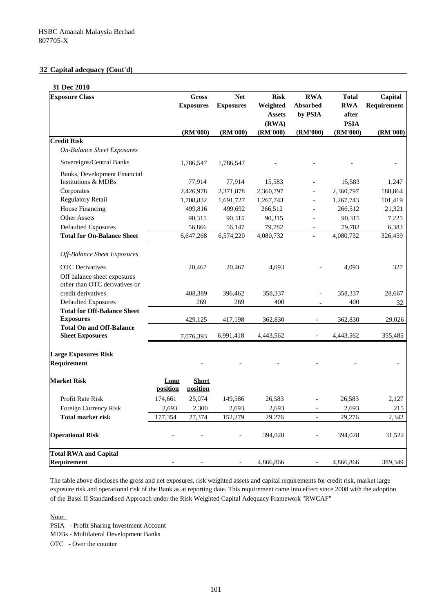# **32 Capital adequacy (Cont'd)**

# **31 Dec 2010**

| <b>Exposure Class</b>                                        |                  | Gross                    | <b>Net</b>       | <b>Risk</b>               | <b>RWA</b>               | <b>Total</b>            | Capital     |
|--------------------------------------------------------------|------------------|--------------------------|------------------|---------------------------|--------------------------|-------------------------|-------------|
|                                                              |                  | <b>Exposures</b>         | <b>Exposures</b> | Weighted<br><b>Assets</b> | Absorbed<br>by PSIA      | <b>RWA</b><br>after     | Requirement |
|                                                              |                  | (RM'000)                 | (RM'000)         | (RWA)<br>(RM'000)         | (RM'000)                 | <b>PSIA</b><br>(RM'000) | (RM'000)    |
| <b>Credit Risk</b>                                           |                  |                          |                  |                           |                          |                         |             |
| <b>On-Balance Sheet Exposures</b>                            |                  |                          |                  |                           |                          |                         |             |
| Sovereigns/Central Banks                                     |                  | 1,786,547                | 1,786,547        |                           |                          |                         |             |
| Banks, Development Financial                                 |                  |                          |                  |                           |                          |                         |             |
| Institutions & MDBs                                          |                  | 77,914                   | 77,914           | 15,583                    |                          | 15,583                  | 1,247       |
| Corporates                                                   |                  | 2,426,978                | 2,371,878        | 2,360,797                 |                          | 2,360,797               | 188,864     |
| <b>Regulatory Retail</b>                                     |                  | 1,708,832                | 1,691,727        | 1,267,743                 |                          | 1,267,743               | 101,419     |
| House Financing                                              |                  | 499,816                  | 499,692          | 266,512                   | $\overline{a}$           | 266,512                 | 21,321      |
| <b>Other Assets</b>                                          |                  | 90,315                   | 90,315           | 90,315                    |                          | 90,315                  | 7,225       |
| <b>Defaulted Exposures</b>                                   |                  | 56,866                   | 56,147           | 79,782                    |                          | 79,782                  | 6,383       |
| <b>Total for On-Balance Sheet</b>                            |                  | 6,647,268                | 6,574,220        | 4,080,732                 | $\overline{\phantom{a}}$ | 4,080,732               | 326,459     |
| <b>Off-Balance Sheet Exposures</b>                           |                  |                          |                  |                           |                          |                         |             |
| <b>OTC</b> Derivatives                                       |                  | 20,467                   | 20,467           | 4.093                     |                          | 4,093                   | 327         |
| Off balance sheet exposures<br>other than OTC derivatives or |                  |                          |                  |                           |                          |                         |             |
| credit derivatives                                           |                  | 408,389                  | 396,462          | 358,337                   |                          | 358,337                 | 28,667      |
| <b>Defaulted Exposures</b>                                   |                  | 269                      | 269              | 400                       |                          | 400                     | 32          |
| <b>Total for Off-Balance Sheet</b>                           |                  |                          |                  |                           |                          |                         |             |
| <b>Exposures</b>                                             |                  | 429,125                  | 417,198          | 362,830                   |                          | 362,830                 | 29,026      |
| <b>Total On and Off-Balance</b>                              |                  |                          |                  |                           |                          |                         |             |
| <b>Sheet Exposures</b>                                       |                  | 7,076,393                | 6,991,418        | 4,443,562                 |                          | 4,443,562               | 355,485     |
| <b>Large Exposures Risk</b>                                  |                  |                          |                  |                           |                          |                         |             |
| Requirement                                                  |                  |                          |                  |                           |                          |                         |             |
| <b>Market Risk</b>                                           | Long<br>position | <b>Short</b><br>position |                  |                           |                          |                         |             |
| <b>Profit Rate Risk</b>                                      | 174,661          | 25,074                   | 149,586          | 26,583                    |                          | 26,583                  | 2,127       |
| Foreign Currency Risk                                        | 2,693            | 2,300                    | 2,693            | 2,693                     |                          | 2,693                   | 215         |
| <b>Total market risk</b>                                     | 177,354          | 27,374                   | 152,279          | 29,276                    | $\overline{a}$           | 29,276                  | 2,342       |
| <b>Operational Risk</b>                                      |                  |                          |                  | 394,028                   |                          | 394,028                 | 31,522      |
| <b>Total RWA and Capital</b>                                 |                  |                          |                  |                           |                          |                         |             |
| <b>Requirement</b>                                           |                  |                          |                  | 4,866,866                 |                          | 4,866,866               | 389,349     |

The table above discloses the gross and net exposures, risk weighted assets and capital requirements for credit risk, market large exposure risk and operational risk of the Bank as at reporting date. This requirement came into effect since 2008 with the adoption of the Basel II Standardised Approach under the Risk Weighted Capital Adequacy Framework "RWCAF"

Note:

PSIA - Profit Sharing Investment Account

MDBs - Multilateral Development Banks

OTC - Over the counter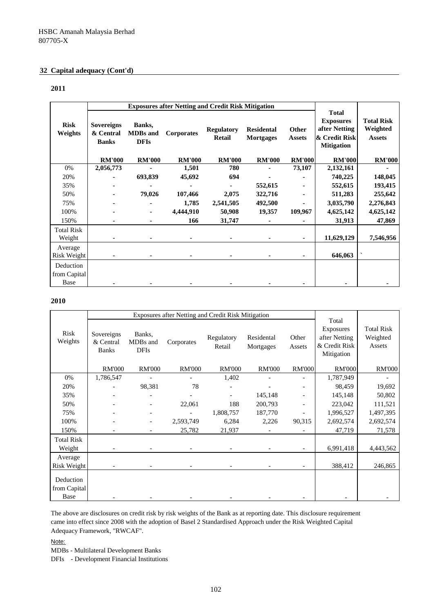# **32 Capital adequacy (Cont'd)**

#### **2011**

|                                   |                                                | <b>Exposures after Netting and Credit Risk Mitigation</b> |                   |                                    |                                       |                        |                                                                                         |                                                |
|-----------------------------------|------------------------------------------------|-----------------------------------------------------------|-------------------|------------------------------------|---------------------------------------|------------------------|-----------------------------------------------------------------------------------------|------------------------------------------------|
| <b>Risk</b><br>Weights            | <b>Sovereigns</b><br>& Central<br><b>Banks</b> | Banks,<br><b>MDBs</b> and<br><b>DFIs</b>                  | <b>Corporates</b> | <b>Regulatory</b><br><b>Retail</b> | <b>Residental</b><br><b>Mortgages</b> | Other<br><b>Assets</b> | <b>Total</b><br><b>Exposures</b><br>after Netting<br>& Credit Risk<br><b>Mitigation</b> | <b>Total Risk</b><br>Weighted<br><b>Assets</b> |
|                                   | <b>RM'000</b>                                  | <b>RM'000</b>                                             | <b>RM'000</b>     | <b>RM'000</b>                      | <b>RM'000</b>                         | <b>RM'000</b>          | <b>RM'000</b>                                                                           | <b>RM'000</b>                                  |
| 0%                                | 2,056,773                                      |                                                           | 1,501             | 780                                |                                       | 73,107                 | 2,132,161                                                                               |                                                |
| 20%                               |                                                | 693,839                                                   | 45,692            | 694                                |                                       |                        | 740,225                                                                                 | 148,045                                        |
| 35%                               |                                                |                                                           |                   |                                    | 552,615                               |                        | 552,615                                                                                 | 193,415                                        |
| 50%                               |                                                | 79,026                                                    | 107,466           | 2,075                              | 322,716                               |                        | 511,283                                                                                 | 255,642                                        |
| 75%                               |                                                |                                                           | 1,785             | 2,541,505                          | 492,500                               |                        | 3,035,790                                                                               | 2,276,843                                      |
| 100%                              |                                                | ٠                                                         | 4,444,910         | 50,908                             | 19,357                                | 109,967                | 4,625,142                                                                               | 4,625,142                                      |
| 150%                              |                                                | ٠                                                         | 166               | 31,747                             |                                       |                        | 31,913                                                                                  | 47,869                                         |
| <b>Total Risk</b>                 |                                                |                                                           |                   |                                    |                                       |                        |                                                                                         |                                                |
| Weight                            |                                                |                                                           |                   |                                    |                                       | ٠                      | 11,629,129                                                                              | 7,546,956                                      |
| Average<br>Risk Weight            |                                                |                                                           |                   |                                    |                                       |                        | 646,063                                                                                 |                                                |
| Deduction<br>from Capital<br>Base |                                                |                                                           |                   |                                    |                                       |                        |                                                                                         |                                                |

#### **2010**

|                                   |                                         | Exposures after Netting and Credit Risk Mitigation |               |                      |                         |                          |                                                                    |                                         |
|-----------------------------------|-----------------------------------------|----------------------------------------------------|---------------|----------------------|-------------------------|--------------------------|--------------------------------------------------------------------|-----------------------------------------|
| Risk<br>Weights                   | Sovereigns<br>& Central<br><b>Banks</b> | Banks,<br>MDBs and<br><b>DFIs</b>                  | Corporates    | Regulatory<br>Retail | Residental<br>Mortgages | Other<br>Assets          | Total<br>Exposures<br>after Netting<br>& Credit Risk<br>Mitigation | <b>Total Risk</b><br>Weighted<br>Assets |
|                                   | <b>RM'000</b>                           | <b>RM'000</b>                                      | <b>RM'000</b> | <b>RM'000</b>        | <b>RM'000</b>           | <b>RM'000</b>            | <b>RM'000</b>                                                      | <b>RM'000</b>                           |
| 0%                                | 1,786,547                               |                                                    |               | 1,402                |                         |                          | 1,787,949                                                          |                                         |
| 20%                               |                                         | 98,381                                             | 78            |                      |                         |                          | 98,459                                                             | 19,692                                  |
| 35%                               |                                         |                                                    |               |                      | 145,148                 |                          | 145,148                                                            | 50,802                                  |
| 50%                               |                                         |                                                    | 22,061        | 188                  | 200,793                 |                          | 223,042                                                            | 111,521                                 |
| 75%                               |                                         | $\overline{\phantom{0}}$                           |               | 1,808,757            | 187,770                 | $\overline{\phantom{a}}$ | 1,996,527                                                          | 1,497,395                               |
| 100%                              |                                         |                                                    | 2,593,749     | 6,284                | 2,226                   | 90,315                   | 2,692,574                                                          | 2,692,574                               |
| 150%                              |                                         |                                                    | 25,782        | 21,937               |                         |                          | 47,719                                                             | 71,578                                  |
| <b>Total Risk</b>                 |                                         |                                                    |               |                      |                         |                          |                                                                    |                                         |
| Weight                            |                                         |                                                    |               |                      |                         |                          | 6,991,418                                                          | 4,443,562                               |
| Average                           |                                         |                                                    |               |                      |                         |                          |                                                                    |                                         |
| Risk Weight                       |                                         |                                                    |               |                      |                         |                          | 388,412                                                            | 246,865                                 |
| Deduction<br>from Capital<br>Base |                                         |                                                    |               |                      |                         |                          |                                                                    |                                         |

The above are disclosures on credit risk by risk weights of the Bank as at reporting date. This disclosure requirement came into effect since 2008 with the adoption of Basel 2 Standardised Approach under the Risk Weighted Capital Adequacy Framework, "RWCAF".

Note:

MDBs - Multilateral Development Banks

DFIs - Development Financial Institutions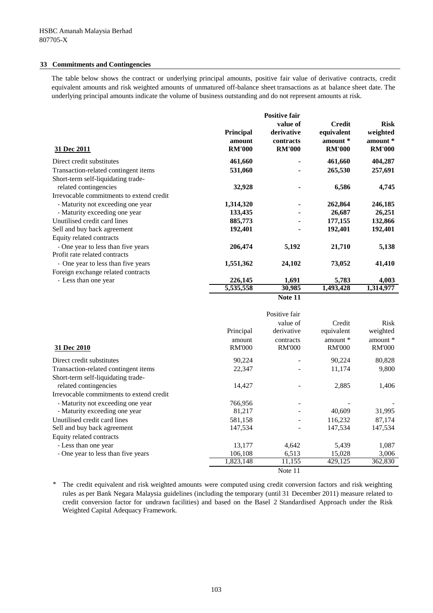#### **33 Commitments and Contingencies**

The table below shows the contract or underlying principal amounts, positive fair value of derivative contracts, credit equivalent amounts and risk weighted amounts of unmatured off-balance sheet transactions as at balance sheet date. The underlying principal amounts indicate the volume of business outstanding and do not represent amounts at risk.

|                                                             |                                             | <b>Positive fair</b>                                 |                                                          |                                                      |
|-------------------------------------------------------------|---------------------------------------------|------------------------------------------------------|----------------------------------------------------------|------------------------------------------------------|
| 31 Dec 2011                                                 | <b>Principal</b><br>amount<br><b>RM'000</b> | value of<br>derivative<br>contracts<br><b>RM'000</b> | <b>Credit</b><br>equivalent<br>amount *<br><b>RM'000</b> | <b>Risk</b><br>weighted<br>amount *<br><b>RM'000</b> |
| Direct credit substitutes                                   | 461,660                                     |                                                      | 461,660                                                  | 404,287                                              |
| Transaction-related contingent items                        | 531,060                                     |                                                      | 265,530                                                  | 257,691                                              |
| Short-term self-liquidating trade-<br>related contingencies | 32,928                                      |                                                      | 6,586                                                    | 4,745                                                |
| Irrevocable commitments to extend credit                    |                                             |                                                      |                                                          |                                                      |
| - Maturity not exceeding one year                           | 1,314,320                                   |                                                      | 262,864                                                  | 246,185                                              |
| - Maturity exceeding one year                               | 133,435                                     |                                                      | 26,687                                                   | 26,251                                               |
| Unutilised credit card lines                                | 885,773                                     |                                                      | 177,155                                                  | 132,866                                              |
| Sell and buy back agreement                                 | 192,401                                     |                                                      | 192,401                                                  | 192,401                                              |
| Equity related contracts                                    |                                             |                                                      |                                                          |                                                      |
| - One year to less than five years                          | 206,474                                     | 5,192                                                | 21,710                                                   | 5,138                                                |
| Profit rate related contracts                               |                                             |                                                      |                                                          |                                                      |
| - One year to less than five years                          | 1,551,362                                   | 24,102                                               | 73,052                                                   | 41,410                                               |
| Foreign exchange related contracts                          |                                             |                                                      |                                                          |                                                      |
| - Less than one year                                        | 226,145                                     | 1,691                                                | 5,783                                                    | 4,003                                                |
|                                                             | 5,535,558                                   | 30,985                                               | 1,493,428                                                | 1,314,977                                            |



| 31 Dec 2010                              | Principal<br>amount<br><b>RM'000</b> | Positive fair<br>value of<br>derivative<br>contracts<br><b>RM'000</b> | Credit<br>equivalent<br>amount *<br><b>RM'000</b> | Risk<br>weighted<br>amount $*$<br><b>RM'000</b> |
|------------------------------------------|--------------------------------------|-----------------------------------------------------------------------|---------------------------------------------------|-------------------------------------------------|
| Direct credit substitutes                | 90,224                               |                                                                       | 90,224                                            | 80,828                                          |
| Transaction-related contingent items     | 22,347                               |                                                                       | 11,174                                            | 9,800                                           |
| Short-term self-liquidating trade-       |                                      |                                                                       |                                                   |                                                 |
| related contingencies                    | 14,427                               |                                                                       | 2,885                                             | 1,406                                           |
| Irrevocable commitments to extend credit |                                      |                                                                       |                                                   |                                                 |
| - Maturity not exceeding one year        | 766,956                              |                                                                       |                                                   |                                                 |
| - Maturity exceeding one year            | 81,217                               |                                                                       | 40,609                                            | 31,995                                          |
| Unutilised credit card lines             | 581,158                              |                                                                       | 116,232                                           | 87,174                                          |
| Sell and buy back agreement              | 147,534                              |                                                                       | 147,534                                           | 147,534                                         |
| Equity related contracts                 |                                      |                                                                       |                                                   |                                                 |
| - Less than one year                     | 13,177                               | 4,642                                                                 | 5,439                                             | 1,087                                           |
| - One year to less than five years       | 106,108                              | 6,513                                                                 | 15,028                                            | 3,006                                           |
|                                          | 1,823,148                            | 11,155                                                                | 429,125                                           | 362,830                                         |
|                                          |                                      | Note 11                                                               |                                                   |                                                 |

*\** The credit equivalent and risk weighted amounts were computed using credit conversion factors and risk weighting rules as per Bank Negara Malaysia guidelines (including the temporary (until 31 December 2011) measure related to credit conversion factor for undrawn facilities) and based on the Basel 2 Standardised Approach under the Risk Weighted Capital Adequacy Framework.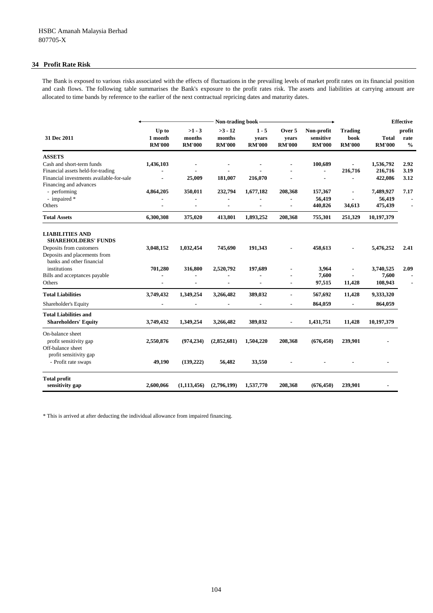#### **34 Profit Rate Risk**

The Bank is exposed to various risks associated with the effects of fluctuations in the prevailing levels of market profit rates on its financial position and cash flows. The following table summarises the Bank's exposure to the profit rates risk. The assets and liabilities at carrying amount are allocated to time bands by reference to the earlier of the next contractual repricing dates and maturity dates.

|                                                                                                                                              | Non-trading book                  |                                     |                                      |                                   |                                  |                                          |                                         |                                 | <b>Effective</b>                |  |
|----------------------------------------------------------------------------------------------------------------------------------------------|-----------------------------------|-------------------------------------|--------------------------------------|-----------------------------------|----------------------------------|------------------------------------------|-----------------------------------------|---------------------------------|---------------------------------|--|
| 31 Dec 2011                                                                                                                                  | Up to<br>1 month<br><b>RM'000</b> | $>1 - 3$<br>months<br><b>RM'000</b> | $>3 - 12$<br>months<br><b>RM'000</b> | $1 - 5$<br>years<br><b>RM'000</b> | Over 5<br>years<br><b>RM'000</b> | Non-profit<br>sensitive<br><b>RM'000</b> | <b>Trading</b><br>book<br><b>RM'000</b> | Total<br><b>RM'000</b>          | profit<br>rate<br>$\frac{0}{0}$ |  |
| <b>ASSETS</b>                                                                                                                                |                                   |                                     |                                      |                                   |                                  |                                          |                                         |                                 |                                 |  |
| Cash and short-term funds<br>Financial assets held-for-trading<br>Financial investments available-for-sale                                   | 1,436,103                         | $\blacksquare$<br>25,009            | 181,007                              | $\blacksquare$<br>216,070         |                                  | 100,689<br>$\blacksquare$                | 216,716                                 | 1,536,792<br>216,716<br>422,086 | 2.92<br>3.19<br>3.12            |  |
| Financing and advances<br>- performing<br>- impaired *<br>Others                                                                             | 4,864,205                         | 350,011                             | 232,794                              | 1,677,182                         | 208,368                          | 157,367<br>56,419<br>440,826             | 34,613                                  | 7,489,927<br>56,419<br>475,439  | 7.17                            |  |
| <b>Total Assets</b>                                                                                                                          | 6,300,308                         | 375,020                             | 413,801                              | 1,893,252                         | 208,368                          | 755,301                                  | 251,329                                 | 10,197,379                      |                                 |  |
| <b>LIABILITIES AND</b><br><b>SHAREHOLDERS' FUNDS</b><br>Deposits from customers<br>Deposits and placements from<br>banks and other financial | 3,048,152                         | 1,032,454                           | 745,690                              | 191,343                           |                                  | 458,613                                  |                                         | 5,476,252                       | 2.41                            |  |
| institutions<br>Bills and acceptances payable<br>Others                                                                                      | 701,280                           | 316,800                             | 2,520,792                            | 197,689                           |                                  | 3,964<br>7,600<br>97,515                 | 11,428                                  | 3,740,525<br>7,600<br>108,943   | 2.09                            |  |
| <b>Total Liabilities</b><br>Shareholder's Equity                                                                                             | 3,749,432                         | 1,349,254                           | 3,266,482                            | 389,032<br>$\blacksquare$         | ä,<br>$\blacksquare$             | 567,692<br>864,059                       | 11,428<br>$\blacksquare$                | 9,333,320<br>864,059            |                                 |  |
| <b>Total Liabilities and</b><br><b>Shareholders' Equity</b>                                                                                  | 3,749,432                         | 1,349,254                           | 3,266,482                            | 389,032                           | $\blacksquare$                   | 1,431,751                                | 11,428                                  | 10,197,379                      |                                 |  |
| On-balance sheet<br>profit sensitivity gap<br>Off-balance sheet                                                                              | 2,550,876                         | (974, 234)                          | (2,852,681)                          | 1,504,220                         | 208,368                          | (676, 450)                               | 239,901                                 |                                 |                                 |  |
| profit sensitivity gap<br>- Profit rate swaps                                                                                                | 49,190                            | (139, 222)                          | 56,482                               | 33,550                            |                                  |                                          |                                         |                                 |                                 |  |
| <b>Total profit</b><br>sensitivity gap                                                                                                       | 2,600,066                         | (1, 113, 456)                       | (2,796,199)                          | 1,537,770                         | 208,368                          | (676, 450)                               | 239,901                                 |                                 |                                 |  |

\* This is arrived at after deducting the individual allowance from impaired financing.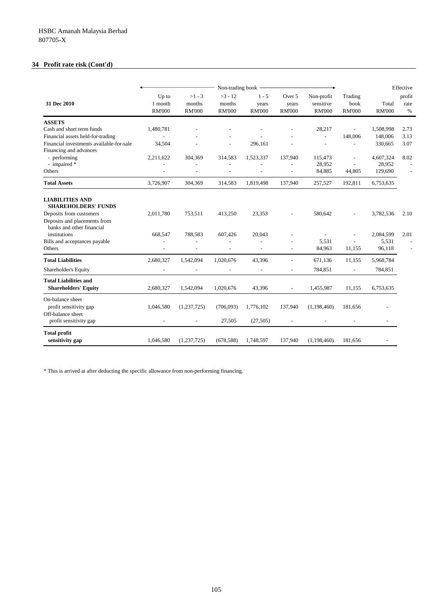# **34 Profit rate risk (Cont'd)**

|                                                           | Non-trading book                  |                                     |                                      |                                   |                                  |                                          | Effective                        |                        |                        |
|-----------------------------------------------------------|-----------------------------------|-------------------------------------|--------------------------------------|-----------------------------------|----------------------------------|------------------------------------------|----------------------------------|------------------------|------------------------|
| 31 Dec 2010                                               | Up to<br>1 month<br><b>RM'000</b> | $>1 - 3$<br>months<br><b>RM'000</b> | $>3 - 12$<br>months<br><b>RM'000</b> | $1 - 5$<br>years<br><b>RM'000</b> | Over 5<br>years<br><b>RM'000</b> | Non-profit<br>sensitive<br><b>RM'000</b> | Trading<br>book<br><b>RM'000</b> | Total<br><b>RM'000</b> | profit<br>rate<br>$\%$ |
| <b>ASSETS</b>                                             |                                   |                                     |                                      |                                   |                                  |                                          |                                  |                        |                        |
| Cash and short term funds                                 | 1,480,781                         |                                     |                                      |                                   |                                  | 28,217                                   | $\overline{\phantom{a}}$         | 1,508,998              | 2.73                   |
| Financial assets held-for-trading                         |                                   |                                     |                                      |                                   |                                  | $\sim$                                   | 148,006                          | 148,006                | 3.13                   |
| Financial investments available-for-sale                  | 34,504                            |                                     | $\overline{a}$                       | 296,161                           |                                  | $\overline{a}$                           | $\overline{a}$                   | 330,665                | 3.07                   |
| Financing and advances                                    |                                   |                                     |                                      |                                   |                                  |                                          |                                  |                        |                        |
| - performing                                              | 2,211,622                         | 304,369                             | 314,583                              | 1,523,337                         | 137,940                          | 115,473                                  |                                  | 4,607,324              | 8.02                   |
| - impaired *<br>Others                                    |                                   |                                     |                                      |                                   |                                  | 28,952<br>84,885                         | $\overline{\phantom{a}}$         | 28,952<br>129,690      |                        |
|                                                           |                                   | $\overline{a}$                      | $\overline{a}$                       | $\overline{a}$                    | $\overline{a}$                   |                                          | 44,805                           |                        | ÷                      |
| <b>Total Assets</b>                                       | 3,726,907                         | 304,369                             | 314,583                              | 1,819,498                         | 137,940                          | 257,527                                  | 192,811                          | 6,753,635              |                        |
| <b>LIABILITIES AND</b><br><b>SHAREHOLDERS' FUNDS</b>      |                                   |                                     |                                      |                                   |                                  |                                          |                                  |                        |                        |
| Deposits from customers                                   | 2,011,780                         | 753,511                             | 413,250                              | 23,353                            |                                  | 580,642                                  |                                  | 3,782,536              | 2.10                   |
| Deposits and placements from<br>banks and other financial |                                   |                                     |                                      |                                   |                                  |                                          |                                  |                        |                        |
| institutions                                              | 668,547                           | 788,583                             | 607,426                              | 20,043                            |                                  |                                          |                                  | 2,084,599              | 2.01                   |
| Bills and acceptances payable                             |                                   |                                     |                                      |                                   |                                  | 5,531                                    |                                  | 5,531                  |                        |
| Others                                                    |                                   | $\overline{a}$                      |                                      | ÷                                 |                                  | 84,963                                   | 11,155                           | 96,118                 |                        |
| <b>Total Liabilities</b>                                  | 2,680,327                         | 1,542,094                           | 1,020,676                            | 43,396                            |                                  | 671,136                                  | 11,155                           | 5,968,784              |                        |
| Shareholder's Equity                                      | $\overline{a}$                    |                                     |                                      | $\overline{a}$                    | $\overline{a}$                   | 784,851                                  | $\overline{\phantom{a}}$         | 784,851                |                        |
| <b>Total Liabilities and</b>                              |                                   |                                     |                                      |                                   |                                  |                                          |                                  |                        |                        |
| <b>Shareholders' Equity</b>                               | 2,680,327                         | 1,542,094                           | 1,020,676                            | 43,396                            | $\overline{a}$                   | 1,455,987                                | 11,155                           | 6,753,635              |                        |
| On-balance sheet                                          |                                   |                                     |                                      |                                   |                                  |                                          |                                  |                        |                        |
| profit sensitivity gap                                    | 1,046,580                         | (1,237,725)                         | (706,093)                            | 1,776,102                         | 137,940                          | (1,198,460)                              | 181,656                          |                        |                        |
| Off-balance sheet                                         |                                   |                                     |                                      |                                   |                                  |                                          |                                  |                        |                        |
| profit sensitivity gap                                    |                                   |                                     | 27,505                               | (27, 505)                         |                                  |                                          |                                  |                        |                        |
| <b>Total profit</b><br>sensitivity gap                    | 1,046,580                         | (1,237,725)                         | (678, 588)                           | 1,748,597                         | 137,940                          | (1,198,460)                              | 181,656                          |                        |                        |

\* This is arrived at after deducting the specific allowance from non-performing financing.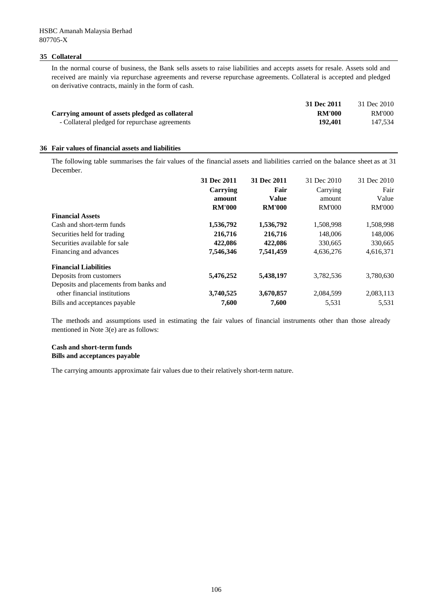#### **35 Collateral**

In the normal course of business, the Bank sells assets to raise liabilities and accepts assets for resale. Assets sold and received are mainly via repurchase agreements and reverse repurchase agreements. Collateral is accepted and pledged on derivative contracts, mainly in the form of cash.

| 31 Dec 2011                                                      | 31 Dec 2010 |
|------------------------------------------------------------------|-------------|
| Carrying amount of assets pledged as collateral<br><b>RM'000</b> | RM'000      |
| 192.401<br>- Collateral pledged for repurchase agreements        | 147.534     |
|                                                                  |             |

#### **36 Fair values of financial assets and liabilities**

The following table summarises the fair values of the financial assets and liabilities carried on the balance sheet as at 31 December.

|                                        | 31 Dec 2011   | 31 Dec 2011   | 31 Dec 2010   | 31 Dec 2010   |
|----------------------------------------|---------------|---------------|---------------|---------------|
|                                        | Carrying      | Fair          | Carrying      | Fair          |
|                                        | amount        | <b>Value</b>  | amount        | Value         |
|                                        | <b>RM'000</b> | <b>RM'000</b> | <b>RM'000</b> | <b>RM'000</b> |
| <b>Financial Assets</b>                |               |               |               |               |
| Cash and short-term funds              | 1,536,792     | 1,536,792     | 1,508,998     | 1,508,998     |
| Securities held for trading            | 216,716       | 216,716       | 148,006       | 148,006       |
| Securities available for sale          | 422,086       | 422,086       | 330,665       | 330,665       |
| Financing and advances                 | 7,546,346     | 7,541,459     | 4,636,276     | 4,616,371     |
| <b>Financial Liabilities</b>           |               |               |               |               |
| Deposits from customers                | 5,476,252     | 5,438,197     | 3,782,536     | 3,780,630     |
| Deposits and placements from banks and |               |               |               |               |
| other financial institutions           | 3,740,525     | 3,670,857     | 2,084,599     | 2,083,113     |
| Bills and acceptances payable          | 7,600         | 7,600         | 5,531         | 5,531         |

The methods and assumptions used in estimating the fair values of financial instruments other than those already mentioned in Note 3(e) are as follows:

#### **Cash and short-term funds Bills and acceptances payable**

The carrying amounts approximate fair values due to their relatively short-term nature.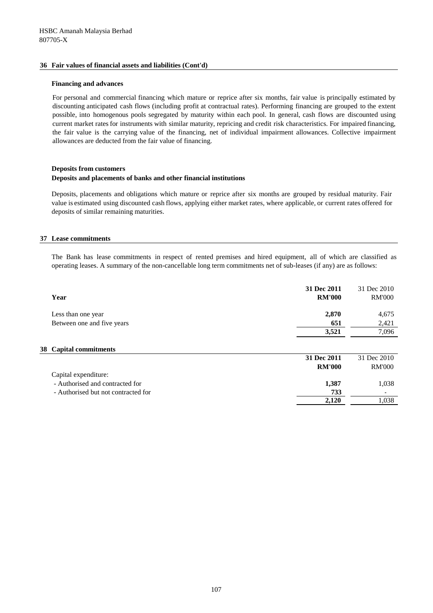## **36 Fair values of financial assets and liabilities (Cont'd)**

### **Financing and advances**

For personal and commercial financing which mature or reprice after six months, fair value is principally estimated by discounting anticipated cash flows (including profit at contractual rates). Performing financing are grouped to the extent possible, into homogenous pools segregated by maturity within each pool. In general, cash flows are discounted using current market rates for instruments with similar maturity, repricing and credit risk characteristics. For impaired financing, the fair value is the carrying value of the financing, net of individual impairment allowances. Collective impairment allowances are deducted from the fair value of financing.

# **Deposits from customers Deposits and placements of banks and other financial institutions**

Deposits, placements and obligations which mature or reprice after six months are grouped by residual maturity. Fair value is estimated using discounted cash flows, applying either market rates, where applicable, or current rates offered for deposits of similar remaining maturities.

# **37 Lease commitments**

The Bank has lease commitments in respect of rented premises and hired equipment, all of which are classified as operating leases. A summary of the non-cancellable long term commitments net of sub-leases (if any) are as follows:

| Year                            | 31 Dec 2011<br><b>RM'000</b> | 31 Dec 2010<br><b>RM'000</b> |
|---------------------------------|------------------------------|------------------------------|
| Less than one year              | 2,870                        | 4,675                        |
| Between one and five years      | 651                          | 2,421                        |
|                                 | 3,521                        | 7,096                        |
| 38 Capital commitments          |                              |                              |
|                                 | 31 Dec 2011                  | 31 Dec 2010                  |
|                                 | <b>RM'000</b>                | <b>RM'000</b>                |
| Capital expenditure:            |                              |                              |
| - Authorised and contracted for | 1.387                        | 1,038                        |

**2,120** 1,038

| - Authoriscu and contracted for     | 1.VV |
|-------------------------------------|------|
| - Authorised but not contracted for | 733  |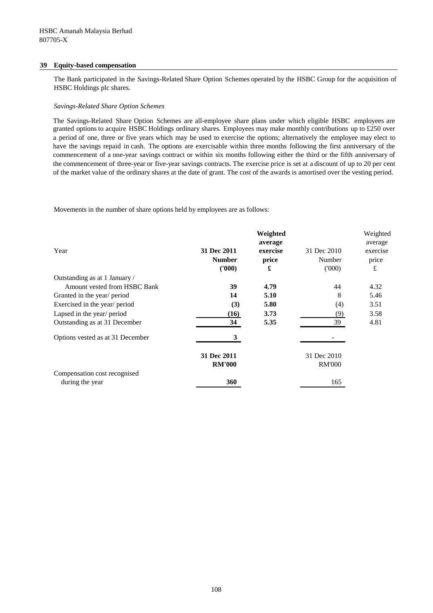## **39 Equity-based compensation**

The Bank participated in the Savings-Related Share Option Schemes operated by the HSBC Group for the acquisition of HSBC Holdings plc shares.

### *Savings-Related Share Option Schemes*

The Savings-Related Share Option Schemes are all-employee share plans under which eligible HSBC employees are granted options to acquire HSBC Holdings ordinary shares. Employees may make monthly contributions up to £250 over a period of one, three or five years which may be used to exercise the options; alternatively the employee may elect to have the savings repaid in cash. The options are exercisable within three months following the first anniversary of the commencement of a one-year savings contract or within six months following either the third or the fifth anniversary of the commencement of three-year or five-year savings contracts. The exercise price is set at a discount of up to 20 per cent of the market value of the ordinary shares at the date of grant. The cost of the awards is amortised over the vesting period.

Movements in the number of share options held by employees are as follows:

|                                  |               | Weighted |               | Weighted |
|----------------------------------|---------------|----------|---------------|----------|
|                                  |               | average  |               | average  |
| Year                             | 31 Dec 2011   | exercise | 31 Dec 2010   | exercise |
|                                  | <b>Number</b> | price    | Number        | price    |
|                                  | (1000)        | £        | (000)         | £        |
| Outstanding as at 1 January /    |               |          |               |          |
| Amount vested from HSBC Bank     | 39            | 4.79     | 44            | 4.32     |
| Granted in the year/ period      | 14            | 5.10     | 8             | 5.46     |
| Exercised in the year/ period    | (3)           | 5.80     | (4)           | 3.51     |
| Lapsed in the year/ period       | (16)          | 3.73     | (9)           | 3.58     |
| Outstanding as at 31 December    | 34            | 5.35     | 39            | 4.81     |
| Options vested as at 31 December | 3             |          |               |          |
|                                  | 31 Dec 2011   |          | 31 Dec 2010   |          |
|                                  | <b>RM'000</b> |          | <b>RM'000</b> |          |
| Compensation cost recognised     |               |          |               |          |
| during the year                  | 360           |          | 165           |          |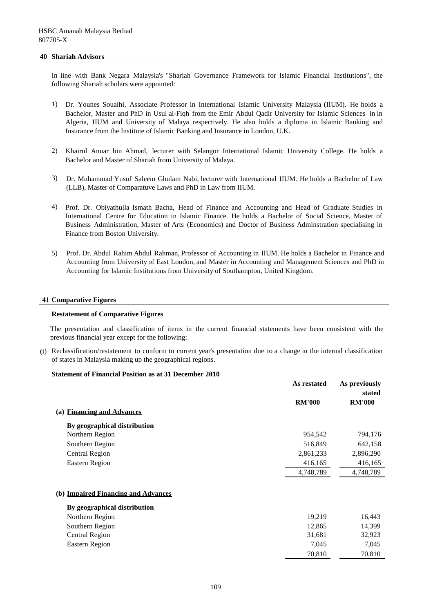#### **40 Shariah Advisors**

In line with Bank Negara Malaysia's "Shariah Governance Framework for Islamic Financial Institutions", the following Shariah scholars were appointed:

- 1) Dr. Younes Soualhi, Associate Professor in International Islamic University Malaysia (IIUM). He holds a Bachelor, Master and PhD in Usul al-Fiqh from the Emir Abdul Qadir University for Islamic Sciences in in Algeria, IIUM and University of Malaya respectively. He also holds a diploma in Islamic Banking and Insurance from the Institute of Islamic Banking and Insurance in London, U.K.
- 2) Khairul Anuar bin Ahmad, lecturer with Selangor International Islamic University College. He holds a Bachelor and Master of Shariah from University of Malaya.
- 3) Dr. Muhammad Yusuf Saleem Ghulam Nabi, lecturer with International IIUM. He holds a Bachelor of Law (LLB), Master of Comparatuve Laws and PhD in Law from IIUM.
- 4) Prof. Dr. Obiyathulla Ismath Bacha, Head of Finance and Accounting and Head of Graduate Studies in International Centre for Education in Islamic Finance. He holds a Bachelor of Social Science, Master of Business Administration, Master of Arts (Economics) and Doctor of Business Adminstration specialising in Finance from Boston University.
- 5) Prof. Dr. Abdul Rahim Abdul Rahman, Professor of Accounting in IIUM. He holds a Bachelor in Finance and Accounting from University of East London, and Master in Accounting and Management Sciences and PhD in Accounting for Islamic Institutions from University of Southampton, United Kingdom.

#### **41 Comparative Figures**

#### **Restatement of Comparative Figures**

The presentation and classification of items in the current financial statements have been consistent with the previous financial year except for the following:

(i) Reclassification/restatement to conform to current year's presentation due to a change in the internal classification of states in Malaysia making up the geographical regions.

#### **Statement of Financial Position as at 31 December 2010**

|                                     | As restated   | As previously<br>stated |
|-------------------------------------|---------------|-------------------------|
|                                     | <b>RM'000</b> | <b>RM'000</b>           |
| (a) Financing and Advances          |               |                         |
| By geographical distribution        |               |                         |
| Northern Region                     | 954,542       | 794,176                 |
| Southern Region                     | 516,849       | 642,158                 |
| <b>Central Region</b>               | 2,861,233     | 2,896,290               |
| <b>Eastern Region</b>               | 416,165       | 416,165                 |
|                                     | 4,748,789     | 4,748,789               |
|                                     |               |                         |
| (b) Impaired Financing and Advances |               |                         |
| By geographical distribution        |               |                         |
| Northern Region                     | 19,219        | 16,443                  |
| Southern Region                     | 12,865        | 14,399                  |
| <b>Central Region</b>               | 31,681        | 32,923                  |
| Eastern Region                      | 7,045         | 7,045                   |
|                                     | 70,810        | 70,810                  |
|                                     |               |                         |